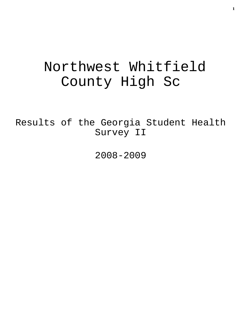# Northwest Whitfield County High Sc

Results of the Georgia Student Health Survey II

2008-2009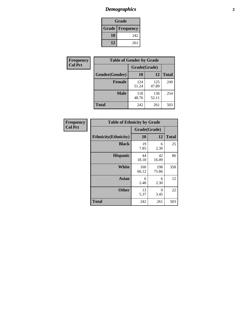# *Demographics* **2**

| Grade                    |     |  |  |  |
|--------------------------|-----|--|--|--|
| <b>Grade   Frequency</b> |     |  |  |  |
| 10                       | 242 |  |  |  |
| 12                       | 261 |  |  |  |

| <b>Frequency</b> | <b>Table of Gender by Grade</b> |              |              |              |
|------------------|---------------------------------|--------------|--------------|--------------|
| <b>Col Pct</b>   |                                 | Grade(Grade) |              |              |
|                  | Gender(Gender)                  | <b>10</b>    | 12           | <b>Total</b> |
|                  | <b>Female</b>                   | 124<br>51.24 | 125<br>47.89 | 249          |
|                  | <b>Male</b>                     | 118<br>48.76 | 136<br>52.11 | 254          |
|                  | <b>Total</b>                    | 242          | 261          | 503          |

| <b>Frequency</b><br>Col Pct |
|-----------------------------|

| <b>Table of Ethnicity by Grade</b> |              |              |              |  |  |  |
|------------------------------------|--------------|--------------|--------------|--|--|--|
|                                    | Grade(Grade) |              |              |  |  |  |
| <b>Ethnicity</b> (Ethnicity)       | 10           | 12           | <b>Total</b> |  |  |  |
| <b>Black</b>                       | 19<br>7.85   | 6<br>2.30    | 25           |  |  |  |
| <b>Hispanic</b>                    | 44<br>18.18  | 42<br>16.09  | 86           |  |  |  |
| White                              | 160<br>66.12 | 198<br>75.86 | 358          |  |  |  |
| <b>Asian</b>                       | 6<br>2.48    | 6<br>2.30    | 12           |  |  |  |
| <b>Other</b>                       | 13<br>5.37   | 9<br>3.45    | 22           |  |  |  |
| <b>Total</b>                       | 242          | 261          | 503          |  |  |  |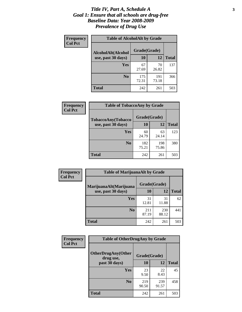### *Title IV, Part A, Schedule A* **3** *Goal 1: Ensure that all schools are drug-free Baseline Data: Year 2008-2009 Prevalence of Drug Use*

| Frequency<br><b>Col Pct</b> | <b>Table of AlcoholAlt by Grade</b> |              |              |              |  |
|-----------------------------|-------------------------------------|--------------|--------------|--------------|--|
|                             | AlcoholAlt(Alcohol                  | Grade(Grade) |              |              |  |
|                             | use, past 30 days)                  | <b>10</b>    | 12           | <b>Total</b> |  |
|                             | Yes                                 | 67<br>27.69  | 70<br>26.82  | 137          |  |
|                             | N <sub>0</sub>                      | 175<br>72.31 | 191<br>73.18 | 366          |  |
|                             | Total                               | 242          | 261          | 503          |  |

| <b>Frequency</b> | <b>Table of TobaccoAny by Grade</b> |              |              |              |  |
|------------------|-------------------------------------|--------------|--------------|--------------|--|
| <b>Col Pct</b>   | TobaccoAny(Tobacco                  | Grade(Grade) |              |              |  |
|                  | use, past 30 days)                  | 10           | 12           | <b>Total</b> |  |
|                  | Yes                                 | 60<br>24.79  | 63<br>24.14  | 123          |  |
|                  | N <sub>0</sub>                      | 182<br>75.21 | 198<br>75.86 | 380          |  |
|                  | Total                               | 242          | 261          | 503          |  |

| Frequency      | <b>Table of MarijuanaAlt by Grade</b> |              |              |              |  |
|----------------|---------------------------------------|--------------|--------------|--------------|--|
| <b>Col Pct</b> | MarijuanaAlt(Marijuana                | Grade(Grade) |              |              |  |
|                | use, past 30 days)                    | 10           | 12           | <b>Total</b> |  |
|                | <b>Yes</b>                            | 31<br>12.81  | 31<br>11.88  | 62           |  |
|                | N <sub>0</sub>                        | 211<br>87.19 | 230<br>88.12 | 441          |  |
|                | <b>Total</b>                          | 242          | 261          | 503          |  |

| Frequency      | <b>Table of OtherDrugAny by Grade</b>  |              |              |              |  |
|----------------|----------------------------------------|--------------|--------------|--------------|--|
| <b>Col Pct</b> | <b>OtherDrugAny(Other</b><br>drug use, | Grade(Grade) |              |              |  |
|                | past 30 days)                          | <b>10</b>    | <b>12</b>    | <b>Total</b> |  |
|                | Yes                                    | 23<br>9.50   | 22<br>8.43   | 45           |  |
|                | N <sub>0</sub>                         | 219<br>90.50 | 239<br>91.57 | 458          |  |
|                | <b>Total</b>                           | 242          | 261          | 503          |  |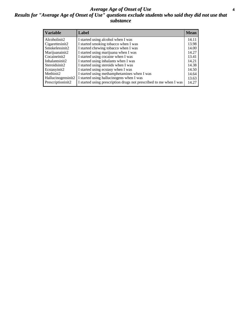### *Average Age of Onset of Use* **4** *Results for "Average Age of Onset of Use" questions exclude students who said they did not use that substance*

| <b>Variable</b>    | Label                                                              | <b>Mean</b> |
|--------------------|--------------------------------------------------------------------|-------------|
| Alcoholinit2       | I started using alcohol when I was                                 | 14.11       |
| Cigarettesinit2    | I started smoking tobacco when I was                               | 13.98       |
| Smokelessinit2     | I started chewing tobacco when I was                               | 14.00       |
| Marijuanainit2     | I started using marijuana when I was                               | 14.27       |
| Cocaineinit2       | I started using cocaine when I was                                 | 13.41       |
| Inhalantsinit2     | I started using inhalants when I was                               | 14.21       |
| Steroidsinit2      | I started using steroids when I was                                | 14.38       |
| Ecstasyinit2       | I started using ecstasy when I was                                 | 14.50       |
| Methinit2          | I started using methamphetamines when I was                        | 14.64       |
| Hallucinogensinit2 | I started using hallucinogens when I was                           | 13.63       |
| Prescriptioninit2  | I started using prescription drugs not prescribed to me when I was | 14.27       |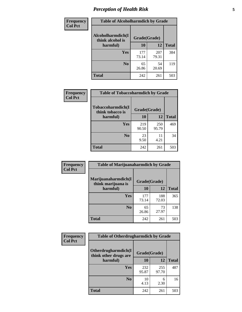# *Perception of Health Risk* **5**

| Frequency      | <b>Table of Alcoholharmdich by Grade</b> |              |              |              |
|----------------|------------------------------------------|--------------|--------------|--------------|
| <b>Col Pct</b> | Alcoholharmdich(I<br>think alcohol is    | Grade(Grade) |              |              |
|                | harmful)                                 | 10           | 12           | <b>Total</b> |
|                | <b>Yes</b>                               | 177<br>73.14 | 207<br>79.31 | 384          |
|                | N <sub>0</sub>                           | 65<br>26.86  | 54<br>20.69  | 119          |
|                | <b>Total</b>                             | 242          | 261          | 503          |

| Frequency      | <b>Table of Tobaccoharmdich by Grade</b> |              |              |              |  |
|----------------|------------------------------------------|--------------|--------------|--------------|--|
| <b>Col Pct</b> | Tobaccoharmdich(I<br>think tobacco is    | Grade(Grade) |              |              |  |
|                | harmful)                                 | 10           | 12           | <b>Total</b> |  |
|                | Yes                                      | 219<br>90.50 | 250<br>95.79 | 469          |  |
|                | N <sub>0</sub>                           | 23<br>9.50   | 11<br>4.21   | 34           |  |
|                | Total                                    | 242          | 261          | 503          |  |

| Frequency      | <b>Table of Marijuanaharmdich by Grade</b> |              |              |              |  |  |
|----------------|--------------------------------------------|--------------|--------------|--------------|--|--|
| <b>Col Pct</b> | Marijuanaharmdich(I<br>think marijuana is  | Grade(Grade) |              |              |  |  |
|                | harmful)                                   | 10           | 12           | <b>Total</b> |  |  |
|                | Yes                                        | 177<br>73.14 | 188<br>72.03 | 365          |  |  |
|                | N <sub>0</sub>                             | 65<br>26.86  | 73<br>27.97  | 138          |  |  |
|                | <b>Total</b>                               | 242          | 261          | 503          |  |  |

| <b>Frequency</b> | <b>Table of Otherdrugharmdich by Grade</b>   |              |              |              |  |  |  |  |
|------------------|----------------------------------------------|--------------|--------------|--------------|--|--|--|--|
| <b>Col Pct</b>   | Otherdrugharmdich(I<br>think other drugs are | Grade(Grade) |              |              |  |  |  |  |
|                  | harmful)                                     | 10           | 12           | <b>Total</b> |  |  |  |  |
|                  | <b>Yes</b>                                   | 232<br>95.87 | 255<br>97.70 | 487          |  |  |  |  |
|                  | N <sub>0</sub>                               | 10<br>4.13   | 6<br>2.30    | 16           |  |  |  |  |
|                  | <b>Total</b>                                 | 242          | 261          | 503          |  |  |  |  |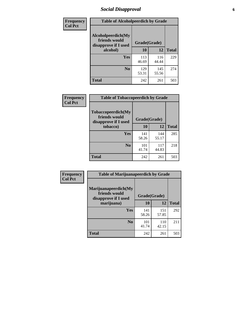# *Social Disapproval* **6**

| Frequency      | <b>Table of Alcoholpeerdich by Grade</b>                    |              |              |     |  |  |  |
|----------------|-------------------------------------------------------------|--------------|--------------|-----|--|--|--|
| <b>Col Pct</b> | Alcoholpeerdich(My<br>friends would<br>disapprove if I used | Grade(Grade) |              |     |  |  |  |
|                | alcohol)                                                    | 10           | <b>Total</b> |     |  |  |  |
|                | <b>Yes</b>                                                  | 113<br>46.69 | 116<br>44.44 | 229 |  |  |  |
|                | N <sub>0</sub>                                              | 129<br>53.31 | 145<br>55.56 | 274 |  |  |  |
|                | <b>Total</b>                                                | 242          | 261          | 503 |  |  |  |

| <b>Frequency</b> |
|------------------|
| <b>Col Pct</b>   |

| <b>Table of Tobaccopeerdich by Grade</b>                            |              |              |              |  |  |  |  |
|---------------------------------------------------------------------|--------------|--------------|--------------|--|--|--|--|
| <b>Tobaccopeerdich</b> (My<br>friends would<br>disapprove if I used | Grade(Grade) |              |              |  |  |  |  |
| tobacco)                                                            | 10           | 12           | <b>Total</b> |  |  |  |  |
| Yes                                                                 | 141<br>58.26 | 144<br>55.17 | 285          |  |  |  |  |
| N <sub>0</sub>                                                      | 101<br>41.74 | 117<br>44.83 | 218          |  |  |  |  |
| <b>Total</b>                                                        | 242          | 261          | 503          |  |  |  |  |

| Frequency      | <b>Table of Marijuanapeerdich by Grade</b>                    |              |              |              |  |  |  |  |
|----------------|---------------------------------------------------------------|--------------|--------------|--------------|--|--|--|--|
| <b>Col Pct</b> | Marijuanapeerdich(My<br>friends would<br>disapprove if I used | Grade(Grade) |              |              |  |  |  |  |
|                | marijuana)                                                    | 10           | 12           | <b>Total</b> |  |  |  |  |
|                | <b>Yes</b>                                                    | 141<br>58.26 | 151<br>57.85 | 292          |  |  |  |  |
|                | N <sub>0</sub>                                                | 101<br>41.74 | 110<br>42.15 | 211          |  |  |  |  |
|                | <b>Total</b>                                                  | 242          | 261          | 503          |  |  |  |  |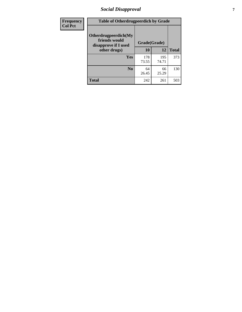# *Social Disapproval* **7**

| Frequency      | <b>Table of Otherdrugpeerdich by Grade</b>                    |              |              |              |  |  |  |  |
|----------------|---------------------------------------------------------------|--------------|--------------|--------------|--|--|--|--|
| <b>Col Pct</b> | Otherdrugpeerdich(My<br>friends would<br>disapprove if I used | Grade(Grade) |              |              |  |  |  |  |
|                | other drugs)                                                  | 10           | 12           | <b>Total</b> |  |  |  |  |
|                | Yes                                                           | 178<br>73.55 | 195<br>74.71 | 373          |  |  |  |  |
|                | N <sub>0</sub>                                                | 64<br>26.45  | 66<br>25.29  | 130          |  |  |  |  |
|                | <b>Total</b>                                                  | 242          | 261          | 503          |  |  |  |  |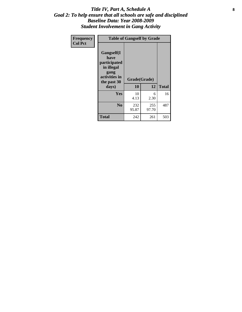### Title IV, Part A, Schedule A **8** *Goal 2: To help ensure that all schools are safe and disciplined Baseline Data: Year 2008-2009 Student Involvement in Gang Activity*

| Frequency      | <b>Table of Gangself by Grade</b>                                                                 |                    |              |              |
|----------------|---------------------------------------------------------------------------------------------------|--------------------|--------------|--------------|
| <b>Col Pct</b> | Gangself(I<br>have<br>participated<br>in illegal<br>gang<br>activities in<br>the past 30<br>days) | Grade(Grade)<br>10 | 12           | <b>Total</b> |
|                | Yes                                                                                               | 10<br>4.13         | 6<br>2.30    | 16           |
|                | N <sub>0</sub>                                                                                    | 232<br>95.87       | 255<br>97.70 | 487          |
|                | <b>Total</b>                                                                                      | 242                | 261          | 503          |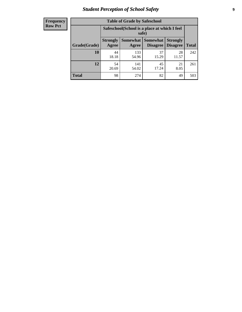# *Student Perception of School Safety* **9**

| <b>Frequency</b><br>Row Pct |
|-----------------------------|
|                             |

| <b>Table of Grade by Safeschool</b> |                                                                                                                                                  |                                                        |             |             |     |  |  |
|-------------------------------------|--------------------------------------------------------------------------------------------------------------------------------------------------|--------------------------------------------------------|-------------|-------------|-----|--|--|
|                                     |                                                                                                                                                  | Safeschool (School is a place at which I feel<br>safe) |             |             |     |  |  |
| Grade(Grade)                        | <b>Somewhat</b><br><b>Somewhat</b><br><b>Strongly</b><br><b>Strongly</b><br><b>Disagree</b><br>Agree<br><b>Disagree</b><br><b>Total</b><br>Agree |                                                        |             |             |     |  |  |
| <b>10</b>                           | 44<br>18.18                                                                                                                                      | 133<br>54.96                                           | 37<br>15.29 | 28<br>11.57 | 242 |  |  |
| 12                                  | 54<br>20.69                                                                                                                                      | 141<br>54.02                                           | 45<br>17.24 | 21<br>8.05  | 261 |  |  |
| <b>Total</b>                        | 98                                                                                                                                               | 274                                                    | 82          | 49          | 503 |  |  |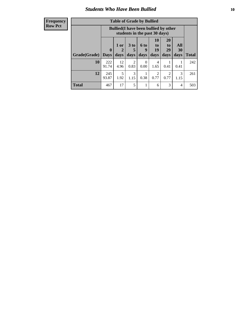### *Students Who Have Been Bullied* **10**

| <b>Frequency</b> |
|------------------|
| Row Pct          |

| <b>Table of Grade by Bullied</b> |                             |                                                                               |                              |                   |                        |                        |                          |              |
|----------------------------------|-----------------------------|-------------------------------------------------------------------------------|------------------------------|-------------------|------------------------|------------------------|--------------------------|--------------|
|                                  |                             | <b>Bullied</b> (I have been bullied by other<br>students in the past 30 days) |                              |                   |                        |                        |                          |              |
| Grade(Grade)                     | $\mathbf{0}$<br><b>Days</b> | 1 or<br>2<br>days                                                             | 3 <sub>to</sub><br>5<br>days | 6 to<br>9<br>days | 10<br>to<br>19<br>days | 20<br>to<br>29<br>days | <b>All</b><br>30<br>days | <b>Total</b> |
| 10                               | 222<br>91.74                | 12<br>4.96                                                                    | $\overline{2}$<br>0.83       | $\theta$<br>0.00  | 4<br>1.65              | 0.41                   | 0.41                     | 242          |
| 12                               | 245<br>93.87                | 5<br>1.92                                                                     | 3<br>1.15                    | 0.38              | 2<br>0.77              | 2<br>0.77              | 3<br>1.15                | 261          |
| <b>Total</b>                     | 467                         | 17                                                                            | 5                            |                   | 6                      | 3                      | 4                        | 503          |

 $\blacksquare$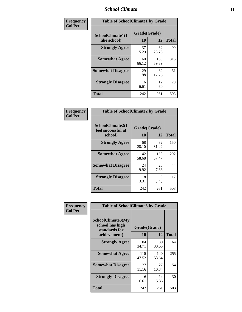### *School Climate* **11**

| <b>Frequency</b> | <b>Table of SchoolClimate1 by Grade</b> |                    |              |              |  |  |  |
|------------------|-----------------------------------------|--------------------|--------------|--------------|--|--|--|
| <b>Col Pct</b>   | SchoolClimate1(I<br>like school)        | Grade(Grade)<br>10 | 12           | <b>Total</b> |  |  |  |
|                  | <b>Strongly Agree</b>                   | 37<br>15.29        | 62<br>23.75  | 99           |  |  |  |
|                  | <b>Somewhat Agree</b>                   | 160<br>66.12       | 155<br>59.39 | 315          |  |  |  |
|                  | <b>Somewhat Disagree</b>                | 29<br>11.98        | 32<br>12.26  | 61           |  |  |  |
|                  | <b>Strongly Disagree</b>                | 16<br>6.61         | 12<br>4.60   | 28           |  |  |  |
|                  | <b>Total</b>                            | 242                | 261          | 503          |  |  |  |

| Frequency      | <b>Table of SchoolClimate2 by Grade</b>           |                           |              |              |
|----------------|---------------------------------------------------|---------------------------|--------------|--------------|
| <b>Col Pct</b> | SchoolClimate2(I<br>feel successful at<br>school) | Grade(Grade)<br><b>10</b> | 12           | <b>Total</b> |
|                | <b>Strongly Agree</b>                             | 68<br>28.10               | 82<br>31.42  | 150          |
|                | <b>Somewhat Agree</b>                             | 142<br>58.68              | 150<br>57.47 | 292          |
|                | <b>Somewhat Disagree</b>                          | 24<br>9.92                | 20<br>7.66   | 44           |
|                | <b>Strongly Disagree</b>                          | 8<br>3.31                 | 9<br>3.45    | 17           |
|                | <b>Total</b>                                      | 242                       | 261          | 503          |

| Frequency      | <b>Table of SchoolClimate3 by Grade</b>                                      |                           |              |              |  |
|----------------|------------------------------------------------------------------------------|---------------------------|--------------|--------------|--|
| <b>Col Pct</b> | <b>SchoolClimate3(My</b><br>school has high<br>standards for<br>achievement) | Grade(Grade)<br><b>10</b> | 12           | <b>Total</b> |  |
|                |                                                                              |                           |              |              |  |
|                | <b>Strongly Agree</b>                                                        | 84<br>34.71               | 80<br>30.65  | 164          |  |
|                | <b>Somewhat Agree</b>                                                        | 115<br>47.52              | 140<br>53.64 | 255          |  |
|                | <b>Somewhat Disagree</b>                                                     | 27<br>11.16               | 27<br>10.34  | 54           |  |
|                | <b>Strongly Disagree</b>                                                     | 16<br>6.61                | 14<br>5.36   | 30           |  |
|                | Total                                                                        | 242                       | 261          | 503          |  |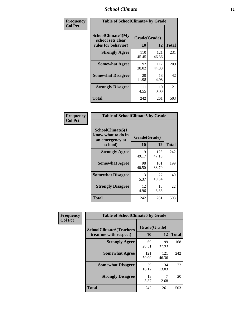### *School Climate* **12**

| Frequency      |                                                                      | <b>Table of SchoolClimate4 by Grade</b> |              |              |  |
|----------------|----------------------------------------------------------------------|-----------------------------------------|--------------|--------------|--|
| <b>Col Pct</b> | <b>SchoolClimate4(My</b><br>school sets clear<br>rules for behavior) | Grade(Grade)<br>10                      | 12           | <b>Total</b> |  |
|                | <b>Strongly Agree</b>                                                | 110<br>45.45                            | 121<br>46.36 | 231          |  |
|                | <b>Somewhat Agree</b>                                                | 92<br>38.02                             | 117<br>44.83 | 209          |  |
|                | <b>Somewhat Disagree</b>                                             | 29<br>11.98                             | 13<br>4.98   | 42           |  |
|                | <b>Strongly Disagree</b>                                             | 11<br>4.55                              | 10<br>3.83   | 21           |  |
|                | <b>Total</b>                                                         | 242                                     | 261          | 503          |  |

| <b>Table of SchoolClimate5 by Grade</b>                   |              |              |              |  |  |
|-----------------------------------------------------------|--------------|--------------|--------------|--|--|
| SchoolClimate5(I<br>know what to do in<br>an emergency at | Grade(Grade) |              |              |  |  |
| school)                                                   | 10           | 12           | <b>Total</b> |  |  |
| <b>Strongly Agree</b>                                     | 119<br>49.17 | 123<br>47.13 | 242          |  |  |
| <b>Somewhat Agree</b>                                     | 98<br>40.50  | 101<br>38.70 | 199          |  |  |
| <b>Somewhat Disagree</b>                                  | 13<br>5.37   | 27<br>10.34  | 40           |  |  |
| <b>Strongly Disagree</b>                                  | 12<br>4.96   | 10<br>3.83   | 22           |  |  |
| Total                                                     | 242          | 261          | 503          |  |  |

| Frequency      | <b>Table of SchoolClimate6 by Grade</b>                  |                    |              |              |
|----------------|----------------------------------------------------------|--------------------|--------------|--------------|
| <b>Col Pct</b> | <b>SchoolClimate6(Teachers</b><br>treat me with respect) | Grade(Grade)<br>10 | 12           | <b>Total</b> |
|                | <b>Strongly Agree</b>                                    | 69<br>28.51        | 99<br>37.93  | 168          |
|                | <b>Somewhat Agree</b>                                    | 121<br>50.00       | 121<br>46.36 | 242          |
|                | <b>Somewhat Disagree</b>                                 | 39<br>16.12        | 34<br>13.03  | 73           |
|                | <b>Strongly Disagree</b>                                 | 13<br>5.37         | 2.68         | 20           |
|                | <b>Total</b>                                             | 242                | 261          | 503          |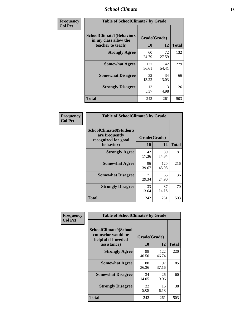### *School Climate* **13**

| Frequency      | <b>Table of SchoolClimate7 by Grade</b>                                       |                           |              |              |
|----------------|-------------------------------------------------------------------------------|---------------------------|--------------|--------------|
| <b>Col Pct</b> | <b>SchoolClimate7(Behaviors</b><br>in my class allow the<br>teacher to teach) | Grade(Grade)<br><b>10</b> | 12           | <b>Total</b> |
|                | <b>Strongly Agree</b>                                                         | 60<br>24.79               | 72<br>27.59  | 132          |
|                | <b>Somewhat Agree</b>                                                         | 137<br>56.61              | 142<br>54.41 | 279          |
|                | <b>Somewhat Disagree</b>                                                      | 32<br>13.22               | 34<br>13.03  | 66           |
|                | <b>Strongly Disagree</b>                                                      | 13<br>5.37                | 13<br>4.98   | 26           |
|                | <b>Total</b>                                                                  | 242                       | 261          | 503          |

| Frequency      | <b>Table of SchoolClimate8 by Grade</b>                                              |                    |              |              |
|----------------|--------------------------------------------------------------------------------------|--------------------|--------------|--------------|
| <b>Col Pct</b> | <b>SchoolClimate8(Students</b><br>are frequently<br>recognized for good<br>behavior) | Grade(Grade)<br>10 | 12           | <b>Total</b> |
|                | <b>Strongly Agree</b>                                                                | 42<br>17.36        | 39<br>14.94  | 81           |
|                | <b>Somewhat Agree</b>                                                                | 96<br>39.67        | 120<br>45.98 | 216          |
|                | <b>Somewhat Disagree</b>                                                             | 71<br>29.34        | 65<br>24.90  | 136          |
|                | <b>Strongly Disagree</b>                                                             | 33<br>13.64        | 37<br>14.18  | 70           |
|                | <b>Total</b>                                                                         | 242                | 261          | 503          |

| Frequency      | <b>Table of SchoolClimate9 by Grade</b>                                           |                    |              |              |
|----------------|-----------------------------------------------------------------------------------|--------------------|--------------|--------------|
| <b>Col Pct</b> | SchoolClimate9(School<br>counselor would be<br>helpful if I needed<br>assistance) | Grade(Grade)<br>10 | 12           | <b>Total</b> |
|                | <b>Strongly Agree</b>                                                             | 98<br>40.50        | 122<br>46.74 | 220          |
|                | <b>Somewhat Agree</b>                                                             | 88<br>36.36        | 97<br>37.16  | 185          |
|                | <b>Somewhat Disagree</b>                                                          | 34<br>14.05        | 26<br>9.96   | 60           |
|                | <b>Strongly Disagree</b>                                                          | 22<br>9.09         | 16<br>6.13   | 38           |
|                | Total                                                                             | 242                | 261          | 503          |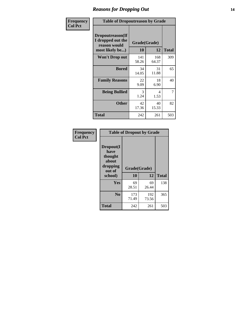### *Reasons for Dropping Out* **14**

| Frequency      | <b>Table of Dropoutreason by Grade</b>                                   |                    |              |              |
|----------------|--------------------------------------------------------------------------|--------------------|--------------|--------------|
| <b>Col Pct</b> | Dropoutreason(If<br>I dropped out the<br>reason would<br>most likely be) | Grade(Grade)<br>10 | 12           | <b>Total</b> |
|                | <b>Won't Drop out</b>                                                    | 141<br>58.26       | 168<br>64.37 | 309          |
|                | <b>Bored</b>                                                             | 34<br>14.05        | 31<br>11.88  | 65           |
|                | <b>Family Reasons</b>                                                    | 22<br>9.09         | 18<br>6.90   | 40           |
|                | <b>Being Bullied</b>                                                     | 3<br>1.24          | 4<br>1.53    | 7            |
|                | <b>Other</b>                                                             | 42<br>17.36        | 40<br>15.33  | 82           |
|                | <b>Total</b>                                                             | 242                | 261          | 503          |

| Frequency<br><b>Col Pct</b> | <b>Table of Dropout by Grade</b>                                       |                    |              |     |  |
|-----------------------------|------------------------------------------------------------------------|--------------------|--------------|-----|--|
|                             | Dropout(I<br>have<br>thought<br>about<br>dropping<br>out of<br>school) | Grade(Grade)<br>10 | <b>Total</b> |     |  |
|                             |                                                                        |                    | 12           |     |  |
|                             | Yes                                                                    | 69<br>28.51        | 69<br>26.44  | 138 |  |
|                             | N <sub>0</sub>                                                         | 173<br>71.49       | 192<br>73.56 | 365 |  |
|                             | <b>Total</b>                                                           | 242                | 261          | 503 |  |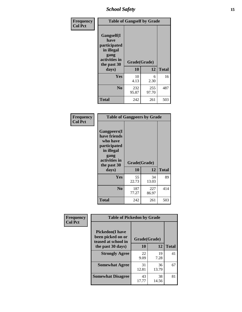*School Safety* **15**

| Frequency      |                                                                                                   | <b>Table of Gangself by Grade</b> |              |              |  |
|----------------|---------------------------------------------------------------------------------------------------|-----------------------------------|--------------|--------------|--|
| <b>Col Pct</b> | Gangself(I<br>have<br>participated<br>in illegal<br>gang<br>activities in<br>the past 30<br>days) | Grade(Grade)<br>10                | 12           | <b>Total</b> |  |
|                | Yes                                                                                               | 10<br>4.13                        | 6<br>2.30    | 16           |  |
|                | N <sub>0</sub>                                                                                    | 232<br>95.87                      | 255<br>97.70 | 487          |  |
|                | <b>Total</b>                                                                                      | 242                               | 261          | 503          |  |

| Frequency<br><b>Col Pct</b> | <b>Table of Gangpeers by Grade</b>                                                                                             |                    |              |              |
|-----------------------------|--------------------------------------------------------------------------------------------------------------------------------|--------------------|--------------|--------------|
|                             | <b>Gangpeers</b> (I<br>have friends<br>who have<br>participated<br>in illegal<br>gang<br>activities in<br>the past 30<br>days) | Grade(Grade)<br>10 | 12           | <b>Total</b> |
|                             | <b>Yes</b>                                                                                                                     | 55<br>22.73        | 34<br>13.03  | 89           |
|                             | N <sub>0</sub>                                                                                                                 | 187<br>77.27       | 227<br>86.97 | 414          |
|                             | <b>Total</b>                                                                                                                   | 242                | 261          | 503          |

| Frequency      | <b>Table of Pickedon by Grade</b>                                  |              |             |              |
|----------------|--------------------------------------------------------------------|--------------|-------------|--------------|
| <b>Col Pct</b> | <b>Pickedon(I have</b><br>been picked on or<br>teased at school in | Grade(Grade) |             |              |
|                | the past 30 days)                                                  | 10           | 12          | <b>Total</b> |
|                | <b>Strongly Agree</b>                                              | 22<br>9.09   | 19<br>7.28  | 41           |
|                | <b>Somewhat Agree</b>                                              | 31<br>12.81  | 36<br>13.79 | 67           |
|                | <b>Somewhat Disagree</b>                                           | 43<br>17.77  | 38<br>14.56 | 81           |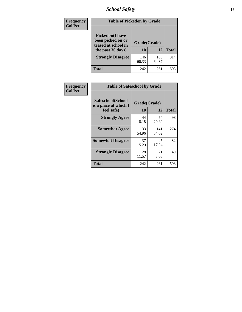# *School Safety* **16**

| <b>Frequency</b> | <b>Table of Pickedon by Grade</b>                                                        |                    |              |              |
|------------------|------------------------------------------------------------------------------------------|--------------------|--------------|--------------|
| <b>Col Pct</b>   | <b>Pickedon</b> (I have<br>been picked on or<br>teased at school in<br>the past 30 days) | Grade(Grade)<br>10 | 12           | <b>Total</b> |
|                  | <b>Strongly Disagree</b>                                                                 | 146<br>60.33       | 168<br>64.37 | 314          |
|                  | Total                                                                                    | 242                | 261          | 503          |

| Frequency      | <b>Table of Safeschool by Grade</b>                      |                    |              |              |
|----------------|----------------------------------------------------------|--------------------|--------------|--------------|
| <b>Col Pct</b> | Safeschool(School<br>is a place at which I<br>feel safe) | Grade(Grade)<br>10 | 12           | <b>Total</b> |
|                | <b>Strongly Agree</b>                                    | 44<br>18.18        | 54<br>20.69  | 98           |
|                | <b>Somewhat Agree</b>                                    | 133<br>54.96       | 141<br>54.02 | 274          |
|                | <b>Somewhat Disagree</b>                                 | 37<br>15.29        | 45<br>17.24  | 82           |
|                | <b>Strongly Disagree</b>                                 | 28<br>11.57        | 21<br>8.05   | 49           |
|                | <b>Total</b>                                             | 242                | 261          | 503          |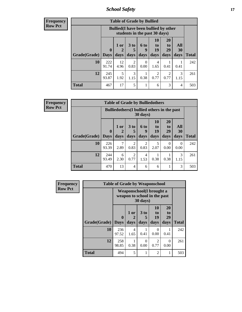*School Safety* **17**

| <b>Table of Grade by Bullied</b> |              |                                                                               |                              |                   |                        |                               |                          |              |  |  |  |  |
|----------------------------------|--------------|-------------------------------------------------------------------------------|------------------------------|-------------------|------------------------|-------------------------------|--------------------------|--------------|--|--|--|--|
|                                  |              | <b>Bullied</b> (I have been bullied by other<br>students in the past 30 days) |                              |                   |                        |                               |                          |              |  |  |  |  |
| <b>Grade</b> (Grade)   Days      | $\mathbf 0$  | 1 or<br>2<br>days                                                             | 3 <sub>to</sub><br>5<br>days | 6 to<br>9<br>days | 10<br>to<br>19<br>days | <b>20</b><br>to<br>29<br>days | All<br><b>30</b><br>days | <b>Total</b> |  |  |  |  |
| 10                               | 222<br>91.74 | 12<br>4.96                                                                    | $\overline{2}$<br>0.83       | $\Omega$<br>0.00  | 4<br>1.65              | 0.41                          | 0.41                     | 242          |  |  |  |  |
| 12                               | 245<br>93.87 | 5<br>1.92                                                                     | 3<br>1.15                    | 0.38              | 2<br>0.77              | 2<br>0.77                     | 3<br>1.15                | 261          |  |  |  |  |
| <b>Total</b>                     | 467          | 17                                                                            | 5                            |                   | 6                      | 3                             | $\overline{4}$           | 503          |  |  |  |  |

| <b>Frequency</b> |
|------------------|
| <b>Row Pct</b>   |

| <b>Table of Grade by Bulliedothers</b> |              |                                                                |                              |                   |                        |                               |                   |              |  |  |  |  |
|----------------------------------------|--------------|----------------------------------------------------------------|------------------------------|-------------------|------------------------|-------------------------------|-------------------|--------------|--|--|--|--|
|                                        |              | <b>Bulliedothers</b> (I bullied others in the past<br>30 days) |                              |                   |                        |                               |                   |              |  |  |  |  |
| <b>Grade</b> (Grade) Days              | $\mathbf{0}$ | 1 or<br>2<br>days                                              | 3 <sub>to</sub><br>5<br>days | 6 to<br>9<br>days | 10<br>to<br>19<br>days | <b>20</b><br>to<br>29<br>days | All<br>30<br>days | <b>Total</b> |  |  |  |  |
| 10                                     | 226<br>93.39 | 7<br>2.89                                                      | 2<br>0.83                    | 2<br>0.83         | 5<br>2.07              | $\Omega$<br>0.00              | 0<br>0.00         | 242          |  |  |  |  |
| 12                                     | 244<br>93.49 | 6<br>2.30                                                      | 2<br>0.77                    | 4<br>1.53         | 0.38                   | 0.38                          | 3<br>1.15         | 261          |  |  |  |  |
| <b>Total</b>                           | 470          | 13                                                             | $\overline{4}$               | 6                 | 6                      |                               | 3                 | 503          |  |  |  |  |

| Frequency      |                     | <b>Table of Grade by Weaponschool</b>                            |                   |                              |                        |                        |              |
|----------------|---------------------|------------------------------------------------------------------|-------------------|------------------------------|------------------------|------------------------|--------------|
| <b>Row Pct</b> |                     | <b>Weaponschool</b> (I brought a<br>weapon to school in the past |                   |                              |                        |                        |              |
|                | <b>Grade(Grade)</b> | $\bf{0}$<br><b>Days</b>                                          | 1 or<br>2<br>days | 3 <sub>to</sub><br>5<br>days | 10<br>to<br>19<br>days | 20<br>to<br>29<br>days | <b>Total</b> |
|                | 10                  | 236<br>97.52                                                     | 4<br>1.65         | 0.41                         | 0<br>0.00              | 0.41                   | 242          |
|                | 12                  | 258<br>98.85                                                     | 0.38              | $\Omega$<br>0.00             | 2<br>0.77              | 0<br>0.00              | 261          |
|                | <b>Total</b>        | 494                                                              | 5                 | 1                            | $\mathfrak{D}$         |                        | 503          |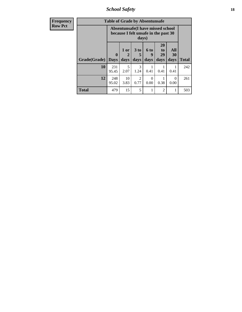*School Safety* **18**

| <b>Frequency</b> | <b>Table of Grade by Absentunsafe</b> |                            |                                                                                    |                              |                     |                               |                   |              |  |
|------------------|---------------------------------------|----------------------------|------------------------------------------------------------------------------------|------------------------------|---------------------|-------------------------------|-------------------|--------------|--|
| <b>Row Pct</b>   |                                       |                            | Absentunsafe(I have missed school<br>because I felt unsafe in the past 30<br>days) |                              |                     |                               |                   |              |  |
|                  | Grade(Grade)                          | $\mathbf 0$<br><b>Days</b> | 1 or<br>2<br>days                                                                  | 3 <sub>to</sub><br>5<br>days | $6$ to<br>9<br>days | <b>20</b><br>to<br>29<br>days | All<br>30<br>days | <b>Total</b> |  |
|                  | 10                                    | 231<br>95.45               | 5<br>2.07                                                                          | 3<br>1.24                    | 0.41                | 0.41                          | 0.41              | 242          |  |
|                  | 12                                    | 248<br>95.02               | 10<br>3.83                                                                         | $\mathfrak{D}$<br>0.77       | 0<br>0.00           | 0.38                          | $\Omega$<br>0.00  | 261          |  |
|                  | <b>Total</b>                          | 479                        | 15                                                                                 | 5                            |                     | 2                             | 1                 | 503          |  |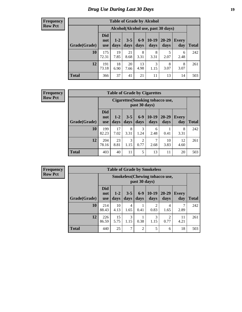# *Drug Use During Last 30 Days* **19**

#### **Frequency Row Pct**

| <b>Table of Grade by Alcohol</b> |                                 |                 |                 |                 |                                    |               |              |       |  |  |  |  |
|----------------------------------|---------------------------------|-----------------|-----------------|-----------------|------------------------------------|---------------|--------------|-------|--|--|--|--|
|                                  |                                 |                 |                 |                 | Alcohol(Alcohol use, past 30 days) |               |              |       |  |  |  |  |
| Grade(Grade)                     | <b>Did</b><br>not<br><b>use</b> | $1 - 2$<br>days | $3 - 5$<br>days | $6 - 9$<br>days | $10-19$<br>days                    | 20-29<br>days | Every<br>day | Total |  |  |  |  |
| 10                               | 175<br>72.31                    | 19<br>7.85      | 21<br>8.68      | 8<br>3.31       | 8<br>3.31                          | 5<br>2.07     | 6<br>2.48    | 242   |  |  |  |  |
| 12                               | 191<br>73.18                    | 18<br>6.90      | 20<br>7.66      | 13<br>4.98      | 3<br>1.15                          | 8<br>3.07     | 8<br>3.07    | 261   |  |  |  |  |
| <b>Total</b>                     | 366                             | 37              | 41              | 21              | 11                                 | 13            | 14           | 503   |  |  |  |  |

#### **Frequency Row Pct**

| <b>Table of Grade by Cigarettes</b> |                                 |                                                   |                 |                        |                 |                   |                     |       |  |  |  |
|-------------------------------------|---------------------------------|---------------------------------------------------|-----------------|------------------------|-----------------|-------------------|---------------------|-------|--|--|--|
|                                     |                                 | Cigarettes (Smoking tobacco use,<br>past 30 days) |                 |                        |                 |                   |                     |       |  |  |  |
| Grade(Grade)                        | <b>Did</b><br>not<br><b>use</b> | $1 - 2$<br>days                                   | $3 - 5$<br>days | $6-9$<br>days          | $10-19$<br>days | $20 - 29$<br>days | <b>Every</b><br>day | Total |  |  |  |
| 10                                  | 199<br>82.23                    | 17<br>7.02                                        | 8<br>3.31       | 3<br>1.24              | 6<br>2.48       | 0.41              | 8<br>3.31           | 242   |  |  |  |
| 12                                  | 204<br>78.16                    | 23<br>8.81                                        | 3<br>1.15       | $\overline{c}$<br>0.77 | 7<br>2.68       | 10<br>3.83        | 12<br>4.60          | 261   |  |  |  |
| <b>Total</b>                        | 403                             | 40                                                | 11              | 5                      | 13              | 11                | 20                  | 503   |  |  |  |

| <b>Table of Grade by Smokeless</b> |                                 |                                                         |                 |                 |                 |                        |                     |              |  |  |  |
|------------------------------------|---------------------------------|---------------------------------------------------------|-----------------|-----------------|-----------------|------------------------|---------------------|--------------|--|--|--|
|                                    |                                 | <b>Smokeless</b> (Chewing tobacco use,<br>past 30 days) |                 |                 |                 |                        |                     |              |  |  |  |
| Grade(Grade)                       | <b>Did</b><br>not<br><b>use</b> | $1 - 2$<br>days                                         | $3 - 5$<br>days | $6 - 9$<br>days | $10-19$<br>days | $20 - 29$<br>days      | <b>Every</b><br>day | <b>Total</b> |  |  |  |
| 10                                 | 214<br>88.43                    | 10<br>4.13                                              | 4<br>1.65       | 0.41            | 2<br>0.83       | 4<br>1.65              | 2.89                | 242          |  |  |  |
| 12                                 | 226<br>86.59                    | 15<br>5.75                                              | 3<br>1.15       | 0.38            | 3<br>1.15       | $\mathfrak{D}$<br>0.77 | 11<br>4.21          | 261          |  |  |  |
| <b>Total</b>                       | 440                             | 25                                                      | 7               | $\overline{2}$  | 5               | 6                      | 18                  | 503          |  |  |  |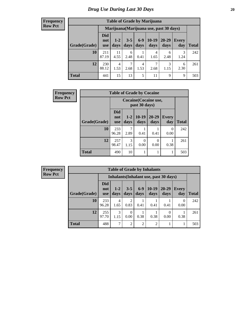| <b>Table of Grade by Marijuana</b> |                          |                                         |                 |                        |                       |               |              |              |  |  |  |  |
|------------------------------------|--------------------------|-----------------------------------------|-----------------|------------------------|-----------------------|---------------|--------------|--------------|--|--|--|--|
|                                    |                          | Marijuana (Marijuana use, past 30 days) |                 |                        |                       |               |              |              |  |  |  |  |
| Grade(Grade)                       | Did<br>not<br><b>use</b> | $1 - 2$<br>days                         | $3 - 5$<br>days | $6-9$<br>days          | $10-19$<br>days       | 20-29<br>days | Every<br>day | <b>Total</b> |  |  |  |  |
| 10                                 | 211<br>87.19             | 11<br>4.55                              | 6<br>2.48       | 0.41                   | 4<br>1.65             | 6<br>2.48     | 3<br>1.24    | 242          |  |  |  |  |
| 12                                 | 230<br>88.12             | 4<br>1.53                               | 7<br>2.68       | $\overline{4}$<br>1.53 | $\mathcal{I}$<br>2.68 | 3<br>1.15     | 6<br>2.30    | 261          |  |  |  |  |
| <b>Total</b>                       | 441                      | 15                                      | 13              | 5                      | 11                    | 9             | 9            | 503          |  |  |  |  |

| <b>Frequency</b> | <b>Table of Grade by Cocaine</b>       |                                 |                 |                  |                   |                     |              |  |  |
|------------------|----------------------------------------|---------------------------------|-----------------|------------------|-------------------|---------------------|--------------|--|--|
| <b>Row Pct</b>   | Cocaine (Cocaine use,<br>past 30 days) |                                 |                 |                  |                   |                     |              |  |  |
|                  | Grade(Grade)                           | <b>Did</b><br>not<br><b>use</b> | $1 - 2$<br>days | $10-19$<br>days  | $20 - 29$<br>days | <b>Every</b><br>day | <b>Total</b> |  |  |
|                  | 10                                     | 233<br>96.28                    | 2.89            | 0.41             | 0.41              | $\Omega$<br>0.00    | 242          |  |  |
|                  | 12                                     | 257<br>98.47                    | 3<br>1.15       | $\Omega$<br>0.00 | 0<br>0.00         | 0.38                | 261          |  |  |
|                  | <b>Total</b>                           | 490                             | 10              |                  | 1                 | 1                   | 503          |  |  |

| <b>Frequency</b> |
|------------------|
| <b>Row Pct</b>   |

| <b>Table of Grade by Inhalants</b> |                                 |                                        |                        |                |                 |               |                  |       |  |  |
|------------------------------------|---------------------------------|----------------------------------------|------------------------|----------------|-----------------|---------------|------------------|-------|--|--|
|                                    |                                 | Inhalants (Inhalant use, past 30 days) |                        |                |                 |               |                  |       |  |  |
| Grade(Grade)                       | <b>Did</b><br>not<br><b>use</b> | $1 - 2$<br>days                        | $3 - 5$<br>days        | $6-9$<br>days  | $10-19$<br>days | 20-29<br>days | Every<br>day     | Total |  |  |
| 10                                 | 233<br>96.28                    | 4<br>1.65                              | $\overline{c}$<br>0.83 | 0.41           | 0.41            | 0.41          | $\Omega$<br>0.00 | 242   |  |  |
| 12                                 | 255<br>97.70                    | 3<br>1.15                              | 0<br>0.00              | 0.38           | 0.38            | 0.00          | 0.38             | 261   |  |  |
| <b>Total</b>                       | 488                             | $\mathcal{I}$                          | $\overline{2}$         | $\overline{2}$ | $\overline{c}$  |               |                  | 503   |  |  |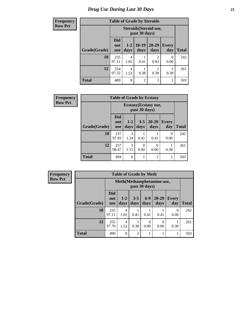| <b>Frequency</b> | <b>Table of Grade by Steroids</b> |                                 |                 |                 |                                  |                     |              |  |  |
|------------------|-----------------------------------|---------------------------------|-----------------|-----------------|----------------------------------|---------------------|--------------|--|--|
| <b>Row Pct</b>   |                                   |                                 |                 |                 |                                  |                     |              |  |  |
|                  | Grade(Grade)                      | <b>Did</b><br>not<br><b>use</b> | $1 - 2$<br>days | $10-19$<br>days | $20 - 29$<br>days                | <b>Every</b><br>day | <b>Total</b> |  |  |
|                  | 10                                | 235<br>97.11                    | 4<br>1.65       | 0.41            | $\overline{\mathcal{L}}$<br>0.83 | 0<br>0.00           | 242          |  |  |
|                  | 12                                | 254<br>97.32                    | 4<br>1.53       | 0.38            | 0.38                             | 0.38                | 261          |  |  |
|                  | <b>Total</b>                      | 489                             | 8               | $\overline{2}$  | 3                                |                     | 503          |  |  |

| <b>Frequency</b> | <b>Table of Grade by Ecstasy</b> |                                 |                                        |                 |                   |                  |              |  |  |
|------------------|----------------------------------|---------------------------------|----------------------------------------|-----------------|-------------------|------------------|--------------|--|--|
| <b>Row Pct</b>   |                                  |                                 | Ecstasy (Ecstasy use,<br>past 30 days) |                 |                   |                  |              |  |  |
|                  | Grade(Grade)                     | <b>Did</b><br>not<br><b>use</b> | $1-2$<br>days                          | $3 - 5$<br>days | $20 - 29$<br>days | Every<br>day     | <b>Total</b> |  |  |
|                  | <b>10</b>                        | 237<br>97.93                    | 3<br>1.24                              | 0.41            | 0.41              | $\Omega$<br>0.00 | 242          |  |  |
|                  | 12                               | 257<br>98.47                    | 3<br>1.15                              | 0<br>0.00       | 0<br>0.00         | 0.38             | 261          |  |  |
|                  | <b>Total</b>                     | 494                             | 6                                      | 1               |                   |                  | 503          |  |  |

| <b>Frequency</b> |
|------------------|
| <b>Row Pct</b>   |

| <b>Table of Grade by Meth</b> |                                 |                                             |                 |                 |               |                     |              |  |  |
|-------------------------------|---------------------------------|---------------------------------------------|-----------------|-----------------|---------------|---------------------|--------------|--|--|
|                               |                                 | Meth (Methamphetamine use,<br>past 30 days) |                 |                 |               |                     |              |  |  |
| Grade(Grade)                  | <b>Did</b><br>not<br><b>use</b> | $1 - 2$<br>days                             | $3 - 5$<br>days | $6 - 9$<br>days | 20-29<br>days | <b>Every</b><br>day | <b>Total</b> |  |  |
| 10                            | 235<br>97.11                    | 4<br>1.65                                   | 0.41            | 0.41            | 0.41          | 0<br>0.00           | 242          |  |  |
| 12                            | 255<br>97.70                    | 4<br>1.53                                   | 0.38            | 0<br>0.00       | 0<br>0.00     | 0.38                | 261          |  |  |
| <b>Total</b>                  | 490                             | 8                                           | $\overline{2}$  |                 |               |                     | 503          |  |  |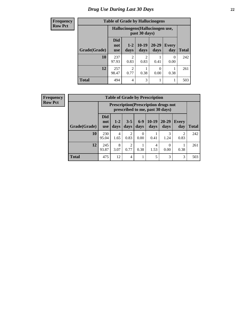# *Drug Use During Last 30 Days* **22**

| <b>Frequency</b> | <b>Table of Grade by Hallucinogens</b> |                                  |                 |                       |                   |                     |              |
|------------------|----------------------------------------|----------------------------------|-----------------|-----------------------|-------------------|---------------------|--------------|
| <b>Row Pct</b>   |                                        | Hallucinogens (Hallucinogen use, |                 |                       |                   |                     |              |
|                  | Grade(Grade)                           | <b>Did</b><br>not<br><b>use</b>  | $1 - 2$<br>days | $10-19$<br>days       | $20 - 29$<br>days | <b>Every</b><br>day | <b>Total</b> |
|                  | 10                                     | 237<br>97.93                     | っ<br>0.83       | $\mathcal{D}$<br>0.83 | 0.41              | 0<br>0.00           | 242          |
|                  | 12                                     | 257<br>98.47                     | ↑<br>0.77       | 0.38                  | 0<br>0.00         | 0.38                | 261          |
|                  | <b>Total</b>                           | 494                              | $\overline{4}$  | 3                     | 1                 |                     | 503          |

| <b>Frequency</b> |
|------------------|
| <b>Row Pct</b>   |

| <b>Table of Grade by Prescription</b> |                                 |                                                                                |                        |               |                 |                   |                        |       |  |
|---------------------------------------|---------------------------------|--------------------------------------------------------------------------------|------------------------|---------------|-----------------|-------------------|------------------------|-------|--|
|                                       |                                 | <b>Prescription</b> (Prescription drugs not<br>prescribed to me, past 30 days) |                        |               |                 |                   |                        |       |  |
| Grade(Grade)                          | <b>Did</b><br>not<br><b>use</b> | $1 - 2$<br>days                                                                | $3 - 5$<br>days        | $6-9$<br>days | $10-19$<br>days | $20 - 29$<br>days | Every<br>day           | Total |  |
| 10                                    | 230<br>95.04                    | 4<br>1.65                                                                      | 2<br>0.83              | 0<br>0.00     | 0.41            | 3<br>1.24         | $\overline{2}$<br>0.83 | 242   |  |
| 12                                    | 245<br>93.87                    | 8<br>3.07                                                                      | $\mathfrak{D}$<br>0.77 | 0.38          | 4<br>1.53       | $\Omega$<br>0.00  | 0.38                   | 261   |  |
| <b>Total</b>                          | 475                             | 12                                                                             | 4                      |               | 5               | 3                 | 3                      | 503   |  |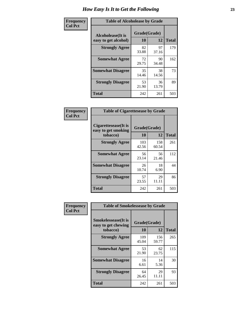| Frequency      | <b>Table of Alcoholease by Grade</b>              |                    |              |     |  |  |  |  |
|----------------|---------------------------------------------------|--------------------|--------------|-----|--|--|--|--|
| <b>Col Pct</b> | <b>Alcoholease</b> (It is<br>easy to get alcohol) | Grade(Grade)<br>10 | <b>Total</b> |     |  |  |  |  |
|                | <b>Strongly Agree</b>                             | 82<br>33.88        | 97<br>37.16  | 179 |  |  |  |  |
|                | <b>Somewhat Agree</b>                             | 72<br>29.75        | 90<br>34.48  | 162 |  |  |  |  |
|                | <b>Somewhat Disagree</b>                          | 35<br>14.46        | 38<br>14.56  | 73  |  |  |  |  |
|                | <b>Strongly Disagree</b>                          | 53<br>21.90        | 36<br>13.79  | 89  |  |  |  |  |
|                | <b>Total</b>                                      | 242                | 261          | 503 |  |  |  |  |

| Frequency      | <b>Table of Cigarettesease by Grade</b>                  |                    |              |              |  |  |  |
|----------------|----------------------------------------------------------|--------------------|--------------|--------------|--|--|--|
| <b>Col Pct</b> | Cigarettesease (It is<br>easy to get smoking<br>tobacco) | Grade(Grade)<br>10 | 12           | <b>Total</b> |  |  |  |
|                | <b>Strongly Agree</b>                                    | 103<br>42.56       | 158<br>60.54 | 261          |  |  |  |
|                | <b>Somewhat Agree</b>                                    | 56<br>23.14        | 56<br>21.46  | 112          |  |  |  |
|                | <b>Somewhat Disagree</b>                                 | 26<br>10.74        | 18<br>6.90   | 44           |  |  |  |
|                | <b>Strongly Disagree</b>                                 | 57<br>23.55        | 29<br>11.11  | 86           |  |  |  |
|                | <b>Total</b>                                             | 242                | 261          | 503          |  |  |  |

| Frequency      | <b>Table of Smokelessease by Grade</b>             |              |              |              |  |  |  |  |  |  |
|----------------|----------------------------------------------------|--------------|--------------|--------------|--|--|--|--|--|--|
| <b>Col Pct</b> | <b>Smokelessease</b> (It is<br>easy to get chewing | Grade(Grade) |              |              |  |  |  |  |  |  |
|                | tobacco)                                           | 10           | 12           | <b>Total</b> |  |  |  |  |  |  |
|                | <b>Strongly Agree</b>                              | 109<br>45.04 | 156<br>59.77 | 265          |  |  |  |  |  |  |
|                | <b>Somewhat Agree</b>                              | 53<br>21.90  | 62<br>23.75  | 115          |  |  |  |  |  |  |
|                | <b>Somewhat Disagree</b>                           | 16<br>6.61   | 14<br>5.36   | 30           |  |  |  |  |  |  |
|                | <b>Strongly Disagree</b>                           | 64<br>26.45  | 29<br>11.11  | 93           |  |  |  |  |  |  |
|                | <b>Total</b>                                       | 242          | 261          | 503          |  |  |  |  |  |  |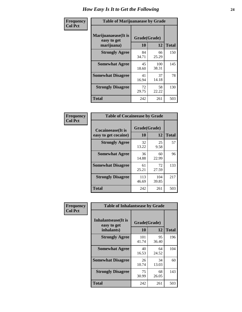| Frequency      | <b>Table of Marijuanaease by Grade</b>           |                           |              |              |  |  |  |  |  |
|----------------|--------------------------------------------------|---------------------------|--------------|--------------|--|--|--|--|--|
| <b>Col Pct</b> | Marijuanaease(It is<br>easy to get<br>marijuana) | Grade(Grade)<br><b>10</b> | 12           | <b>Total</b> |  |  |  |  |  |
|                | <b>Strongly Agree</b>                            | 84<br>34.71               | 66<br>25.29  | 150          |  |  |  |  |  |
|                | <b>Somewhat Agree</b>                            | 45<br>18.60               | 100<br>38.31 | 145          |  |  |  |  |  |
|                | <b>Somewhat Disagree</b>                         | 41<br>16.94               | 37<br>14.18  | 78           |  |  |  |  |  |
|                | <b>Strongly Disagree</b>                         | 72<br>29.75               | 58<br>22.22  | 130          |  |  |  |  |  |
|                | <b>Total</b>                                     | 242                       | 261          | 503          |  |  |  |  |  |

| <b>Table of Cocaineease by Grade</b>      |              |                    |     |  |  |  |  |  |  |  |
|-------------------------------------------|--------------|--------------------|-----|--|--|--|--|--|--|--|
| Cocaineease(It is<br>easy to get cocaine) | 10           | Grade(Grade)<br>12 |     |  |  |  |  |  |  |  |
| <b>Strongly Agree</b>                     | 32<br>13.22  | 25<br>9.58         | 57  |  |  |  |  |  |  |  |
| <b>Somewhat Agree</b>                     | 36<br>14.88  | 60<br>22.99        | 96  |  |  |  |  |  |  |  |
| <b>Somewhat Disagree</b>                  | 61<br>25.21  | 72<br>27.59        | 133 |  |  |  |  |  |  |  |
| <b>Strongly Disagree</b>                  | 113<br>46.69 | 104<br>39.85       | 217 |  |  |  |  |  |  |  |
| <b>Total</b>                              | 242          | 261                | 503 |  |  |  |  |  |  |  |

| Frequency      | <b>Table of Inhalantsease by Grade</b>           |                    |              |     |  |  |  |  |
|----------------|--------------------------------------------------|--------------------|--------------|-----|--|--|--|--|
| <b>Col Pct</b> | Inhalantsease(It is<br>easy to get<br>inhalants) | Grade(Grade)<br>10 | <b>Total</b> |     |  |  |  |  |
|                | <b>Strongly Agree</b>                            | 101<br>41.74       | 95<br>36.40  | 196 |  |  |  |  |
|                | <b>Somewhat Agree</b>                            | 40<br>16.53        | 64<br>24.52  | 104 |  |  |  |  |
|                | <b>Somewhat Disagree</b>                         | 26<br>10.74        | 34<br>13.03  | 60  |  |  |  |  |
|                | <b>Strongly Disagree</b>                         | 75<br>30.99        | 68<br>26.05  | 143 |  |  |  |  |
|                | <b>Total</b>                                     | 242                | 261          | 503 |  |  |  |  |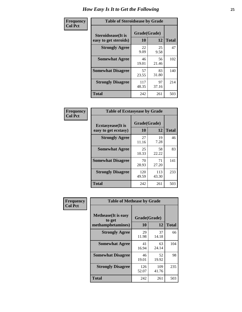| Frequency      | <b>Table of Steroidsease by Grade</b>       |                    |             |              |  |  |  |  |  |
|----------------|---------------------------------------------|--------------------|-------------|--------------|--|--|--|--|--|
| <b>Col Pct</b> | Steroidsease(It is<br>easy to get steroids) | Grade(Grade)<br>10 | 12          | <b>Total</b> |  |  |  |  |  |
|                | <b>Strongly Agree</b>                       | 22<br>9.09         | 25<br>9.58  | 47           |  |  |  |  |  |
|                | <b>Somewhat Agree</b>                       | 46<br>19.01        | 56<br>21.46 | 102          |  |  |  |  |  |
|                | <b>Somewhat Disagree</b>                    | 57<br>23.55        | 83<br>31.80 | 140          |  |  |  |  |  |
|                | <b>Strongly Disagree</b>                    | 117<br>48.35       | 97<br>37.16 | 214          |  |  |  |  |  |
|                | <b>Total</b>                                | 242                | 261         | 503          |  |  |  |  |  |

| Frequency      | <b>Table of Ecstasyease by Grade</b>              |                    |              |              |  |  |  |  |  |  |
|----------------|---------------------------------------------------|--------------------|--------------|--------------|--|--|--|--|--|--|
| <b>Col Pct</b> | <b>Ecstasyease</b> (It is<br>easy to get ecstasy) | Grade(Grade)<br>10 | 12           | <b>Total</b> |  |  |  |  |  |  |
|                | <b>Strongly Agree</b>                             | 27<br>11.16        | 19<br>7.28   | 46           |  |  |  |  |  |  |
|                | <b>Somewhat Agree</b>                             | 25<br>10.33        | 58<br>22.22  | 83           |  |  |  |  |  |  |
|                | <b>Somewhat Disagree</b>                          | 70<br>28.93        | 71<br>27.20  | 141          |  |  |  |  |  |  |
|                | <b>Strongly Disagree</b>                          | 120<br>49.59       | 113<br>43.30 | 233          |  |  |  |  |  |  |
|                | <b>Total</b>                                      | 242                | 261          | 503          |  |  |  |  |  |  |

| Frequency      | <b>Table of Methease by Grade</b>                          |                    |              |              |  |  |  |  |  |
|----------------|------------------------------------------------------------|--------------------|--------------|--------------|--|--|--|--|--|
| <b>Col Pct</b> | <b>Methease</b> (It is easy<br>to get<br>methamphetamines) | Grade(Grade)<br>10 | 12           | <b>Total</b> |  |  |  |  |  |
|                | <b>Strongly Agree</b>                                      | 29<br>11.98        | 37<br>14.18  | 66           |  |  |  |  |  |
|                | <b>Somewhat Agree</b>                                      | 41<br>16.94        | 63<br>24.14  | 104          |  |  |  |  |  |
|                | <b>Somewhat Disagree</b>                                   | 46<br>19.01        | 52<br>19.92  | 98           |  |  |  |  |  |
|                | <b>Strongly Disagree</b>                                   | 126<br>52.07       | 109<br>41.76 | 235          |  |  |  |  |  |
|                | <b>Total</b>                                               | 242                | 261          | 503          |  |  |  |  |  |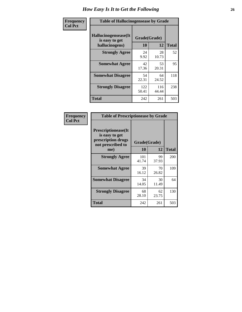| <b>Frequency</b> | <b>Table of Hallucinogensease by Grade</b>               |                    |              |              |  |  |  |  |  |
|------------------|----------------------------------------------------------|--------------------|--------------|--------------|--|--|--|--|--|
| <b>Col Pct</b>   | Hallucinogensease(It<br>is easy to get<br>hallucinogens) | Grade(Grade)<br>10 | 12           | <b>Total</b> |  |  |  |  |  |
|                  | <b>Strongly Agree</b>                                    | 24<br>9.92         | 28<br>10.73  | 52           |  |  |  |  |  |
|                  | <b>Somewhat Agree</b>                                    | 42<br>17.36        | 53<br>20.31  | 95           |  |  |  |  |  |
|                  | <b>Somewhat Disagree</b>                                 | 54<br>22.31        | 64<br>24.52  | 118          |  |  |  |  |  |
|                  | <b>Strongly Disagree</b>                                 | 122<br>50.41       | 116<br>44.44 | 238          |  |  |  |  |  |
|                  | <b>Total</b>                                             | 242                | 261          | 503          |  |  |  |  |  |

| Frequency<br>Col Pct |
|----------------------|
|                      |

| <b>Table of Prescriptionease by Grade</b>                                                |              |              |              |  |  |  |  |  |  |  |
|------------------------------------------------------------------------------------------|--------------|--------------|--------------|--|--|--|--|--|--|--|
| <b>Prescriptionease</b> (It<br>is easy to get<br>prescription drugs<br>not prescribed to |              | Grade(Grade) |              |  |  |  |  |  |  |  |
| me)                                                                                      | 10           | 12           | <b>Total</b> |  |  |  |  |  |  |  |
| <b>Strongly Agree</b>                                                                    | 101<br>41.74 | 99<br>37.93  | 200          |  |  |  |  |  |  |  |
| <b>Somewhat Agree</b>                                                                    | 39<br>16.12  | 70<br>26.82  | 109          |  |  |  |  |  |  |  |
| <b>Somewhat Disagree</b>                                                                 | 34<br>14.05  | 30<br>11.49  | 64           |  |  |  |  |  |  |  |
| <b>Strongly Disagree</b>                                                                 | 68<br>28.10  | 62<br>23.75  | 130          |  |  |  |  |  |  |  |
| Total                                                                                    | 242          | 261          | 503          |  |  |  |  |  |  |  |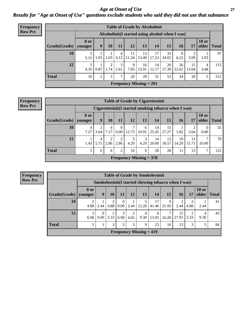*Age at Onset of Use* **27** *Results for "Age at Onset of Use" questions exclude students who said they did not use that substance*

| Frequency      |              | <b>Table of Grade by Alcoholinit</b> |                                                  |                  |               |             |                           |             |             |             |             |                       |              |
|----------------|--------------|--------------------------------------|--------------------------------------------------|------------------|---------------|-------------|---------------------------|-------------|-------------|-------------|-------------|-----------------------|--------------|
| <b>Row Pct</b> |              |                                      | Alcoholinit (I started using alcohol when I was) |                  |               |             |                           |             |             |             |             |                       |              |
|                | Grade(Grade) | <b>8 or</b><br>younger               | 9                                                | <b>10</b>        | 11            | 12          | 13                        | 14          | 15          | <b>16</b>   | 17          | <b>18 or</b><br>older | <b>Total</b> |
|                | 10           | 5.15                                 | 1.03                                             | 1.03             | 4<br>4.12     | 11<br>11.34 | 13<br>13.40               | 17<br>17.53 | 33<br>34.02 | 8<br>8.25   | 3<br>3.09   | 1.03                  | 97           |
|                | 12           | 5.<br>4.35                           | 0.87                                             | $\gamma$<br>1.74 | 3<br>2.61     | 9<br>7.83   | 16<br>13.91               | 14<br>12.17 | 20<br>17.39 | 26<br>22.61 | 15<br>13.04 | 4<br>3.48             | 115          |
|                | <b>Total</b> | 10                                   | 2                                                | 3                | $\mathcal{L}$ | 20          | 29                        | 31          | 53          | 34          | 18          | 5                     | 212          |
|                |              |                                      |                                                  |                  |               |             | Frequency Missing $= 291$ |             |             |             |             |                       |              |

#### **Frequency Row Pct**

| <b>Table of Grade by Cigarettesinit</b> |                 |                                                      |           |                  |                           |            |             |             |             |             |                       |              |
|-----------------------------------------|-----------------|------------------------------------------------------|-----------|------------------|---------------------------|------------|-------------|-------------|-------------|-------------|-----------------------|--------------|
|                                         |                 | Cigarettesinit(I started smoking tobacco when I was) |           |                  |                           |            |             |             |             |             |                       |              |
| Grade(Grade)                            | 8 or<br>younger | 9                                                    | 10        | 11               | 12                        | 13         | 14          | 15          | 16          | 17          | <b>18 or</b><br>older | <b>Total</b> |
| 10                                      | 4<br>7.27       | 3.64                                                 | 4<br>7.27 | $\theta$<br>0.00 | 7<br>12.73                | 6<br>10.91 | 14<br>25.45 | 15<br>27.27 | 1.82        | ി<br>3.64   | $\Omega$<br>0.00      | 55           |
| 12                                      | 1.43            | 4<br>5.71                                            | 2<br>2.86 | 2<br>2.86        | 3<br>4.29                 | 3<br>4.29  | 14<br>20.00 | 13<br>18.57 | 10<br>14.29 | 11<br>15.71 | 7<br>10.00            | 70           |
| <b>Total</b>                            |                 | 6                                                    | 6         | 2                | 10                        | 9          | 28          | 28          | 11          | 13          | 7                     | 125          |
|                                         |                 |                                                      |           |                  | Frequency Missing $=$ 378 |            |             |             |             |             |                       |              |

|                           | <b>Table of Grade by Smokelessinit</b>                                                                               |                                                     |           |                        |           |            |             |            |             |           |           |    |
|---------------------------|----------------------------------------------------------------------------------------------------------------------|-----------------------------------------------------|-----------|------------------------|-----------|------------|-------------|------------|-------------|-----------|-----------|----|
|                           |                                                                                                                      | Smokelessinit(I started chewing tobacco when I was) |           |                        |           |            |             |            |             |           |           |    |
| Grade(Grade)              | <b>18 or</b><br>8 or<br>15<br>older<br>12<br>13<br>14<br>9<br>10<br>11<br><b>16</b><br>17<br><b>Total</b><br>vounger |                                                     |           |                        |           |            |             |            |             |           |           |    |
| 10                        | 4.88                                                                                                                 | 2.44                                                | 2<br>4.88 | $\overline{0}$<br>0.00 | 2.44      | 5<br>12.20 | 17<br>41.46 | 9<br>21.95 | 2.44        | 2<br>4.88 | 2.44      | 41 |
| 12                        | 3<br>6.98                                                                                                            | $\theta$<br>0.00                                    | 2.33      | 3<br>6.98              | 2<br>4.65 | 4<br>9.30  | 6<br>13.95  | 16.28      | 12<br>27.91 | 2.33      | 4<br>9.30 | 43 |
| <b>Total</b>              | 5                                                                                                                    |                                                     | 3         | 3                      | 3         | 9          | 23          | 16         | 13          | 3         | 5         | 84 |
| Frequency Missing $= 419$ |                                                                                                                      |                                                     |           |                        |           |            |             |            |             |           |           |    |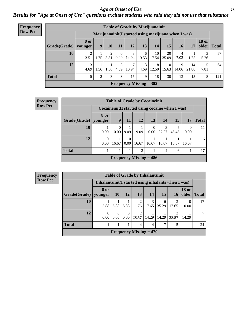#### *Age at Onset of Use* **28**

*Results for "Age at Onset of Use" questions exclude students who said they did not use that substance*

| <b>Frequency</b> | <b>Table of Grade by Marijuanainit</b> |                        |      |      |                      |            |                           |                                                     |             |            |             |                       |              |
|------------------|----------------------------------------|------------------------|------|------|----------------------|------------|---------------------------|-----------------------------------------------------|-------------|------------|-------------|-----------------------|--------------|
| <b>Row Pct</b>   |                                        |                        |      |      |                      |            |                           | Marijuanainit(I started using marijuana when I was) |             |            |             |                       |              |
|                  | Grade(Grade)                           | <b>8 or</b><br>younger | 9    | 10   | 11                   | 12         | 13                        | 14                                                  | 15          | 16         | 17          | <b>18 or</b><br>older | <b>Total</b> |
|                  | 10                                     | $\overline{2}$<br>3.51 | 1.75 | 3.51 | $\Omega$<br>$0.00\,$ | 8<br>14.04 | 6<br>10.53                | 10<br>17.54                                         | 20<br>35.09 | 4<br>7.02  | 1.75        | 5.26                  | 57           |
|                  | 12                                     | 3<br>4.69              | 1.56 | 1.56 | 3<br>4.69            | 10.94      | 3<br>4.69                 | 8<br>12.50                                          | 10<br>15.63 | 9<br>14.06 | 14<br>21.88 | 7.81                  | 64           |
|                  | <b>Total</b>                           | 5                      | 2    | 3    | 3                    | 15         | 9                         | 18                                                  | 30          | 13         | 15          | 8                     | 121          |
|                  |                                        |                        |      |      |                      |            | Frequency Missing $= 382$ |                                                     |             |            |             |                       |              |

| Frequency      |              |                  |                  |                  |                | <b>Table of Grade by Cocaineinit</b> |                        |                                                 |       |              |
|----------------|--------------|------------------|------------------|------------------|----------------|--------------------------------------|------------------------|-------------------------------------------------|-------|--------------|
| <b>Row Pct</b> |              |                  |                  |                  |                |                                      |                        | Cocaineinit(I started using cocaine when I was) |       |              |
|                | Grade(Grade) | 8 or<br>younger  | 9                | 11               | 12             | 13                                   | 14                     | 15                                              | 17    | <b>Total</b> |
|                | 10           | 9.09             | $\theta$<br>0.00 | 9.09             | 9.09           | 0.00                                 | $\mathcal{E}$<br>27.27 | 45.45                                           | 0.00  | 11           |
|                | 12           | $\Omega$<br>0.00 | 16.67            | $\Omega$<br>0.00 | 16.67          | 16.67                                | 16.67                  | 16.67                                           | 16.67 | 6            |
|                | <b>Total</b> |                  |                  |                  | $\mathfrak{D}$ |                                      | 4                      | 6                                               |       | 17           |
|                |              |                  |                  |                  |                | Frequency Missing $= 486$            |                        |                                                 |       |              |

| <b>Frequency</b><br><b>Row Pct</b> |  |
|------------------------------------|--|
|                                    |  |
|                                    |  |

| <b>Table of Grade by Inhalantsinit</b> |                  |                                                                                  |           |                         |            |               |       |           |    |  |  |  |
|----------------------------------------|------------------|----------------------------------------------------------------------------------|-----------|-------------------------|------------|---------------|-------|-----------|----|--|--|--|
|                                        |                  | Inhalantsinit(I started using inhalants when I was)                              |           |                         |            |               |       |           |    |  |  |  |
| Grade(Grade)                           | 8 or<br>younger  | <b>18 or</b><br>older<br><b>10</b><br>12<br>13<br>15<br>14<br><b>Total</b><br>16 |           |                         |            |               |       |           |    |  |  |  |
| 10                                     | 5.88             | 5.88                                                                             | 5.88      | 2<br>11.76              | 3<br>17.65 | 6<br>35.29    | 17.65 | 0<br>0.00 | 17 |  |  |  |
| 12                                     | $\theta$<br>0.00 | 0.00                                                                             | 0<br>0.00 | $\overline{2}$<br>28.57 | 14.29      | 14.29         | 28.57 | 14.29     | 7  |  |  |  |
| <b>Total</b>                           |                  |                                                                                  |           | 4                       | 4          | $\mathcal{I}$ | 5     |           | 24 |  |  |  |
| Frequency Missing $=$ 479              |                  |                                                                                  |           |                         |            |               |       |           |    |  |  |  |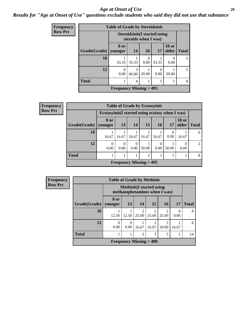#### *Age at Onset of Use* **29**

### *Results for "Age at Onset of Use" questions exclude students who said they did not use that substance*

| Frequency      |              | <b>Table of Grade by Steroidsinit</b> |                        |                                                             |           |                       |               |
|----------------|--------------|---------------------------------------|------------------------|-------------------------------------------------------------|-----------|-----------------------|---------------|
| <b>Row Pct</b> |              |                                       |                        | <b>Steroidsinit(I started using</b><br>steroids when I was) |           |                       |               |
|                | Grade(Grade) | 8 or<br>younger                       | <b>14</b>              | 16                                                          | 17        | <b>18 or</b><br>older | <b>Total</b>  |
|                | 10           | 33.33                                 | 33.33                  | 0<br>0.00                                                   | 33.33     | 0<br>0.00             | $\mathcal{R}$ |
|                | 12           | $\Omega$<br>0.00                      | $\mathcal{R}$<br>60.00 | 20.00                                                       | ∩<br>0.00 | 20.00                 | 5             |
|                | <b>Total</b> |                                       | 4                      |                                                             |           |                       | 8             |
|                |              | Frequency Missing $= 495$             |                        |                                                             |           |                       |               |

| Frequency      |                           |                                                  | <b>Table of Grade by Ecstasyinit</b> |                  |                 |                  |       |                       |                |  |
|----------------|---------------------------|--------------------------------------------------|--------------------------------------|------------------|-----------------|------------------|-------|-----------------------|----------------|--|
| <b>Row Pct</b> |                           | Ecstasyinit (I started using ecstasy when I was) |                                      |                  |                 |                  |       |                       |                |  |
|                | Grade(Grade)   younger    | 8 or                                             | 13                                   | 14               | 15 <sup>1</sup> | 16               | 17    | <b>18 or</b><br>older | <b>Total</b>   |  |
|                | 10                        | 16.67                                            | 16.67                                | 16.67            | 16.67           | 16.67            | 0.00  | 16.67                 | 6              |  |
|                | 12                        | $\Omega$<br>0.00                                 | $\Omega$<br>0.00                     | $\Omega$<br>0.00 | 50.00           | $\Omega$<br>0.00 | 50.00 | 0.00                  | $\mathfrak{D}$ |  |
|                | <b>Total</b>              |                                                  |                                      |                  | 2               |                  |       |                       | 8              |  |
|                | Frequency Missing $= 495$ |                                                  |                                      |                  |                 |                  |       |                       |                |  |

| Frequency      |              | <b>Table of Grade by Methinit</b> |                                                                  |                         |                           |                         |           |              |  |  |  |  |
|----------------|--------------|-----------------------------------|------------------------------------------------------------------|-------------------------|---------------------------|-------------------------|-----------|--------------|--|--|--|--|
| <b>Row Pct</b> |              |                                   | <b>Methinit</b> (I started using<br>methamphetamines when I was) |                         |                           |                         |           |              |  |  |  |  |
|                | Grade(Grade) | 8 or<br>vounger                   | 13                                                               | 14                      | 15                        | <b>16</b>               | <b>17</b> | <b>Total</b> |  |  |  |  |
|                | 10           | 12.50                             | 12.50                                                            | $\mathfrak{D}$<br>25.00 | 2<br>25.00                | $\overline{2}$<br>25.00 | 0<br>0.00 | 8            |  |  |  |  |
|                | 12           | 0.00                              | 0<br>0.00                                                        | 16.67                   | 16.67                     | 3<br>50.00              | 16.67     | 6            |  |  |  |  |
|                | <b>Total</b> |                                   |                                                                  | 3                       | 3                         | 5                       |           | 14           |  |  |  |  |
|                |              |                                   |                                                                  |                         | Frequency Missing $=$ 489 |                         |           |              |  |  |  |  |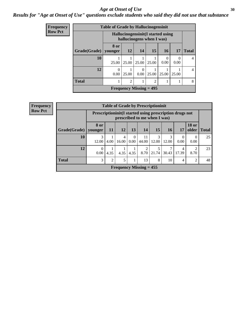#### Age at Onset of Use **30**

### *Results for "Age at Onset of Use" questions exclude students who said they did not use that substance*

| <b>Frequency</b> |                                | <b>Table of Grade by Hallucinogensinit</b> |                                                                 |                  |                |                  |                  |                |  |  |  |  |
|------------------|--------------------------------|--------------------------------------------|-----------------------------------------------------------------|------------------|----------------|------------------|------------------|----------------|--|--|--|--|
| <b>Row Pct</b>   |                                |                                            | Hallucinogensinit (I started using<br>hallucinogens when I was) |                  |                |                  |                  |                |  |  |  |  |
|                  | Grade(Grade)                   | 8 or<br>younger                            | <b>12</b>                                                       | 14               | 15             | 16               | 17               | <b>Total</b>   |  |  |  |  |
|                  | 10                             | 25.00 l                                    | 25.00                                                           | 25.00            | 25.00          | $\Omega$<br>0.00 | $\theta$<br>0.00 | 4              |  |  |  |  |
|                  | 12                             | $\theta$<br>0.00                           | 25.00                                                           | $\theta$<br>0.00 | 25.00          | 25.00            | 25.00            | $\overline{4}$ |  |  |  |  |
|                  | <b>Total</b>                   |                                            | $\overline{2}$                                                  |                  | $\overline{2}$ |                  |                  | 8              |  |  |  |  |
|                  | <b>Frequency Missing = 495</b> |                                            |                                                                 |                  |                |                  |                  |                |  |  |  |  |

| <b>Frequency</b> |              |                                                            |           |                         |                  | <b>Table of Grade by Prescriptioninit</b> |            |            |                  |                        |              |
|------------------|--------------|------------------------------------------------------------|-----------|-------------------------|------------------|-------------------------------------------|------------|------------|------------------|------------------------|--------------|
| <b>Row Pct</b>   |              | Prescription in it (I started using prescription drugs not |           |                         |                  | prescribed to me when I was)              |            |            |                  |                        |              |
|                  | Grade(Grade) | <b>8 or</b><br>younger                                     | <b>11</b> | 12                      | 13               | 14                                        | <b>15</b>  | <b>16</b>  | 17               | <b>18 or</b><br>older  | <b>Total</b> |
|                  | 10           | 3<br>12.00                                                 | 4.00      | $\overline{4}$<br>16.00 | $\theta$<br>0.00 | 11<br>44.00                               | 3<br>12.00 | 3<br>12.00 | $\Omega$<br>0.00 | $\Omega$<br>0.00       | 25           |
|                  | 12           | 0.00                                                       | 4.35      | 4.35                    | 4.35             | 8.70                                      | 21.74      | 30.43      | 4<br>17.39       | $\overline{c}$<br>8.70 | 23           |
|                  | <b>Total</b> | 3                                                          | 2         | 5                       |                  | 13                                        | 8          | 10         | 4                | 2                      | 48           |
|                  |              |                                                            |           |                         |                  | Frequency Missing $= 455$                 |            |            |                  |                        |              |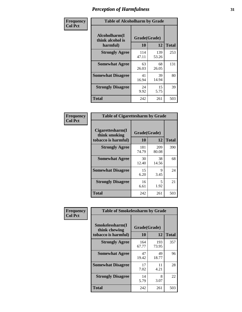| Frequency      | <b>Table of Alcoholharm by Grade</b>          |                    |              |              |
|----------------|-----------------------------------------------|--------------------|--------------|--------------|
| <b>Col Pct</b> | Alcoholharm(I<br>think alcohol is<br>harmful) | Grade(Grade)<br>10 | 12           | <b>Total</b> |
|                | <b>Strongly Agree</b>                         | 114<br>47.11       | 139<br>53.26 | 253          |
|                | <b>Somewhat Agree</b>                         | 63<br>26.03        | 68<br>26.05  | 131          |
|                | <b>Somewhat Disagree</b>                      | 41<br>16.94        | 39<br>14.94  | 80           |
|                | <b>Strongly Disagree</b>                      | 24<br>9.92         | 15<br>5.75   | 39           |
|                | <b>Total</b>                                  | 242                | 261          | 503          |

| <b>Table of Cigarettesharm by Grade</b>                  |                    |              |              |  |  |  |  |  |  |
|----------------------------------------------------------|--------------------|--------------|--------------|--|--|--|--|--|--|
| Cigarettesharm(I<br>think smoking<br>tobacco is harmful) | Grade(Grade)<br>10 | 12           | <b>Total</b> |  |  |  |  |  |  |
| <b>Strongly Agree</b>                                    | 181<br>74.79       | 209<br>80.08 | 390          |  |  |  |  |  |  |
| <b>Somewhat Agree</b>                                    | 30<br>12.40        | 38<br>14.56  | 68           |  |  |  |  |  |  |
| <b>Somewhat Disagree</b>                                 | 15<br>6.20         | 9<br>3.45    | 24           |  |  |  |  |  |  |
| <b>Strongly Disagree</b>                                 | 16<br>6.61         | 5<br>1.92    | 21           |  |  |  |  |  |  |
| <b>Total</b>                                             | 242                | 261          | 503          |  |  |  |  |  |  |

| Frequency      | <b>Table of Smokelessharm by Grade</b>                  |                    |              |              |
|----------------|---------------------------------------------------------|--------------------|--------------|--------------|
| <b>Col Pct</b> | Smokelessharm(I<br>think chewing<br>tobacco is harmful) | Grade(Grade)<br>10 | 12           | <b>Total</b> |
|                | <b>Strongly Agree</b>                                   | 164<br>67.77       | 193<br>73.95 | 357          |
|                | <b>Somewhat Agree</b>                                   | 47<br>19.42        | 49<br>18.77  | 96           |
|                | <b>Somewhat Disagree</b>                                | 17<br>7.02         | 11<br>4.21   | 28           |
|                | <b>Strongly Disagree</b>                                | 14<br>5.79         | 8<br>3.07    | 22           |
|                | <b>Total</b>                                            | 242                | 261          | 503          |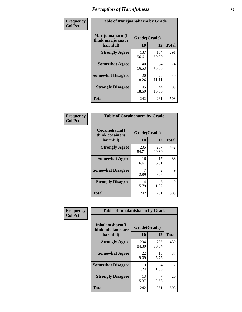| Frequency      | <b>Table of Marijuanaharm by Grade</b>            |                    |              |              |
|----------------|---------------------------------------------------|--------------------|--------------|--------------|
| <b>Col Pct</b> | Marijuanaharm(I<br>think marijuana is<br>harmful) | Grade(Grade)<br>10 | 12           | <b>Total</b> |
|                | <b>Strongly Agree</b>                             | 137<br>56.61       | 154<br>59.00 | 291          |
|                | <b>Somewhat Agree</b>                             | 40<br>16.53        | 34<br>13.03  | 74           |
|                | <b>Somewhat Disagree</b>                          | 20<br>8.26         | 29<br>11.11  | 49           |
|                | <b>Strongly Disagree</b>                          | 45<br>18.60        | 44<br>16.86  | 89           |
|                | <b>Total</b>                                      | 242                | 261          | 503          |

| <b>Table of Cocaineharm by Grade</b>          |                    |                        |              |  |  |
|-----------------------------------------------|--------------------|------------------------|--------------|--|--|
| Cocaineharm(I<br>think cocaine is<br>harmful) | Grade(Grade)<br>10 | 12                     | <b>Total</b> |  |  |
| <b>Strongly Agree</b>                         | 205<br>84.71       | 237<br>90.80           | 442          |  |  |
| <b>Somewhat Agree</b>                         | 16<br>6.61         | 17<br>6.51             | 33           |  |  |
| <b>Somewhat Disagree</b>                      | 7<br>2.89          | $\mathfrak{D}$<br>0.77 | 9            |  |  |
| <b>Strongly Disagree</b>                      | 14<br>5.79         | 5<br>1.92              | 19           |  |  |
| <b>Total</b>                                  | 242                | 261                    | 503          |  |  |

| Frequency      | <b>Table of Inhalantsharm by Grade</b>              |                    |              |                |  |
|----------------|-----------------------------------------------------|--------------------|--------------|----------------|--|
| <b>Col Pct</b> | Inhalantsharm(I)<br>think inhalants are<br>harmful) | Grade(Grade)<br>10 | 12           | <b>Total</b>   |  |
|                | <b>Strongly Agree</b>                               | 204<br>84.30       | 235<br>90.04 | 439            |  |
|                | <b>Somewhat Agree</b>                               | 22<br>9.09         | 15<br>5.75   | 37             |  |
|                | <b>Somewhat Disagree</b>                            | 3<br>1.24          | 4<br>1.53    | $\overline{7}$ |  |
|                | <b>Strongly Disagree</b>                            | 13<br>5.37         | 2.68         | 20             |  |
|                | <b>Total</b>                                        | 242                | 261          | 503            |  |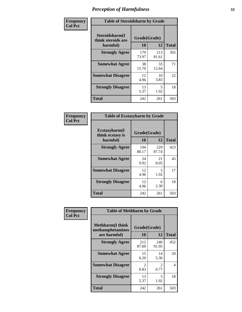| Frequency      | <b>Table of Steroidsharm by Grade</b>            |                    |              |              |
|----------------|--------------------------------------------------|--------------------|--------------|--------------|
| <b>Col Pct</b> | Steroidsharm(I<br>think steroids are<br>harmful) | Grade(Grade)<br>10 | 12           | <b>Total</b> |
|                | <b>Strongly Agree</b>                            | 179<br>73.97       | 213<br>81.61 | 392          |
|                | <b>Somewhat Agree</b>                            | 38<br>15.70        | 33<br>12.64  | 71           |
|                | <b>Somewhat Disagree</b>                         | 12<br>4.96         | 10<br>3.83   | 22           |
|                | <b>Strongly Disagree</b>                         | 13<br>5.37         | 5<br>1.92    | 18           |
|                | <b>Total</b>                                     | 242                | 261          | 503          |

| <b>Table of Ecstasyharm by Grade</b>          |                          |              |     |  |  |  |
|-----------------------------------------------|--------------------------|--------------|-----|--|--|--|
| Ecstasyharm(I<br>think ecstasy is<br>harmful) | Grade(Grade)<br>10<br>12 |              |     |  |  |  |
| <b>Strongly Agree</b>                         | 194<br>80.17             | 229<br>87.74 | 423 |  |  |  |
| <b>Somewhat Agree</b>                         | 24<br>9.92               | 21<br>8.05   | 45  |  |  |  |
| <b>Somewhat Disagree</b>                      | 12<br>4.96               | 5<br>1.92    | 17  |  |  |  |
| <b>Strongly Disagree</b>                      | 12<br>4.96               | 6<br>2.30    | 18  |  |  |  |
| <b>Total</b>                                  | 242                      | 261          | 503 |  |  |  |

| Frequency      | <b>Table of Methharm by Grade</b>                            |                        |                                     |              |  |
|----------------|--------------------------------------------------------------|------------------------|-------------------------------------|--------------|--|
| <b>Col Pct</b> | <b>Methharm</b> (I think<br>methamphetamines<br>are harmful) | Grade(Grade)<br>10     | 12                                  | <b>Total</b> |  |
|                | <b>Strongly Agree</b>                                        | 212<br>87.60           | 240<br>91.95                        | 452          |  |
|                | <b>Somewhat Agree</b>                                        | 15<br>6.20             | 14<br>5.36                          | 29           |  |
|                | <b>Somewhat Disagree</b>                                     | $\mathfrak{D}$<br>0.83 | $\mathcal{D}_{\mathcal{L}}$<br>0.77 | 4            |  |
|                | <b>Strongly Disagree</b>                                     | 13<br>5.37             | 5<br>1.92                           | 18           |  |
|                | <b>Total</b>                                                 | 242                    | 261                                 | 503          |  |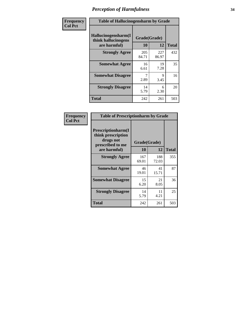| Frequency | <b>Table of Hallucinogensharm by Grade</b>                 |                    |              |              |
|-----------|------------------------------------------------------------|--------------------|--------------|--------------|
| Col Pct   | Hallucinogensharm(I<br>think hallucinogens<br>are harmful) | Grade(Grade)<br>10 | 12           | <b>Total</b> |
|           | <b>Strongly Agree</b>                                      | 205<br>84.71       | 227<br>86.97 | 432          |
|           | <b>Somewhat Agree</b>                                      | 16<br>6.61         | 19<br>7.28   | 35           |
|           | <b>Somewhat Disagree</b>                                   | 2.89               | 9<br>3.45    | 16           |
|           | <b>Strongly Disagree</b>                                   | 14<br>5.79         | 6<br>2.30    | 20           |
|           | <b>Total</b>                                               | 242                | 261          | 503          |

| <b>Table of Prescriptionharm by Grade</b>                                         |              |              |              |  |
|-----------------------------------------------------------------------------------|--------------|--------------|--------------|--|
| <b>Prescriptionharm</b> (I<br>think prescription<br>drugs not<br>prescribed to me | Grade(Grade) |              |              |  |
| are harmful)                                                                      | 10           | 12           | <b>Total</b> |  |
| <b>Strongly Agree</b>                                                             | 167<br>69.01 | 188<br>72.03 | 355          |  |
| <b>Somewhat Agree</b>                                                             | 46<br>19.01  | 41<br>15.71  | 87           |  |
| <b>Somewhat Disagree</b>                                                          | 15<br>6.20   | 21<br>8.05   | 36           |  |
| <b>Strongly Disagree</b>                                                          | 14<br>5.79   | 11<br>4.21   | 25           |  |
| <b>Total</b>                                                                      | 242          | 261          | 503          |  |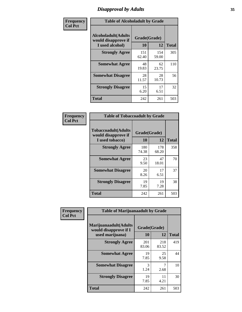# *Disapproval by Adults* **35**

| Frequency      | <b>Table of Alcoholadult by Grade</b>                                 |                    |              |              |
|----------------|-----------------------------------------------------------------------|--------------------|--------------|--------------|
| <b>Col Pct</b> | <b>Alcoholadult</b> (Adults<br>would disapprove if<br>I used alcohol) | Grade(Grade)<br>10 | 12           | <b>Total</b> |
|                | <b>Strongly Agree</b>                                                 | 151<br>62.40       | 154<br>59.00 | 305          |
|                | <b>Somewhat Agree</b>                                                 | 48<br>19.83        | 62<br>23.75  | 110          |
|                | <b>Somewhat Disagree</b>                                              | 28<br>11.57        | 28<br>10.73  | 56           |
|                | <b>Strongly Disagree</b>                                              | 15<br>6.20         | 17<br>6.51   | 32           |
|                | <b>Total</b>                                                          | 242                | 261          | 503          |

| <b>Table of Tobaccoadult by Grade</b>                                 |                    |              |              |  |  |
|-----------------------------------------------------------------------|--------------------|--------------|--------------|--|--|
| <b>Tobaccoadult</b> (Adults<br>would disapprove if<br>I used tobacco) | Grade(Grade)<br>10 | 12           | <b>Total</b> |  |  |
| <b>Strongly Agree</b>                                                 | 180<br>74.38       | 178<br>68.20 | 358          |  |  |
| <b>Somewhat Agree</b>                                                 | 23<br>9.50         | 47<br>18.01  | 70           |  |  |
| <b>Somewhat Disagree</b>                                              | 20<br>8.26         | 17<br>6.51   | 37           |  |  |
| <b>Strongly Disagree</b>                                              | 19<br>7.85         | 19<br>7.28   | 38           |  |  |
| Total                                                                 | 242                | 261          | 503          |  |  |

| Frequency<br><b>Col Pct</b> | <b>Table of Marijuanaadult by Grade</b>                           |                    |              |              |
|-----------------------------|-------------------------------------------------------------------|--------------------|--------------|--------------|
|                             | Marijuanaadult(Adults<br>would disapprove if I<br>used marijuana) | Grade(Grade)<br>10 | 12           | <b>Total</b> |
|                             | <b>Strongly Agree</b>                                             | 201<br>83.06       | 218<br>83.52 | 419          |
|                             | <b>Somewhat Agree</b>                                             | 19<br>7.85         | 25<br>9.58   | 44           |
|                             | <b>Somewhat Disagree</b>                                          | 3<br>1.24          | 7<br>2.68    | 10           |
|                             | <b>Strongly Disagree</b>                                          | 19<br>7.85         | 11<br>4.21   | 30           |
|                             | <b>Total</b>                                                      | 242                | 261          | 503          |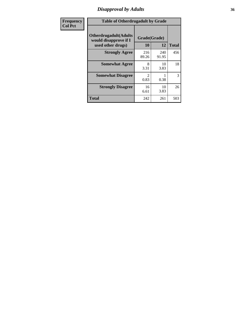# *Disapproval by Adults* **36**

| Frequency      | <b>Table of Otherdrugadult by Grade</b>                                     |                                     |              |              |
|----------------|-----------------------------------------------------------------------------|-------------------------------------|--------------|--------------|
| <b>Col Pct</b> | <b>Otherdrugadult</b> (Adults<br>would disapprove if I<br>used other drugs) | Grade(Grade)<br>10                  | 12           | <b>Total</b> |
|                | <b>Strongly Agree</b>                                                       | 216<br>89.26                        | 240<br>91.95 | 456          |
|                | <b>Somewhat Agree</b>                                                       | 8<br>3.31                           | 10<br>3.83   | 18           |
|                | <b>Somewhat Disagree</b>                                                    | $\mathcal{D}_{\mathcal{L}}$<br>0.83 | 0.38         | 3            |
|                | <b>Strongly Disagree</b>                                                    | 16<br>6.61                          | 10<br>3.83   | 26           |
|                | <b>Total</b>                                                                | 242                                 | 261          | 503          |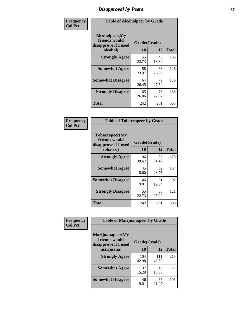## *Disapproval by Peers* **37**

| Frequency      | <b>Table of Alcoholpeer by Grade</b>                    |              |             |              |
|----------------|---------------------------------------------------------|--------------|-------------|--------------|
| <b>Col Pct</b> | Alcoholpeer(My<br>friends would<br>disapprove if I used | Grade(Grade) |             |              |
|                | alcohol)                                                | 10           | 12          | <b>Total</b> |
|                | <b>Strongly Agree</b>                                   | 55<br>22.73  | 48<br>18.39 | 103          |
|                | <b>Somewhat Agree</b>                                   | 58<br>23.97  | 68<br>26.05 | 126          |
|                | <b>Somewhat Disagree</b>                                | 64<br>26.45  | 72<br>27.59 | 136          |
|                | <b>Strongly Disagree</b>                                | 65<br>26.86  | 73<br>27.97 | 138          |
|                | Total                                                   | 242          | 261         | 503          |

| Frequency      | <b>Table of Tobaccopeer by Grade</b>                                |                    |             |              |
|----------------|---------------------------------------------------------------------|--------------------|-------------|--------------|
| <b>Col Pct</b> | Tobaccopeer(My<br>friends would<br>disapprove if I used<br>tobacco) | Grade(Grade)<br>10 | 12          | <b>Total</b> |
|                | <b>Strongly Agree</b>                                               | 96<br>39.67        | 82<br>31.42 | 178          |
|                | <b>Somewhat Agree</b>                                               | 45<br>18.60        | 62<br>23.75 | 107          |
|                | <b>Somewhat Disagree</b>                                            | 46<br>19.01        | 51<br>19.54 | 97           |
|                | <b>Strongly Disagree</b>                                            | 55<br>22.73        | 66<br>25.29 | 121          |
|                | <b>Total</b>                                                        | 242                | 261         | 503          |

| Frequency      | <b>Table of Marijuanapeer by Grade</b>                    |              |              |              |
|----------------|-----------------------------------------------------------|--------------|--------------|--------------|
| <b>Col Pct</b> | Marijuanapeer(My<br>friends would<br>disapprove if I used | Grade(Grade) |              |              |
|                | marijuana)                                                | <b>10</b>    | 12           | <b>Total</b> |
|                | <b>Strongly Agree</b>                                     | 104<br>42.98 | 111<br>42.53 | 215          |
|                | <b>Somewhat Agree</b>                                     | 37<br>15.29  | 40<br>15.33  | 77           |
|                | <b>Somewhat Disagree</b>                                  | 46<br>19.01  | 55<br>21.07  | 101          |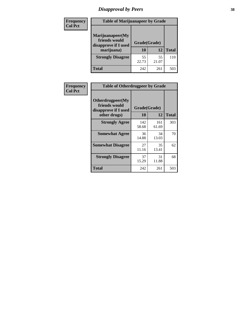# *Disapproval by Peers* **38**

| Frequency<br><b>Col Pct</b> | <b>Table of Marijuanapeer by Grade</b>                                  |                    |             |              |
|-----------------------------|-------------------------------------------------------------------------|--------------------|-------------|--------------|
|                             | Marijuanapeer(My<br>friends would<br>disapprove if I used<br>marijuana) | Grade(Grade)<br>10 | 12          | <b>Total</b> |
|                             | <b>Strongly Disagree</b>                                                | 55<br>22.73        | 55<br>21.07 | 110          |
|                             | Total                                                                   | 242                | 261         | 503          |

| Frequency      | <b>Table of Otherdrugpeer by Grade</b>                                    |                           |              |              |
|----------------|---------------------------------------------------------------------------|---------------------------|--------------|--------------|
| <b>Col Pct</b> | Otherdrugpeer(My<br>friends would<br>disapprove if I used<br>other drugs) | Grade(Grade)<br><b>10</b> | 12           | <b>Total</b> |
|                | <b>Strongly Agree</b>                                                     | 142<br>58.68              | 161<br>61.69 | 303          |
|                | <b>Somewhat Agree</b>                                                     | 36<br>14.88               | 34<br>13.03  | 70           |
|                | <b>Somewhat Disagree</b>                                                  | 27<br>11.16               | 35<br>13.41  | 62           |
|                | <b>Strongly Disagree</b>                                                  | 37<br>15.29               | 31<br>11.88  | 68           |
|                | Total                                                                     | 242                       | 261          | 503          |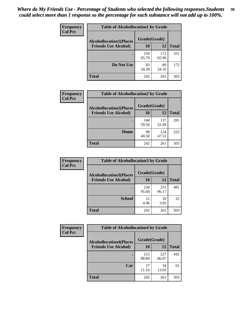| Frequency      | <b>Table of Alcohollocation1 by Grade</b> |              |              |              |
|----------------|-------------------------------------------|--------------|--------------|--------------|
| <b>Col Pct</b> | <b>Alcohollocation1(Places</b>            | Grade(Grade) |              |              |
|                | <b>Friends Use Alcohol)</b>               | 10           | 12           | <b>Total</b> |
|                |                                           | 159<br>65.70 | 172<br>65.90 | 331          |
|                | Do Not Use                                | 83<br>34.30  | 89<br>34.10  | 172          |
|                | <b>Total</b>                              | 242          | 261          | 503          |

| Frequency      | <b>Table of Alcohollocation2 by Grade</b>                     |                    |              |              |
|----------------|---------------------------------------------------------------|--------------------|--------------|--------------|
| <b>Col Pct</b> | <b>Alcohollocation2(Places</b><br><b>Friends Use Alcohol)</b> | Grade(Grade)<br>10 | 12           | <b>Total</b> |
|                |                                                               | 144<br>59.50       | 137<br>52.49 | 281          |
|                | Home                                                          | 98<br>40.50        | 124<br>47.51 | 222          |
|                | Total                                                         | 242                | 261          | 503          |

| Frequency<br><b>Col Pct</b> | <b>Table of Alcohollocation 3 by Grade</b>                    |                    |              |              |  |
|-----------------------------|---------------------------------------------------------------|--------------------|--------------|--------------|--|
|                             | <b>Alcohollocation3(Places</b><br><b>Friends Use Alcohol)</b> | Grade(Grade)<br>10 | 12           | <b>Total</b> |  |
|                             |                                                               | 230<br>95.04       | 251<br>96.17 | 481          |  |
|                             | <b>School</b>                                                 | 12<br>4.96         | 10<br>3.83   | 22           |  |
|                             | <b>Total</b>                                                  | 242                | 261          | 503          |  |

| <b>Frequency</b> | <b>Table of Alcohollocation4 by Grade</b> |              |              |              |
|------------------|-------------------------------------------|--------------|--------------|--------------|
| <b>Col Pct</b>   | <b>Alcohollocation4(Places</b>            | Grade(Grade) |              |              |
|                  | <b>Friends Use Alcohol)</b>               | 10           | 12           | <b>Total</b> |
|                  |                                           | 215<br>88.84 | 227<br>86.97 | 442          |
|                  | Car                                       | 27<br>11.16  | 34<br>13.03  | 61           |
|                  | <b>Total</b>                              | 242          | 261          | 503          |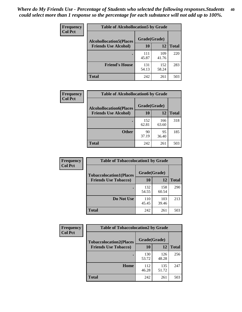| Frequency<br><b>Col Pct</b> | <b>Table of Alcohollocation5 by Grade</b> |              |              |              |  |
|-----------------------------|-------------------------------------------|--------------|--------------|--------------|--|
|                             | <b>Alcohollocation5(Places</b>            |              |              |              |  |
|                             | <b>Friends Use Alcohol)</b>               | 10           | 12           | <b>Total</b> |  |
|                             |                                           | 111<br>45.87 | 109<br>41.76 | 220          |  |
|                             | <b>Friend's House</b>                     | 131<br>54.13 | 152<br>58.24 | 283          |  |
|                             | <b>Total</b>                              | 242          | 261          | 503          |  |

| <b>Frequency</b> | <b>Table of Alcohollocation6 by Grade</b> |              |              |              |
|------------------|-------------------------------------------|--------------|--------------|--------------|
| <b>Col Pct</b>   | <b>Alcohollocation6(Places</b>            | Grade(Grade) |              |              |
|                  | <b>Friends Use Alcohol)</b>               | 10           | 12           | <b>Total</b> |
|                  |                                           | 152<br>62.81 | 166<br>63.60 | 318          |
|                  | <b>Other</b>                              | 90<br>37.19  | 95<br>36.40  | 185          |
|                  | <b>Total</b>                              | 242          | 261          | 503          |

| Frequency      | <b>Table of Tobaccolocation1 by Grade</b> |              |              |              |
|----------------|-------------------------------------------|--------------|--------------|--------------|
| <b>Col Pct</b> | <b>Tobaccolocation1(Places</b>            | Grade(Grade) |              |              |
|                | <b>Friends Use Tobacco)</b>               | 10           | <b>12</b>    | <b>Total</b> |
|                |                                           | 132<br>54.55 | 158<br>60.54 | 290          |
|                | Do Not Use                                | 110<br>45.45 | 103<br>39.46 | 213          |
|                | <b>Total</b>                              | 242          | 261          | 503          |

| <b>Frequency</b> | <b>Table of Tobaccolocation2 by Grade</b> |              |              |              |  |
|------------------|-------------------------------------------|--------------|--------------|--------------|--|
| <b>Col Pct</b>   | <b>Tobaccolocation2(Places</b>            | Grade(Grade) |              |              |  |
|                  | <b>Friends Use Tobacco)</b>               | 10           | 12           | <b>Total</b> |  |
|                  |                                           | 130<br>53.72 | 126<br>48.28 | 256          |  |
|                  | Home                                      | 112<br>46.28 | 135<br>51.72 | 247          |  |
|                  | <b>Total</b>                              | 242          | 261          | 503          |  |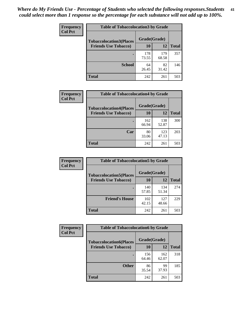| Frequency      | <b>Table of Tobaccolocation 3 by Grade</b> |              |              |              |
|----------------|--------------------------------------------|--------------|--------------|--------------|
| <b>Col Pct</b> | <b>Tobaccolocation3(Places</b>             | Grade(Grade) |              |              |
|                | <b>Friends Use Tobacco)</b>                | 10           | 12           | <b>Total</b> |
|                |                                            | 178<br>73.55 | 179<br>68.58 | 357          |
|                | <b>School</b>                              | 64<br>26.45  | 82<br>31.42  | 146          |
|                | <b>Total</b>                               | 242          | 261          | 503          |

| Frequency      | <b>Table of Tobaccolocation4 by Grade</b> |              |              |              |
|----------------|-------------------------------------------|--------------|--------------|--------------|
| <b>Col Pct</b> | <b>Tobaccolocation4(Places</b>            | Grade(Grade) |              |              |
|                | <b>Friends Use Tobacco)</b>               | 10           | 12           | <b>Total</b> |
|                |                                           | 162<br>66.94 | 138<br>52.87 | 300          |
|                | Car                                       | 80<br>33.06  | 123<br>47.13 | 203          |
|                | <b>Total</b>                              | 242          | 261          | 503          |

| Frequency<br><b>Col Pct</b> | <b>Table of Tobaccolocation5 by Grade</b>                     |                    |              |              |
|-----------------------------|---------------------------------------------------------------|--------------------|--------------|--------------|
|                             | <b>Tobaccolocation5(Places</b><br><b>Friends Use Tobacco)</b> | Grade(Grade)<br>10 | <b>12</b>    | <b>Total</b> |
|                             |                                                               |                    |              |              |
|                             |                                                               | 140<br>57.85       | 134<br>51.34 | 274          |
|                             | <b>Friend's House</b>                                         | 102<br>42.15       | 127<br>48.66 | 229          |
|                             | <b>Total</b>                                                  | 242                | 261          | 503          |

 $\overline{\phantom{a}}$ 

| Frequency      | <b>Table of Tobaccolocation6 by Grade</b> |              |              |              |
|----------------|-------------------------------------------|--------------|--------------|--------------|
| <b>Col Pct</b> | <b>Tobaccolocation6(Places</b>            | Grade(Grade) |              |              |
|                | <b>Friends Use Tobacco)</b>               | 10           | 12           | <b>Total</b> |
|                |                                           | 156<br>64.46 | 162<br>62.07 | 318          |
|                | <b>Other</b>                              | 86<br>35.54  | 99<br>37.93  | 185          |
|                | <b>Total</b>                              | 242          | 261          | 503          |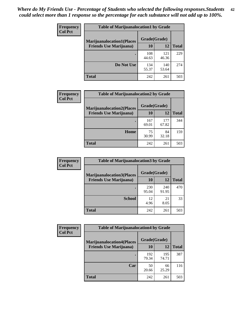| <b>Frequency</b> | <b>Table of Marijuanalocation1 by Grade</b> |              |              |              |
|------------------|---------------------------------------------|--------------|--------------|--------------|
| <b>Col Pct</b>   | <b>Marijuanalocation1(Places</b>            | Grade(Grade) |              |              |
|                  | <b>Friends Use Marijuana</b> )              | 10           | 12           | <b>Total</b> |
|                  |                                             | 108<br>44.63 | 121<br>46.36 | 229          |
|                  | Do Not Use                                  | 134<br>55.37 | 140<br>53.64 | 274          |
|                  | <b>Total</b>                                | 242          | 261          | 503          |

| <b>Frequency</b> | <b>Table of Marijuanalocation2 by Grade</b>                        |                    |              |              |
|------------------|--------------------------------------------------------------------|--------------------|--------------|--------------|
| <b>Col Pct</b>   | <b>Marijuanalocation2(Places</b><br><b>Friends Use Marijuana</b> ) | Grade(Grade)<br>10 | 12           | <b>Total</b> |
|                  |                                                                    | 167<br>69.01       | 177<br>67.82 | 344          |
|                  | Home                                                               | 75<br>30.99        | 84<br>32.18  | 159          |
|                  | <b>Total</b>                                                       | 242                | 261          | 503          |

| Frequency<br><b>Col Pct</b> | <b>Table of Marijuanalocation3 by Grade</b> |              |            |       |
|-----------------------------|---------------------------------------------|--------------|------------|-------|
|                             | <b>Marijuanalocation3</b> (Places           | Grade(Grade) |            |       |
|                             | <b>Friends Use Marijuana</b> )              | 10           | 12         | Total |
|                             |                                             | 230          | 240        | 470   |
|                             |                                             | 95.04        | 91.95      |       |
|                             | <b>School</b>                               | 12<br>4.96   | 21<br>8.05 | 33    |
|                             |                                             |              |            |       |
|                             | <b>Total</b>                                | 242          | 261        | 503   |

| <b>Frequency</b> | <b>Table of Marijuanalocation4 by Grade</b> |              |              |              |  |
|------------------|---------------------------------------------|--------------|--------------|--------------|--|
| <b>Col Pct</b>   | <b>Marijuanalocation4(Places</b>            | Grade(Grade) |              |              |  |
|                  | <b>Friends Use Marijuana</b> )              | <b>10</b>    | 12           | <b>Total</b> |  |
|                  |                                             | 192<br>79.34 | 195<br>74.71 | 387          |  |
|                  | Car                                         | 50<br>20.66  | 66<br>25.29  | 116          |  |
|                  | <b>Total</b>                                | 242          | 261          | 503          |  |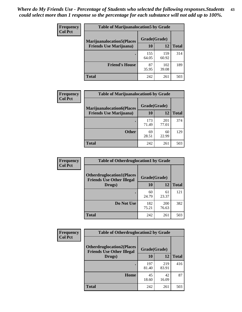| <b>Frequency</b> | <b>Table of Marijuanalocation5 by Grade</b> |              |              |              |
|------------------|---------------------------------------------|--------------|--------------|--------------|
| <b>Col Pct</b>   | <b>Marijuanalocation5</b> (Places           | Grade(Grade) |              |              |
|                  | <b>Friends Use Marijuana</b> )              | 10           | 12           | <b>Total</b> |
|                  |                                             | 155<br>64.05 | 159<br>60.92 | 314          |
|                  | <b>Friend's House</b>                       | 87<br>35.95  | 102<br>39.08 | 189          |
|                  | <b>Total</b>                                | 242          | 261          | 503          |

| <b>Frequency</b> | <b>Table of Marijuanalocation6 by Grade</b>                        |                    |              |              |
|------------------|--------------------------------------------------------------------|--------------------|--------------|--------------|
| <b>Col Pct</b>   | <b>Marijuanalocation6(Places</b><br><b>Friends Use Marijuana</b> ) | Grade(Grade)<br>10 | 12           | <b>Total</b> |
|                  |                                                                    | 173<br>71.49       | 201<br>77.01 | 374          |
|                  | <b>Other</b>                                                       | 69<br>28.51        | 60<br>22.99  | 129          |
|                  | <b>Total</b>                                                       | 242                | 261          | 503          |

| <b>Frequency</b> | <b>Table of Otherdruglocation1 by Grade</b>                          |              |              |              |
|------------------|----------------------------------------------------------------------|--------------|--------------|--------------|
| <b>Col Pct</b>   | <b>Otherdruglocation1(Places</b><br><b>Friends Use Other Illegal</b> | Grade(Grade) |              |              |
|                  | Drugs)                                                               | 10           | 12           | <b>Total</b> |
|                  |                                                                      | 60<br>24.79  | 61<br>23.37  | 121          |
|                  | Do Not Use                                                           | 182<br>75.21 | 200<br>76.63 | 382          |
|                  | <b>Total</b>                                                         | 242          | 261          | 503          |

| <b>Frequency</b> | <b>Table of Otherdruglocation2 by Grade</b>                           |              |              |              |
|------------------|-----------------------------------------------------------------------|--------------|--------------|--------------|
| <b>Col Pct</b>   | <b>Otherdruglocation2(Places)</b><br><b>Friends Use Other Illegal</b> |              | Grade(Grade) |              |
|                  | Drugs)                                                                | 10           | 12           | <b>Total</b> |
|                  |                                                                       | 197<br>81.40 | 219<br>83.91 | 416          |
|                  | <b>Home</b>                                                           | 45<br>18.60  | 42<br>16.09  | 87           |
|                  | <b>Total</b>                                                          | 242          | 261          | 503          |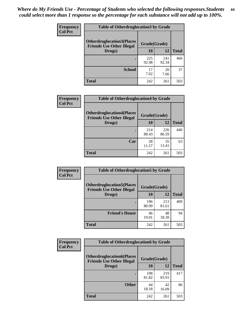| <b>Frequency</b> | <b>Table of Otherdruglocation 3 by Grade</b>                         |              |              |              |
|------------------|----------------------------------------------------------------------|--------------|--------------|--------------|
| <b>Col Pct</b>   | <b>Otherdruglocation3(Places</b><br><b>Friends Use Other Illegal</b> | Grade(Grade) |              |              |
|                  | Drugs)                                                               | 10           | 12           | <b>Total</b> |
|                  |                                                                      | 225<br>92.98 | 241<br>92.34 | 466          |
|                  | <b>School</b>                                                        | 17<br>7.02   | 20<br>7.66   | 37           |
|                  | <b>Total</b>                                                         | 242          | 261          | 503          |

| <b>Frequency</b> | <b>Table of Otherdruglocation4 by Grade</b>                          |              |              |              |
|------------------|----------------------------------------------------------------------|--------------|--------------|--------------|
| <b>Col Pct</b>   | <b>Otherdruglocation4(Places</b><br><b>Friends Use Other Illegal</b> | Grade(Grade) |              |              |
|                  | Drugs)                                                               | 10           | 12           | <b>Total</b> |
|                  |                                                                      | 214<br>88.43 | 226<br>86.59 | 440          |
|                  | Car                                                                  | 28<br>11.57  | 35<br>13.41  | 63           |
|                  | <b>Total</b>                                                         | 242          | 261          | 503          |

| <b>Frequency</b> | <b>Table of Otherdruglocation5 by Grade</b>                          |              |              |              |
|------------------|----------------------------------------------------------------------|--------------|--------------|--------------|
| <b>Col Pct</b>   | <b>Otherdruglocation5(Places</b><br><b>Friends Use Other Illegal</b> | Grade(Grade) |              |              |
|                  | Drugs)                                                               | 10           | 12           | <b>Total</b> |
|                  |                                                                      | 196<br>80.99 | 213<br>81.61 | 409          |
|                  | <b>Friend's House</b>                                                | 46<br>19.01  | 48<br>18.39  | 94           |
|                  | Total                                                                | 242          | 261          | 503          |

| <b>Frequency</b> | <b>Table of Otherdruglocation6 by Grade</b>                          |              |              |              |
|------------------|----------------------------------------------------------------------|--------------|--------------|--------------|
| <b>Col Pct</b>   | <b>Otherdruglocation6(Places</b><br><b>Friends Use Other Illegal</b> | Grade(Grade) |              |              |
|                  | Drugs)                                                               | 10           | 12           | <b>Total</b> |
|                  |                                                                      | 198<br>81.82 | 219<br>83.91 | 417          |
|                  | <b>Other</b>                                                         | 44<br>18.18  | 42<br>16.09  | 86           |
|                  | <b>Total</b>                                                         | 242          | 261          | 503          |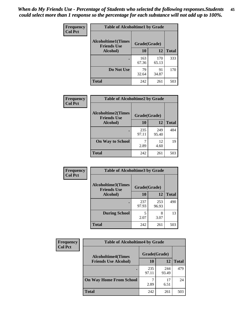| Frequency      | <b>Table of Alcoholtime1 by Grade</b>           |              |              |              |
|----------------|-------------------------------------------------|--------------|--------------|--------------|
| <b>Col Pct</b> | <b>Alcoholtime1(Times</b><br><b>Friends Use</b> | Grade(Grade) |              |              |
|                | Alcohol)                                        | 10           | 12           | <b>Total</b> |
|                |                                                 | 163<br>67.36 | 170<br>65.13 | 333          |
|                | Do Not Use                                      | 79<br>32.64  | 91<br>34.87  | 170          |
|                | <b>Total</b>                                    | 242          | 261          | 503          |

| <b>Frequency</b> | <b>Table of Alcoholtime2 by Grade</b>           |              |              |              |
|------------------|-------------------------------------------------|--------------|--------------|--------------|
| <b>Col Pct</b>   | <b>Alcoholtime2(Times</b><br><b>Friends Use</b> | Grade(Grade) |              |              |
|                  | Alcohol)                                        | 10           | 12           | <b>Total</b> |
|                  |                                                 | 235<br>97.11 | 249<br>95.40 | 484          |
|                  | <b>On Way to School</b>                         | 2.89         | 12<br>4.60   | 19           |
|                  | <b>Total</b>                                    | 242          | 261          | 503          |

| Frequency<br><b>Col Pct</b> | <b>Table of Alcoholtime3 by Grade</b>           |              |              |              |
|-----------------------------|-------------------------------------------------|--------------|--------------|--------------|
|                             | <b>Alcoholtime3(Times</b><br><b>Friends Use</b> | Grade(Grade) |              |              |
|                             | Alcohol)                                        | 10           | 12           | <b>Total</b> |
|                             |                                                 | 237<br>97.93 | 253<br>96.93 | 490          |
|                             | <b>During School</b>                            | 5<br>2.07    | 8<br>3.07    | 13           |
|                             | <b>Total</b>                                    | 242          | 261          | 503          |

| <b>Frequency</b><br><b>Col Pct</b> | <b>Table of Alcoholtime4 by Grade</b> |              |              |              |
|------------------------------------|---------------------------------------|--------------|--------------|--------------|
|                                    | <b>Alcoholtime4(Times</b>             | Grade(Grade) |              |              |
|                                    | <b>Friends Use Alcohol)</b>           | 10           | 12           | <b>Total</b> |
|                                    |                                       | 235<br>97.11 | 244<br>93.49 | 479          |
|                                    | <b>On Way Home From School</b>        | 2.89         | 17<br>6.51   | 24           |
|                                    | <b>Total</b>                          | 242          | 261          | 503          |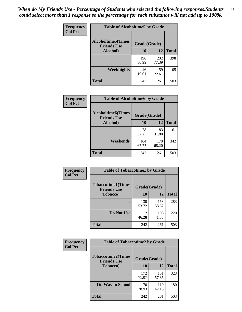*When do My Friends Use - Percentage of Students who selected the following responses.Students could select more than 1 response so the percentage for each substance will not add up to 100%.* **46**

| Frequency      | <b>Table of Alcoholtime5 by Grade</b>           |              |              |              |
|----------------|-------------------------------------------------|--------------|--------------|--------------|
| <b>Col Pct</b> | <b>Alcoholtime5(Times</b><br><b>Friends Use</b> | Grade(Grade) |              |              |
|                | Alcohol)                                        | 10           | 12           | <b>Total</b> |
|                |                                                 | 196<br>80.99 | 202<br>77.39 | 398          |
|                | Weeknights                                      | 46<br>19.01  | 59<br>22.61  | 105          |
|                | <b>Total</b>                                    | 242          | 261          | 503          |

| Frequency      | <b>Table of Alcoholtime6 by Grade</b>           |              |              |              |
|----------------|-------------------------------------------------|--------------|--------------|--------------|
| <b>Col Pct</b> | <b>Alcoholtime6(Times</b><br><b>Friends Use</b> | Grade(Grade) |              |              |
|                | Alcohol)                                        | 10           | 12           | <b>Total</b> |
|                |                                                 | 78<br>32.23  | 83<br>31.80  | 161          |
|                | Weekends                                        | 164<br>67.77 | 178<br>68.20 | 342          |
|                | <b>Total</b>                                    | 242          | 261          | 503          |

| <b>Frequency</b> | <b>Table of Tobaccotime1 by Grade</b>           |              |              |              |
|------------------|-------------------------------------------------|--------------|--------------|--------------|
| <b>Col Pct</b>   | <b>Tobaccotime1(Times</b><br><b>Friends Use</b> | Grade(Grade) |              |              |
|                  | <b>Tobacco</b> )                                | 10           | 12           | <b>Total</b> |
|                  |                                                 | 130<br>53.72 | 153<br>58.62 | 283          |
|                  | Do Not Use                                      | 112<br>46.28 | 108<br>41.38 | 220          |
|                  | <b>Total</b>                                    | 242          | 261          | 503          |

| <b>Frequency</b> | <b>Table of Tobaccotime2 by Grade</b>                           |              |              |              |
|------------------|-----------------------------------------------------------------|--------------|--------------|--------------|
| <b>Col Pct</b>   | <b>Tobaccotime2(Times</b><br>Grade(Grade)<br><b>Friends Use</b> |              |              |              |
|                  | <b>Tobacco</b> )                                                | 10           | 12           | <b>Total</b> |
|                  |                                                                 | 172<br>71.07 | 151<br>57.85 | 323          |
|                  | <b>On Way to School</b>                                         | 70<br>28.93  | 110<br>42.15 | 180          |
|                  | <b>Total</b>                                                    | 242          | 261          | 503          |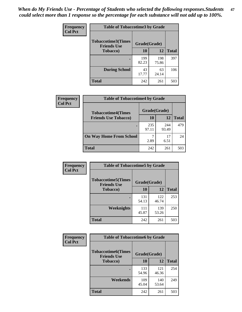*When do My Friends Use - Percentage of Students who selected the following responses.Students could select more than 1 response so the percentage for each substance will not add up to 100%.* **47**

| <b>Frequency</b> | <b>Table of Tobaccotime3 by Grade</b>           |              |              |              |  |
|------------------|-------------------------------------------------|--------------|--------------|--------------|--|
| <b>Col Pct</b>   | <b>Tobaccotime3(Times</b><br><b>Friends Use</b> | Grade(Grade) |              |              |  |
|                  | <b>Tobacco</b> )                                | 10           | 12           | <b>Total</b> |  |
|                  |                                                 | 199<br>82.23 | 198<br>75.86 | 397          |  |
|                  | <b>During School</b>                            | 43<br>17.77  | 63<br>24.14  | 106          |  |
|                  | <b>Total</b>                                    | 242          | 261          | 503          |  |

| <b>Frequency</b><br><b>Col Pct</b> | <b>Table of Tobaccotime4 by Grade</b> |              |              |              |  |
|------------------------------------|---------------------------------------|--------------|--------------|--------------|--|
|                                    | <b>Tobaccotime4(Times</b>             | Grade(Grade) |              |              |  |
|                                    | <b>Friends Use Tobacco)</b>           | 10           | 12           | <b>Total</b> |  |
|                                    |                                       | 235<br>97.11 | 244<br>93.49 | 479          |  |
|                                    | <b>On Way Home From School</b>        | 2.89         | 17<br>6.51   | 24           |  |
|                                    | <b>Total</b>                          | 242          | 261          | 503          |  |

| Frequency      | <b>Table of Tobaccotime5 by Grade</b>            |              |              |              |
|----------------|--------------------------------------------------|--------------|--------------|--------------|
| <b>Col Pct</b> | <b>Tobaccotime5</b> (Times<br><b>Friends Use</b> | Grade(Grade) |              |              |
|                | <b>Tobacco</b> )                                 | 10           | 12           | <b>Total</b> |
|                |                                                  | 131<br>54.13 | 122<br>46.74 | 253          |
|                | Weeknights                                       | 111<br>45.87 | 139<br>53.26 | 250          |
|                | <b>Total</b>                                     | 242          | 261          | 503          |

| Frequency      | <b>Table of Tobaccotime6 by Grade</b>           |              |              |              |
|----------------|-------------------------------------------------|--------------|--------------|--------------|
| <b>Col Pct</b> | <b>Tobaccotime6(Times</b><br><b>Friends Use</b> | Grade(Grade) |              |              |
|                | <b>Tobacco</b> )                                | 10           | 12           | <b>Total</b> |
|                |                                                 | 133<br>54.96 | 121<br>46.36 | 254          |
|                | Weekends                                        | 109<br>45.04 | 140<br>53.64 | 249          |
|                | Total                                           | 242          | 261          | 503          |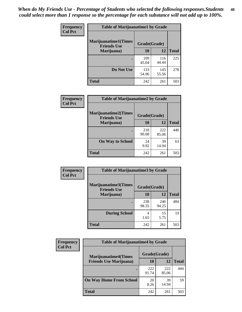| Frequency      | <b>Table of Marijuanatime1 by Grade</b>           |              |              |              |
|----------------|---------------------------------------------------|--------------|--------------|--------------|
| <b>Col Pct</b> | <b>Marijuanatime1(Times</b><br><b>Friends Use</b> | Grade(Grade) |              |              |
|                | Marijuana)                                        | 10           | 12           | <b>Total</b> |
|                |                                                   | 109<br>45.04 | 116<br>44.44 | 225          |
|                | Do Not Use                                        | 133<br>54.96 | 145<br>55.56 | 278          |
|                | <b>Total</b>                                      | 242          | 261          | 503          |

| Frequency      | <b>Table of Marijuanatime2 by Grade</b>           |              |              |              |
|----------------|---------------------------------------------------|--------------|--------------|--------------|
| <b>Col Pct</b> | <b>Marijuanatime2(Times</b><br><b>Friends Use</b> | Grade(Grade) |              |              |
|                | Marijuana)                                        | 10           | 12           | <b>Total</b> |
|                |                                                   | 218<br>90.08 | 222<br>85.06 | 440          |
|                | <b>On Way to School</b>                           | 24<br>9.92   | 39<br>14.94  | 63           |
|                | <b>Total</b>                                      | 242          | 261          | 503          |

| Frequency<br><b>Col Pct</b> | <b>Table of Marijuanatime3 by Grade</b>    |              |              |              |  |
|-----------------------------|--------------------------------------------|--------------|--------------|--------------|--|
|                             | Marijuanatime3(Times<br><b>Friends Use</b> | Grade(Grade) |              |              |  |
|                             | Marijuana)                                 | 10           | 12           | <b>Total</b> |  |
|                             |                                            | 238<br>98.35 | 246<br>94.25 | 484          |  |
|                             | <b>During School</b>                       | 4<br>1.65    | 15<br>5.75   | 19           |  |
|                             | <b>Total</b>                               | 242          | 261          | 503          |  |

| <b>Frequency</b> | <b>Table of Marijuanatime4 by Grade</b> |              |              |              |
|------------------|-----------------------------------------|--------------|--------------|--------------|
| <b>Col Pct</b>   | <b>Marijuanatime4(Times</b>             | Grade(Grade) |              |              |
|                  | <b>Friends Use Marijuana</b> )          | 10           | 12           | <b>Total</b> |
|                  |                                         | 222<br>91.74 | 222<br>85.06 | 444          |
|                  | <b>On Way Home From School</b>          | 20<br>8.26   | 39<br>14.94  | 59           |
|                  | <b>Total</b>                            | 242          | 261          | 503          |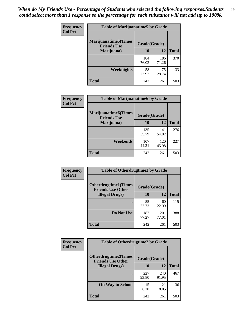| Frequency      | <b>Table of Marijuanatime5 by Grade</b>            |              |              |              |
|----------------|----------------------------------------------------|--------------|--------------|--------------|
| <b>Col Pct</b> | <b>Marijuanatime5</b> (Times<br><b>Friends Use</b> | Grade(Grade) |              |              |
|                | Marijuana)                                         | 10           | 12           | <b>Total</b> |
|                |                                                    | 184<br>76.03 | 186<br>71.26 | 370          |
|                | Weeknights                                         | 58<br>23.97  | 75<br>28.74  | 133          |
|                | <b>Total</b>                                       | 242          | 261          | 503          |

| Frequency      | <b>Table of Marijuanatime6 by Grade</b>    |              |              |              |
|----------------|--------------------------------------------|--------------|--------------|--------------|
| <b>Col Pct</b> | Marijuanatime6(Times<br><b>Friends Use</b> | Grade(Grade) |              |              |
|                | Marijuana)                                 | 10           | 12           | <b>Total</b> |
|                |                                            | 135<br>55.79 | 141<br>54.02 | 276          |
|                | Weekends                                   | 107<br>44.21 | 120<br>45.98 | 227          |
|                | <b>Total</b>                               | 242          | 261          | 503          |

| Frequency      | <b>Table of Otherdrugtime1 by Grade</b>                 |              |              |              |
|----------------|---------------------------------------------------------|--------------|--------------|--------------|
| <b>Col Pct</b> | <b>Otherdrugtime1(Times</b><br><b>Friends Use Other</b> | Grade(Grade) |              |              |
|                | <b>Illegal Drugs</b> )                                  | 10           | 12           | <b>Total</b> |
|                |                                                         | 55<br>22.73  | 60<br>22.99  | 115          |
|                | Do Not Use                                              | 187<br>77.27 | 201<br>77.01 | 388          |
|                | Total                                                   | 242          | 261          | 503          |

| Frequency      | <b>Table of Otherdrugtime2 by Grade</b>                 |              |              |              |  |  |
|----------------|---------------------------------------------------------|--------------|--------------|--------------|--|--|
| <b>Col Pct</b> | <b>Otherdrugtime2(Times</b><br><b>Friends Use Other</b> | Grade(Grade) |              |              |  |  |
|                | <b>Illegal Drugs</b> )                                  | 10           | 12           | <b>Total</b> |  |  |
|                |                                                         | 227<br>93.80 | 240<br>91.95 | 467          |  |  |
|                | <b>On Way to School</b>                                 | 15<br>6.20   | 21<br>8.05   | 36           |  |  |
|                | Total                                                   | 242          | 261          | 503          |  |  |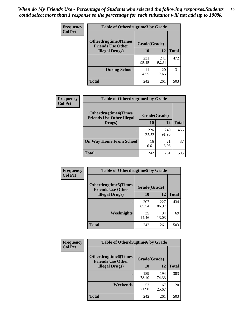| <b>Frequency</b> | <b>Table of Otherdrugtime3 by Grade</b>                                                 |              |              |              |  |  |  |
|------------------|-----------------------------------------------------------------------------------------|--------------|--------------|--------------|--|--|--|
| <b>Col Pct</b>   | <b>Otherdrugtime3(Times</b><br><b>Friends Use Other</b><br>10<br><b>Illegal Drugs</b> ) |              | Grade(Grade) |              |  |  |  |
|                  |                                                                                         |              | 12           | <b>Total</b> |  |  |  |
|                  |                                                                                         | 231<br>95.45 | 241<br>92.34 | 472          |  |  |  |
|                  | <b>During School</b>                                                                    | 11<br>4.55   | 20<br>7.66   | 31           |  |  |  |
|                  | Total                                                                                   | 242          | 261          | 503          |  |  |  |

| <b>Frequency</b> | <b>Table of Otherdrugtime4 by Grade</b>                         |              |              |              |  |  |
|------------------|-----------------------------------------------------------------|--------------|--------------|--------------|--|--|
| <b>Col Pct</b>   | <b>Otherdrugtime4(Times</b><br><b>Friends Use Other Illegal</b> | Grade(Grade) |              |              |  |  |
|                  | Drugs)                                                          | 10           | 12           | <b>Total</b> |  |  |
|                  | $\bullet$                                                       | 226<br>93.39 | 240<br>91.95 | 466          |  |  |
|                  | <b>On Way Home From School</b>                                  | 16<br>6.61   | 21<br>8.05   | 37           |  |  |
|                  | <b>Total</b>                                                    | 242          | 261          | 503          |  |  |

| <b>Frequency</b><br><b>Col Pct</b> | <b>Table of Otherdrugtime5 by Grade</b>                 |              |              |              |  |  |  |
|------------------------------------|---------------------------------------------------------|--------------|--------------|--------------|--|--|--|
|                                    | <b>Otherdrugtime5(Times</b><br><b>Friends Use Other</b> | Grade(Grade) |              |              |  |  |  |
|                                    | <b>Illegal Drugs</b> )                                  | 10           | 12           | <b>Total</b> |  |  |  |
|                                    |                                                         | 207<br>85.54 | 227<br>86.97 | 434          |  |  |  |
|                                    | Weeknights                                              | 35<br>14.46  | 34<br>13.03  | 69           |  |  |  |
|                                    | Total                                                   | 242          | 261          | 503          |  |  |  |

| Frequency      | <b>Table of Otherdrugtime6 by Grade</b>                 |              |              |              |  |  |
|----------------|---------------------------------------------------------|--------------|--------------|--------------|--|--|
| <b>Col Pct</b> | <b>Otherdrugtime6(Times</b><br><b>Friends Use Other</b> | Grade(Grade) |              |              |  |  |
|                | <b>Illegal Drugs</b> )                                  | 10           | 12           | <b>Total</b> |  |  |
|                |                                                         | 189<br>78.10 | 194<br>74.33 | 383          |  |  |
|                | Weekends                                                | 53<br>21.90  | 67<br>25.67  | 120          |  |  |
|                | Total                                                   | 242          | 261          | 503          |  |  |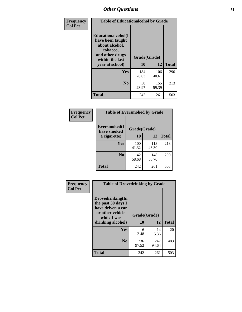| Frequency      | <b>Table of Educationalcohol by Grade</b>                                                                  |              |              |              |  |  |
|----------------|------------------------------------------------------------------------------------------------------------|--------------|--------------|--------------|--|--|
| <b>Col Pct</b> | Educationalcohol(I<br>have been taught<br>about alcohol,<br>tobacco,<br>and other drugs<br>within the last | Grade(Grade) |              |              |  |  |
|                | year at school)                                                                                            | 10           | 12           | <b>Total</b> |  |  |
|                | Yes                                                                                                        | 184<br>76.03 | 106<br>40.61 | 290          |  |  |
|                | N <sub>0</sub>                                                                                             | 58<br>23.97  | 155<br>59.39 | 213          |  |  |
|                | <b>Total</b>                                                                                               | 242          | 261          | 503          |  |  |

| Frequency      | <b>Table of Eversmoked by Grade</b> |              |              |              |  |  |  |
|----------------|-------------------------------------|--------------|--------------|--------------|--|--|--|
| <b>Col Pct</b> | Eversmoked(I)<br>have smoked        | Grade(Grade) |              |              |  |  |  |
|                | a cigarette)                        | 10           | 12           | <b>Total</b> |  |  |  |
|                | <b>Yes</b>                          | 100<br>41.32 | 113<br>43.30 | 213          |  |  |  |
|                | N <sub>0</sub>                      | 142<br>58.68 | 148<br>56.70 | 290          |  |  |  |
|                | <b>Total</b>                        | 242          | 261          | 503          |  |  |  |

| Frequency      | <b>Table of Drovedrinking by Grade</b>                                                                              |                          |              |              |  |  |
|----------------|---------------------------------------------------------------------------------------------------------------------|--------------------------|--------------|--------------|--|--|
| <b>Col Pct</b> | Drovedrinking(In<br>the past 30 days I<br>have driven a car<br>or other vehicle<br>while I was<br>drinking alcohol) | Grade(Grade)<br>12<br>10 |              | <b>Total</b> |  |  |
|                | <b>Yes</b>                                                                                                          | 6<br>2.48                | 14<br>5.36   | 20           |  |  |
|                | N <sub>0</sub>                                                                                                      | 236<br>97.52             | 247<br>94.64 | 483          |  |  |
|                | <b>Total</b>                                                                                                        | 242                      | 261          | 503          |  |  |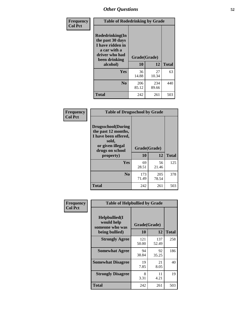| Frequency<br><b>Col Pct</b> | <b>Table of Rodedrinking by Grade</b>                                                                      |              |              |              |  |  |
|-----------------------------|------------------------------------------------------------------------------------------------------------|--------------|--------------|--------------|--|--|
|                             | Rodedrinking(In<br>the past 30 days<br>I have ridden in<br>a car with a<br>driver who had<br>been drinking | Grade(Grade) |              |              |  |  |
|                             | alcohol)                                                                                                   | 10           | 12           | <b>Total</b> |  |  |
|                             | <b>Yes</b>                                                                                                 | 36<br>14.88  | 27<br>10.34  | 63           |  |  |
|                             | N <sub>0</sub>                                                                                             | 206<br>85.12 | 234<br>89.66 | 440          |  |  |
|                             | <b>Total</b>                                                                                               | 242          | 261          | 503          |  |  |

#### **Frequency Col Pct**

| <b>Table of Drugsschool by Grade</b>                                                                                      |              |              |              |  |  |  |  |
|---------------------------------------------------------------------------------------------------------------------------|--------------|--------------|--------------|--|--|--|--|
| <b>Drugsschool</b> (During<br>the past 12 months,<br>I have been offered,<br>sold,<br>or given illegal<br>drugs on school | Grade(Grade) |              |              |  |  |  |  |
| property)                                                                                                                 | 10           | 12           | <b>Total</b> |  |  |  |  |
| <b>Yes</b>                                                                                                                | 69<br>28.51  | 56<br>21.46  | 125          |  |  |  |  |
| N <sub>0</sub>                                                                                                            | 173<br>71.49 | 205<br>78.54 | 378          |  |  |  |  |
| Total                                                                                                                     | 242          | 261          | 503          |  |  |  |  |

| Frequency      | <b>Table of Helpbullied by Grade</b>                 |              |              |              |  |  |  |  |
|----------------|------------------------------------------------------|--------------|--------------|--------------|--|--|--|--|
| <b>Col Pct</b> | $Helpb$ ullied $(I$<br>would help<br>someone who was | Grade(Grade) |              |              |  |  |  |  |
|                | being bullied)                                       | 10           | 12           | <b>Total</b> |  |  |  |  |
|                | <b>Strongly Agree</b>                                | 121<br>50.00 | 137<br>52.49 | 258          |  |  |  |  |
|                | <b>Somewhat Agree</b>                                | 94<br>38.84  | 92<br>35.25  | 186          |  |  |  |  |
|                | <b>Somewhat Disagree</b>                             | 19<br>7.85   | 21<br>8.05   | 40           |  |  |  |  |
|                | <b>Strongly Disagree</b>                             | 8<br>3.31    | 11<br>4.21   | 19           |  |  |  |  |
|                | <b>Total</b>                                         | 242          | 261          | 503          |  |  |  |  |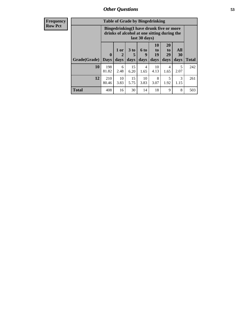| Frequency      | <b>Table of Grade by Bingedrinking</b> |                                                                                                         |                |                         |                              |                        |                               |                   |              |
|----------------|----------------------------------------|---------------------------------------------------------------------------------------------------------|----------------|-------------------------|------------------------------|------------------------|-------------------------------|-------------------|--------------|
| <b>Row Pct</b> |                                        | Bingedrinking(I have drunk five or more<br>drinks of alcohol at one sitting during the<br>last 30 days) |                |                         |                              |                        |                               |                   |              |
|                | Grade(Grade)                           | $\mathbf{0}$<br><b>Days</b>                                                                             | $1$ or<br>days | 3 <sub>to</sub><br>days | 6 <sub>to</sub><br>9<br>days | 10<br>to<br>19<br>days | <b>20</b><br>to<br>29<br>days | All<br>30<br>days | <b>Total</b> |
|                | 10                                     | 198<br>81.82                                                                                            | 6<br>2.48      | 15<br>6.20              | 4<br>1.65                    | 10<br>4.13             | 4<br>1.65                     | 5<br>2.07         | 242          |
|                | 12                                     | 210<br>80.46                                                                                            | 10<br>3.83     | 15<br>5.75              | 10<br>3.83                   | 8<br>3.07              | 5<br>1.92                     | 3<br>1.15         | 261          |
|                | <b>Total</b>                           | 408                                                                                                     | 16             | 30                      | 14                           | 18                     | 9                             | 8                 | 503          |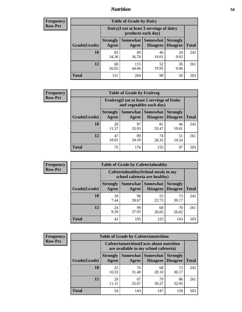## *Nutrition* **54**

| <b>Frequency</b><br>Row Pct |
|-----------------------------|
|                             |

| <b>Table of Grade by Dairy</b> |                          |                                                                                                               |             |            |     |  |  |  |
|--------------------------------|--------------------------|---------------------------------------------------------------------------------------------------------------|-------------|------------|-----|--|--|--|
|                                |                          | Dairy (I eat at least 3 servings of dairy<br>products each day)                                               |             |            |     |  |  |  |
| Grade(Grade)                   | <b>Strongly</b><br>Agree | <b>Somewhat</b><br>Somewhat<br><b>Strongly</b><br><b>Disagree</b><br><b>Disagree</b><br><b>Total</b><br>Agree |             |            |     |  |  |  |
| 10                             | 83<br>34.30              | 89<br>36.78                                                                                                   | 46<br>19.01 | 24<br>9.92 | 242 |  |  |  |
| 12                             | 68<br>26.05              | 115<br>44.06                                                                                                  | 52<br>19.92 | 26<br>9.96 | 261 |  |  |  |
| <b>Total</b>                   | 151                      | 204                                                                                                           | 98          | 50         | 503 |  |  |  |

| <b>Frequency</b> |
|------------------|
| <b>Row Pct</b>   |

| y | <b>Table of Grade by Fruitveg</b> |                          |                                                                              |             |             |     |  |  |  |
|---|-----------------------------------|--------------------------|------------------------------------------------------------------------------|-------------|-------------|-----|--|--|--|
|   |                                   |                          | Fruitveg(I eat at least 5 servings of fruits<br>and vegetables each day)     |             |             |     |  |  |  |
|   | Grade(Grade)                      | <b>Strongly</b><br>Agree | Somewhat Somewhat<br><b>Strongly</b><br><b>Disagree</b><br>Disagree<br>Agree |             |             |     |  |  |  |
|   | 10                                | 28<br>11.57              | 87<br>35.95                                                                  | 81<br>33.47 | 46<br>19.01 | 242 |  |  |  |
|   | 12                                | 47<br>18.01              | 89<br>34.10                                                                  | 74<br>28.35 | 51<br>19.54 | 261 |  |  |  |
|   | <b>Total</b>                      | 75                       | 176                                                                          | 155         | 97          | 503 |  |  |  |

| <b>Frequency</b> | <b>Table of Grade by Cafeteriahealthy</b> |                                                                       |             |                                          |                                    |              |
|------------------|-------------------------------------------|-----------------------------------------------------------------------|-------------|------------------------------------------|------------------------------------|--------------|
| <b>Row Pct</b>   |                                           | Cafeteriahealthy (School meals in my<br>school cafeteria are healthy) |             |                                          |                                    |              |
|                  | Grade(Grade)                              | <b>Strongly</b><br>Agree                                              | Agree       | Somewhat   Somewhat  <br><b>Disagree</b> | <b>Strongly</b><br><b>Disagree</b> | <b>Total</b> |
|                  | 10                                        | 18<br>7.44                                                            | 96<br>39.67 | 55<br>22.73                              | 73<br>30.17                        | 242          |
|                  | 12                                        | 24<br>9.20                                                            | 99<br>37.93 | 68<br>26.05                              | 70<br>26.82                        | 261          |
|                  | Total                                     | 42                                                                    | 195         | 123                                      | 143                                | 503          |

| <b>Frequency</b> |
|------------------|
| <b>Row Pct</b>   |

| <b>Table of Grade by Cafeterianutrition</b>                                               |                          |                          |                             |                                    |              |  |  |
|-------------------------------------------------------------------------------------------|--------------------------|--------------------------|-----------------------------|------------------------------------|--------------|--|--|
| <b>Cafeterianutrition</b> (Facts about nutrition<br>are available in my school cafeteria) |                          |                          |                             |                                    |              |  |  |
| Grade(Grade)                                                                              | <b>Strongly</b><br>Agree | <b>Somewhat</b><br>Agree | <b>Somewhat</b><br>Disagree | <b>Strongly</b><br><b>Disagree</b> | <b>Total</b> |  |  |
| 10                                                                                        | 25<br>10.33              | 76<br>31.40              | 68<br>28.10                 | 73<br>30.17                        | 242          |  |  |
| 12                                                                                        | 29<br>11.11              | 67<br>25.67              | 79<br>30.27                 | 86<br>32.95                        | 261          |  |  |
| <b>Total</b>                                                                              | 54                       | 143                      | 147                         | 159                                | 503          |  |  |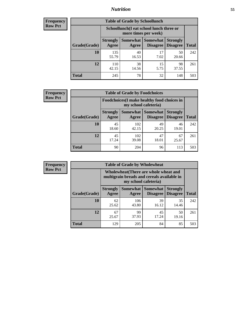## *Nutrition* **55**

| Frequency |
|-----------|
| Row Pct   |

| <b>Table of Grade by Schoollunch</b> |                          |                                                                                                        |            |             |     |  |  |  |
|--------------------------------------|--------------------------|--------------------------------------------------------------------------------------------------------|------------|-------------|-----|--|--|--|
|                                      |                          | Schoollunch(I eat school lunch three or<br>more times per week)                                        |            |             |     |  |  |  |
| Grade(Grade)                         | <b>Strongly</b><br>Agree | Somewhat<br><b>Somewhat</b><br><b>Strongly</b><br><b>Disagree</b><br>Disagree<br><b>Total</b><br>Agree |            |             |     |  |  |  |
| 10                                   | 135<br>55.79             | 40<br>16.53                                                                                            | 17<br>7.02 | 50<br>20.66 | 242 |  |  |  |
| 12                                   | 110<br>42.15             | 38<br>14.56                                                                                            | 15<br>5.75 | 98<br>37.55 | 261 |  |  |  |
| <b>Total</b>                         | 245                      | 78                                                                                                     | 32         | 148         | 503 |  |  |  |

| <b>Frequency</b> |  |
|------------------|--|
| <b>Row Pct</b>   |  |

| <b>Table of Grade by Foodchoices</b>                                |                          |                     |                                    |                                    |              |  |  |  |
|---------------------------------------------------------------------|--------------------------|---------------------|------------------------------------|------------------------------------|--------------|--|--|--|
| Foodchoices (I make healthy food choices in<br>my school cafeteria) |                          |                     |                                    |                                    |              |  |  |  |
| Grade(Grade)                                                        | <b>Strongly</b><br>Agree | Somewhat  <br>Agree | <b>Somewhat</b><br><b>Disagree</b> | <b>Strongly</b><br><b>Disagree</b> | <b>Total</b> |  |  |  |
| 10                                                                  | 45<br>18.60              | 102<br>42.15        | 49<br>20.25                        | 46<br>19.01                        | 242          |  |  |  |
| 12                                                                  | 45<br>17.24              | 102<br>39.08        | 47<br>18.01                        | 67<br>25.67                        | 261          |  |  |  |
| <b>Total</b>                                                        | 90                       | 204                 | 96                                 | 113                                | 503          |  |  |  |

| <b>Frequency</b> | <b>Table of Grade by Wholewheat</b> |                                                                                                                    |              |                                 |                                    |              |  |  |
|------------------|-------------------------------------|--------------------------------------------------------------------------------------------------------------------|--------------|---------------------------------|------------------------------------|--------------|--|--|
| <b>Row Pct</b>   |                                     | <b>Wholewheat</b> (There are whole wheat and<br>multigrain breads and cereals available in<br>my school cafeteria) |              |                                 |                                    |              |  |  |
|                  | Grade(Grade)                        | <b>Strongly</b><br>Agree                                                                                           | Agree        | Somewhat   Somewhat<br>Disagree | <b>Strongly</b><br><b>Disagree</b> | <b>Total</b> |  |  |
|                  | 10                                  | 62<br>25.62                                                                                                        | 106<br>43.80 | 39<br>16.12                     | 35<br>14.46                        | 242          |  |  |
|                  | 12                                  | 67<br>25.67                                                                                                        | 99<br>37.93  | 45<br>17.24                     | 50<br>19.16                        | 261          |  |  |
|                  | <b>Total</b>                        | 129                                                                                                                | 205          | 84                              | 85                                 | 503          |  |  |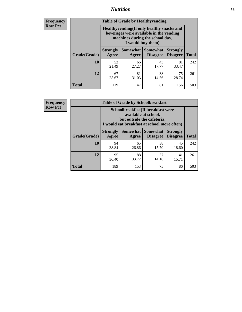## *Nutrition* **56**

**Frequency Row Pct**

| <b>Table of Grade by Healthyvending</b> |                                                                                                                                               |                          |                                    |                                    |              |  |
|-----------------------------------------|-----------------------------------------------------------------------------------------------------------------------------------------------|--------------------------|------------------------------------|------------------------------------|--------------|--|
|                                         | Healthyvending (If only healthy snacks and<br>beverages were available in the vending<br>machines during the school day,<br>I would buy them) |                          |                                    |                                    |              |  |
| Grade(Grade)                            | <b>Strongly</b><br>Agree                                                                                                                      | <b>Somewhat</b><br>Agree | <b>Somewhat</b><br><b>Disagree</b> | <b>Strongly</b><br><b>Disagree</b> | <b>Total</b> |  |
| 10                                      | 52<br>21.49                                                                                                                                   | 66<br>27.27              | 43<br>17.77                        | 81<br>33.47                        | 242          |  |
| 12                                      | 67<br>25.67                                                                                                                                   | 81<br>31.03              | 38<br>14.56                        | 75<br>28.74                        | 261          |  |
| <b>Total</b>                            | 119                                                                                                                                           | 147                      | 81                                 | 156                                | 503          |  |

**Frequency Row Pct**

| <b>Table of Grade by Schoolbreakfast</b> |                                                                                                                                         |             |                                        |                                    |              |  |
|------------------------------------------|-----------------------------------------------------------------------------------------------------------------------------------------|-------------|----------------------------------------|------------------------------------|--------------|--|
|                                          | Schoolbreakfast (If breakfast were<br>available at school,<br>but outside the cafeteria,<br>I would eat breakfast at school more often) |             |                                        |                                    |              |  |
| Grade(Grade)                             | <b>Strongly</b><br>Agree                                                                                                                | Agree       | Somewhat   Somewhat<br><b>Disagree</b> | <b>Strongly</b><br><b>Disagree</b> | <b>Total</b> |  |
| 10                                       | 94<br>38.84                                                                                                                             | 65<br>26.86 | 38<br>15.70                            | 45<br>18.60                        | 242          |  |
| 12                                       | 95<br>36.40                                                                                                                             | 88<br>33.72 | 37<br>14.18                            | 41<br>15.71                        | 261          |  |
| <b>Total</b>                             | 189                                                                                                                                     | 153         | 75                                     | 86                                 | 503          |  |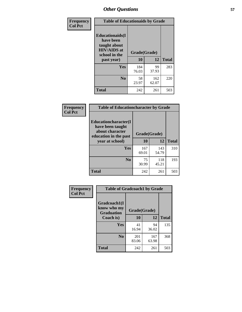| Frequency<br><b>Col Pct</b> | <b>Table of Educationaids by Grade</b>                                                                    |                    |              |              |
|-----------------------------|-----------------------------------------------------------------------------------------------------------|--------------------|--------------|--------------|
|                             | <b>Educationaids</b> (I<br>have been<br>taught about<br><b>HIV/AIDS</b> at<br>school in the<br>past year) | Grade(Grade)<br>10 | 12           | <b>Total</b> |
|                             | Yes                                                                                                       | 184<br>76.03       | 99<br>37.93  | 283          |
|                             | N <sub>0</sub>                                                                                            | 58<br>23.97        | 162<br>62.07 | 220          |
|                             | <b>Total</b>                                                                                              | 242                | 261          | 503          |

| <b>Frequency</b> | <b>Table of Educationcharacter by Grade</b>                                          |              |              |              |
|------------------|--------------------------------------------------------------------------------------|--------------|--------------|--------------|
| <b>Col Pct</b>   | Educationcharacter(I<br>have been taught<br>about character<br>education in the past | Grade(Grade) |              |              |
|                  | year at school)                                                                      | 10           | 12           | <b>Total</b> |
|                  | <b>Yes</b>                                                                           | 167<br>69.01 | 143<br>54.79 | 310          |
|                  | N <sub>0</sub>                                                                       | 75<br>30.99  | 118<br>45.21 | 193          |
|                  | <b>Total</b>                                                                         | 242          | 261          | 503          |

| Frequency      | <b>Table of Gradcoach1 by Grade</b>              |              |              |              |
|----------------|--------------------------------------------------|--------------|--------------|--------------|
| <b>Col Pct</b> | Gradcoach1(I<br>know who my<br><b>Graduation</b> | Grade(Grade) |              |              |
|                | Coach is)                                        | 10           | 12           | <b>Total</b> |
|                | Yes                                              | 41<br>16.94  | 94<br>36.02  | 135          |
|                | N <sub>0</sub>                                   | 201<br>83.06 | 167<br>63.98 | 368          |
|                | <b>Total</b>                                     | 242          | 261          | 503          |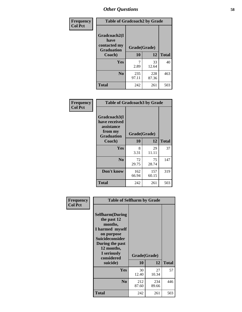| Frequency      | <b>Table of Gradcoach2 by Grade</b> |              |              |              |
|----------------|-------------------------------------|--------------|--------------|--------------|
| <b>Col Pct</b> | Gradcoach2(I<br>have                |              |              |              |
|                | contacted my<br><b>Graduation</b>   | Grade(Grade) |              |              |
|                | Coach)                              | 10           | 12           | <b>Total</b> |
|                | Yes                                 | 7<br>2.89    | 33<br>12.64  | 40           |
|                | N <sub>0</sub>                      | 235<br>97.11 | 228<br>87.36 | 463          |
|                | <b>Total</b>                        | 242          | 261          | 503          |

| <b>Frequency</b><br><b>Col Pct</b> | <b>Table of Gradcoach3 by Grade</b>                                         |              |              |              |
|------------------------------------|-----------------------------------------------------------------------------|--------------|--------------|--------------|
|                                    | Gradcoach3(I<br>have received<br>assistance<br>from my<br><b>Graduation</b> | Grade(Grade) |              |              |
|                                    | Coach)                                                                      | 10           | 12           | <b>Total</b> |
|                                    | Yes                                                                         | 8<br>3.31    | 29<br>11.11  | 37           |
|                                    | N <sub>0</sub>                                                              | 72<br>29.75  | 75<br>28.74  | 147          |
|                                    | Don't know                                                                  | 162<br>66.94 | 157<br>60.15 | 319          |
|                                    | <b>Total</b>                                                                | 242          | 261          | 503          |

| Frequency      | <b>Table of Selfharm by Grade</b>                                                                                                                                                      |                    |              |              |
|----------------|----------------------------------------------------------------------------------------------------------------------------------------------------------------------------------------|--------------------|--------------|--------------|
| <b>Col Pct</b> | <b>Selfharm</b> (During<br>the past 12<br>months,<br>I harmed myself<br>on purpose<br><b>Suicideconsider</b><br>During the past<br>12 months,<br>I seriously<br>considered<br>suicide) | Grade(Grade)<br>10 | 12           | <b>Total</b> |
|                | Yes                                                                                                                                                                                    | 30<br>12.40        | 27<br>10.34  | 57           |
|                | N <sub>0</sub>                                                                                                                                                                         | 212<br>87.60       | 234<br>89.66 | 446          |
|                | Total                                                                                                                                                                                  | 242                | 261          | 503          |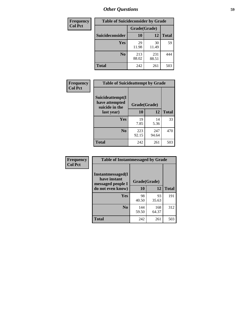| <b>Frequency</b> | <b>Table of Suicideconsider by Grade</b> |              |              |              |
|------------------|------------------------------------------|--------------|--------------|--------------|
| <b>Col Pct</b>   |                                          | Grade(Grade) |              |              |
|                  | <b>Suicideconsider</b>                   | <b>10</b>    | 12           | <b>Total</b> |
|                  | Yes                                      | 29<br>11.98  | 30<br>11.49  | 59           |
|                  | N <sub>0</sub>                           | 213<br>88.02 | 231<br>88.51 | 444          |
|                  | Total                                    | 242          | 261          | 503          |

| Frequency      | <b>Table of Suicideattempt by Grade</b>                              |              |              |              |
|----------------|----------------------------------------------------------------------|--------------|--------------|--------------|
| <b>Col Pct</b> | Suicideattempt(I<br>have attempted<br>Grade(Grade)<br>suicide in the |              |              |              |
|                | last year)                                                           | 10           | 12           | <b>Total</b> |
|                | Yes                                                                  | 19<br>7.85   | 14<br>5.36   | 33           |
|                | N <sub>0</sub>                                                       | 223<br>92.15 | 247<br>94.64 | 470          |
|                | <b>Total</b>                                                         | 242          | 261          | 503          |

| Frequency      | <b>Table of Instantmessaged by Grade</b>                       |              |              |              |
|----------------|----------------------------------------------------------------|--------------|--------------|--------------|
| <b>Col Pct</b> | <b>Instantmessaged</b> (I<br>have instant<br>messaged people I | Grade(Grade) |              |              |
|                | do not even know)                                              | 10           | 12           | <b>Total</b> |
|                | Yes                                                            | 98<br>40.50  | 93<br>35.63  | 191          |
|                | N <sub>0</sub>                                                 | 144<br>59.50 | 168<br>64.37 | 312          |
|                | <b>Total</b>                                                   | 242          | 261          | 503          |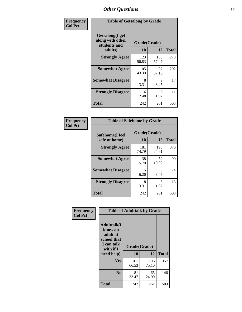| Frequency      | <b>Table of Getsalong by Grade</b>                          |              |              |              |
|----------------|-------------------------------------------------------------|--------------|--------------|--------------|
| <b>Col Pct</b> | <b>Getsalong</b> (I get<br>along with other<br>students and | Grade(Grade) |              |              |
|                | adults)                                                     | 10           | 12           | <b>Total</b> |
|                | <b>Strongly Agree</b>                                       | 123<br>50.83 | 150<br>57.47 | 273          |
|                | <b>Somewhat Agree</b>                                       | 105<br>43.39 | 97<br>37.16  | 202          |
|                | <b>Somewhat Disagree</b>                                    | 8<br>3.31    | 9<br>3.45    | 17           |
|                | <b>Strongly Disagree</b>                                    | 6<br>2.48    | 5<br>1.92    | 11           |
|                | <b>Total</b>                                                | 242          | 261          | 503          |

| Frequency      | <b>Table of Safehome by Grade</b> |                    |              |              |  |  |  |
|----------------|-----------------------------------|--------------------|--------------|--------------|--|--|--|
| <b>Col Pct</b> | Safehome(I feel<br>safe at home)  | Grade(Grade)<br>10 | 12           | <b>Total</b> |  |  |  |
|                | <b>Strongly Agree</b>             | 181<br>74.79       | 195<br>74.71 | 376          |  |  |  |
|                | <b>Somewhat Agree</b>             | 38<br>15.70        | 52<br>19.92  | 90           |  |  |  |
|                | <b>Somewhat Disagree</b>          | 15<br>6.20         | 9<br>3.45    | 24           |  |  |  |
|                | <b>Strongly Disagree</b>          | 8<br>3.31          | 5<br>1.92    | 13           |  |  |  |
|                | <b>Total</b>                      | 242                | 261          | 503          |  |  |  |

| Frequency      |                                                                                     |                    | <b>Table of Adulttalk by Grade</b> |              |
|----------------|-------------------------------------------------------------------------------------|--------------------|------------------------------------|--------------|
| <b>Col Pct</b> | <b>Adulttalk(I</b><br>know an<br>adult at<br>school that<br>I can talk<br>with if I | Grade(Grade)<br>10 | 12                                 | <b>Total</b> |
|                | need help)                                                                          |                    |                                    |              |
|                | <b>Yes</b>                                                                          | 161<br>66.53       | 196<br>75.10                       | 357          |
|                | N <sub>0</sub>                                                                      | 81<br>33.47        | 65<br>24.90                        | 146          |
|                | <b>Total</b>                                                                        | 242                | 261                                | 503          |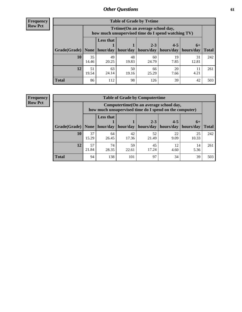**Frequency Row Pct**

| <b>Table of Grade by Tvtime</b> |             |                                                                                                                                 |             |             |            |             |     |  |  |  |
|---------------------------------|-------------|---------------------------------------------------------------------------------------------------------------------------------|-------------|-------------|------------|-------------|-----|--|--|--|
|                                 |             | Tytime (On an average school day,<br>how much unsupervised time do I spend watching TV)                                         |             |             |            |             |     |  |  |  |
| Grade(Grade)   None             |             | <b>Less that</b><br>$2 - 3$<br>$4 - 5$<br>$6+$<br>hour/day<br>hour/day<br>hours/day<br>hours/day<br>  hours/day<br><b>Total</b> |             |             |            |             |     |  |  |  |
| <b>10</b>                       | 35<br>14.46 | 49<br>20.25                                                                                                                     | 48<br>19.83 | 60<br>24.79 | 19<br>7.85 | 31<br>12.81 | 242 |  |  |  |
| 12                              | 51<br>19.54 | 63<br>24.14                                                                                                                     | 50<br>19.16 | 66<br>25.29 | 20<br>7.66 | 11<br>4.21  | 261 |  |  |  |
| <b>Total</b>                    | 86          | 112                                                                                                                             | 98          | 126         | 39         | 42          | 503 |  |  |  |

**Frequency Row Pct**

| <b>Table of Grade by Computertime</b> |             |                                                                                                                               |             |             |            |             |     |  |  |
|---------------------------------------|-------------|-------------------------------------------------------------------------------------------------------------------------------|-------------|-------------|------------|-------------|-----|--|--|
|                                       |             | Computertime (On an average school day,<br>how much unsupervised time do I spend on the computer)                             |             |             |            |             |     |  |  |
| Grade(Grade)                          | None        | <b>Less that</b><br>$4 - 5$<br>$2 - 3$<br>$6+$<br>hours/day<br>hours/day<br>hour/day<br>hour/day<br>hours/day<br><b>Total</b> |             |             |            |             |     |  |  |
| 10                                    | 37<br>15.29 | 64<br>26.45                                                                                                                   | 42<br>17.36 | 52<br>21.49 | 22<br>9.09 | 25<br>10.33 | 242 |  |  |
| 12                                    | 57<br>21.84 | 59<br>74<br>45<br>12<br>14<br>28.35<br>17.24<br>5.36<br>22.61<br>4.60                                                         |             |             |            |             |     |  |  |
| <b>Total</b>                          | 94          | 138                                                                                                                           | 101         | 97          | 34         | 39          | 503 |  |  |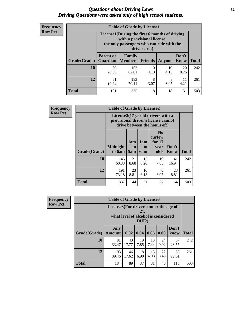#### *Questions about Driving Laws* **62** *Driving Questions were asked only of high school students.*

| <b>Frequency</b> |
|------------------|
| <b>Row Pct</b>   |

| <b>Table of Grade by License1</b> |                                                                     |                                                                                                                                           |                |            |               |              |  |  |  |
|-----------------------------------|---------------------------------------------------------------------|-------------------------------------------------------------------------------------------------------------------------------------------|----------------|------------|---------------|--------------|--|--|--|
|                                   |                                                                     | License1(During the first 6 months of driving<br>with a provisional license,<br>the only passengers who can ride with the<br>driver are:) |                |            |               |              |  |  |  |
| Grade(Grade)                      | <b>Parent or</b><br><b>Guardian</b>                                 | Family<br><b>Members</b>                                                                                                                  | <b>Friends</b> | Anyone     | Don't<br>Know | <b>Total</b> |  |  |  |
| 10                                | 50<br>20.66                                                         | 152<br>62.81                                                                                                                              | 10<br>4.13     | 10<br>4.13 | 20<br>8.26    | 242          |  |  |  |
| 12                                | 51<br>183<br>8<br>8<br>11<br>70.11<br>4.21<br>3.07<br>3.07<br>19.54 |                                                                                                                                           |                |            |               |              |  |  |  |
| <b>Total</b>                      | 101                                                                 | 335                                                                                                                                       | 18             | 18         | 31            | 503          |  |  |  |

| <b>Frequency</b> |              | <b>Table of Grade by License2</b> |                                                                                                          |                                     |                                                      |                      |              |  |  |
|------------------|--------------|-----------------------------------|----------------------------------------------------------------------------------------------------------|-------------------------------------|------------------------------------------------------|----------------------|--------------|--|--|
| <b>Row Pct</b>   |              |                                   | License2(17 yr old drivers with a<br>provisional driver's license cannot<br>drive between the hours of:) |                                     |                                                      |                      |              |  |  |
|                  | Grade(Grade) | <b>Midnight</b><br>to 6am         | 1am<br>t <sub>0</sub><br>5am                                                                             | 1am<br>t <sub>0</sub><br><b>6am</b> | N <sub>0</sub><br>curfew<br>for $17$<br>year<br>olds | Don't<br><b>Know</b> | <b>Total</b> |  |  |
|                  | 10           | 146<br>60.33                      | 21<br>8.68                                                                                               | 15<br>6.20                          | 19<br>7.85                                           | 41<br>16.94          | 242          |  |  |
|                  | 12           | 191<br>73.18                      | 23<br>8.81                                                                                               | 16<br>6.13                          | 8<br>3.07                                            | 23<br>8.81           | 261          |  |  |
|                  | <b>Total</b> | 337                               | 44                                                                                                       | 31                                  | 27                                                   | 64                   | 503          |  |  |

| Frequency      | <b>Table of Grade by License3</b> |                                       |                                     |                 |            |            |               |              |
|----------------|-----------------------------------|---------------------------------------|-------------------------------------|-----------------|------------|------------|---------------|--------------|
| <b>Row Pct</b> |                                   | License3(For drivers under the age of | what level of alcohol is considered | 21,<br>$DUI$ ?) |            |            |               |              |
|                | Grade(Grade)                      | Any<br><b>Amount</b>                  | 0.02                                | 0.04            | 0.06       | 0.08       | Don't<br>know | <b>Total</b> |
|                | 10                                | 81<br>33.47                           | 43<br>17.77                         | 19<br>7.85      | 18<br>7.44 | 24<br>9.92 | 57<br>23.55   | 242          |
|                | 12                                | 103<br>39.46                          | 46<br>17.62                         | 18<br>6.90      | 13<br>4.98 | 22<br>8.43 | 59<br>22.61   | 261          |
|                | <b>Total</b>                      | 184                                   | 89                                  | 37              | 31         | 46         | 116           | 503          |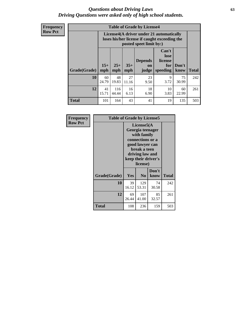#### *Questions about Driving Laws* **63** *Driving Questions were asked only of high school students.*

**Frequency Row Pct**

| <b>Table of Grade by License4</b> |              |                                                                                                                                                                                                                                                                       |             |            |            |             |     |  |
|-----------------------------------|--------------|-----------------------------------------------------------------------------------------------------------------------------------------------------------------------------------------------------------------------------------------------------------------------|-------------|------------|------------|-------------|-----|--|
|                                   |              | License4(A driver under 21 automatically<br>loses his/her license if caught exceeding the<br>posted speet limit by:)<br>Can't<br>lose<br><b>Depends</b><br>license<br>$25+$<br>$35+$<br>Don't<br>for<br>on<br><b>Total</b><br>mph<br>speeding<br>know<br>mph<br>judge |             |            |            |             |     |  |
| Grade(Grade)                      | $15+$<br>mph |                                                                                                                                                                                                                                                                       |             |            |            |             |     |  |
| 10                                | 60<br>24.79  | 48<br>19.83                                                                                                                                                                                                                                                           | 27<br>11.16 | 23<br>9.50 | 9<br>3.72  | 75<br>30.99 | 242 |  |
| 12                                | 41<br>15.71  | 116<br>44.44                                                                                                                                                                                                                                                          | 16<br>6.13  | 18<br>6.90 | 10<br>3.83 | 60<br>22.99 | 261 |  |
| <b>Total</b>                      | 101          | 164                                                                                                                                                                                                                                                                   | 43          | 41         | 19         | 135         | 503 |  |

| Frequency      |              | <b>Table of Grade by License5</b>                                                                                                                           |                |               |       |  |  |
|----------------|--------------|-------------------------------------------------------------------------------------------------------------------------------------------------------------|----------------|---------------|-------|--|--|
| <b>Row Pct</b> |              | License5(A)<br>Georgia teenager<br>with family<br>connections or a<br>good lawyer can<br>break a teen<br>driving law and<br>keep their driver's<br>license) |                |               |       |  |  |
|                | Grade(Grade) | <b>Yes</b>                                                                                                                                                  | N <sub>0</sub> | Don't<br>know | Total |  |  |
|                | 10           | 39<br>16.12                                                                                                                                                 | 129<br>53.31   | 74<br>30.58   | 242   |  |  |
|                | 12           | 69<br>26.44                                                                                                                                                 | 107<br>41.00   | 85<br>32.57   | 261   |  |  |
|                | Total        | 108                                                                                                                                                         | 236            | 159           | 503   |  |  |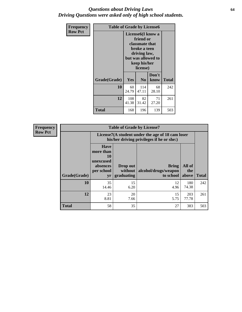#### *Questions about Driving Laws* **64** *Driving Questions were asked only of high school students.*

| <b>Frequency</b> | <b>Table of Grade by License6</b> |              |                                                                                                                           |                    |              |  |  |
|------------------|-----------------------------------|--------------|---------------------------------------------------------------------------------------------------------------------------|--------------------|--------------|--|--|
| <b>Row Pct</b>   |                                   |              | License <sub>6</sub> (I know a<br>friend or<br>classmate that<br>broke a teen<br>driving law,<br>keep his/her<br>license) | but was allowed to |              |  |  |
|                  | Grade(Grade)                      | Yes          | N <sub>0</sub>                                                                                                            | Don't<br>know      | <b>Total</b> |  |  |
|                  | 10                                | 60<br>24.79  | 114<br>47.11                                                                                                              | 68<br>28.10        | 242          |  |  |
|                  | 12                                | 108<br>41.38 | 82<br>31.42                                                                                                               | 71<br>27.20        | 261          |  |  |
|                  | Total                             | 168          | 196                                                                                                                       | 139                | 503          |  |  |

| <b>Frequency</b> | <b>Table of Grade by License7</b> |                                                                             |                                     |                                                                                               |                        |              |  |  |
|------------------|-----------------------------------|-----------------------------------------------------------------------------|-------------------------------------|-----------------------------------------------------------------------------------------------|------------------------|--------------|--|--|
| <b>Row Pct</b>   |                                   |                                                                             |                                     | License7(A student under the age of 18 cam loser<br>his/her driving privileges if he or she:) |                        |              |  |  |
|                  | Grade(Grade)                      | <b>Have</b><br>more than<br>10<br>unexcused<br>absences<br>per school<br>yr | Drop out<br>without  <br>graduating | <b>Bring</b><br>alcohol/drugs/weapon<br>to school                                             | All of<br>the<br>above | <b>Total</b> |  |  |
|                  | 10                                | 35<br>14.46                                                                 | 15<br>6.20                          | 12<br>4.96                                                                                    | 180<br>74.38           | 242          |  |  |
|                  | 12                                | 23<br>8.81                                                                  | 20<br>7.66                          | 15<br>5.75                                                                                    | 203<br>77.78           | 261          |  |  |
|                  | <b>Total</b>                      | 58                                                                          | 35                                  | 27                                                                                            | 383                    | 503          |  |  |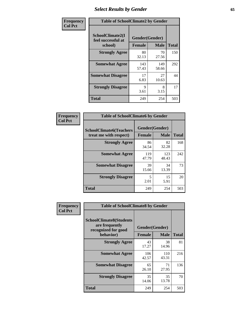# *Select Results by Gender* **65**

| Frequency      | <b>Table of SchoolClimate2 by Gender</b>          |                                 |              |              |
|----------------|---------------------------------------------------|---------------------------------|--------------|--------------|
| <b>Col Pct</b> | SchoolClimate2(I<br>feel successful at<br>school) | Gender(Gender)<br><b>Female</b> | <b>Male</b>  | <b>Total</b> |
|                | <b>Strongly Agree</b>                             | 80<br>32.13                     | 70<br>27.56  | 150          |
|                | <b>Somewhat Agree</b>                             | 143<br>57.43                    | 149<br>58.66 | 292          |
|                | <b>Somewhat Disagree</b>                          | 17<br>6.83                      | 27<br>10.63  | 44           |
|                | <b>Strongly Disagree</b>                          | 9<br>3.61                       | 8<br>3.15    | 17           |
|                | <b>Total</b>                                      | 249                             | 254          | 503          |

| <b>Frequency</b> | <b>Table of SchoolClimate6 by Gender</b>                 |                                 |              |              |  |
|------------------|----------------------------------------------------------|---------------------------------|--------------|--------------|--|
| <b>Col Pct</b>   | <b>SchoolClimate6(Teachers</b><br>treat me with respect) | Gender(Gender)<br><b>Female</b> | <b>Male</b>  | <b>Total</b> |  |
|                  | <b>Strongly Agree</b>                                    | 86<br>34.54                     | 82<br>32.28  | 168          |  |
|                  | <b>Somewhat Agree</b>                                    | 119<br>47.79                    | 123<br>48.43 | 242          |  |
|                  | <b>Somewhat Disagree</b>                                 | 39<br>15.66                     | 34<br>13.39  | 73           |  |
|                  | <b>Strongly Disagree</b>                                 | 5<br>2.01                       | 15<br>5.91   | 20           |  |
|                  | <b>Total</b>                                             | 249                             | 254          | 503          |  |

| <b>Frequency</b> | <b>Table of SchoolClimate8 by Gender</b>                                |                |              |              |
|------------------|-------------------------------------------------------------------------|----------------|--------------|--------------|
| <b>Col Pct</b>   | <b>SchoolClimate8(Students</b><br>are frequently<br>recognized for good | Gender(Gender) |              |              |
|                  | behavior)                                                               | <b>Female</b>  | <b>Male</b>  | <b>Total</b> |
|                  | <b>Strongly Agree</b>                                                   | 43<br>17.27    | 38<br>14.96  | 81           |
|                  | <b>Somewhat Agree</b>                                                   | 106<br>42.57   | 110<br>43.31 | 216          |
|                  | <b>Somewhat Disagree</b>                                                | 65<br>26.10    | 71<br>27.95  | 136          |
|                  | <b>Strongly Disagree</b>                                                | 35<br>14.06    | 35<br>13.78  | 70           |
|                  | <b>Total</b>                                                            | 249            | 254          | 503          |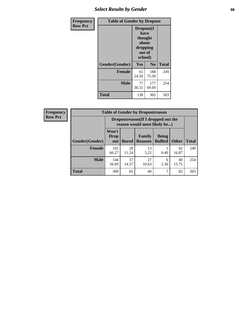## *Select Results by Gender* **66**

| Frequency      | <b>Table of Gender by Dropout</b> |                                                                        |                |              |
|----------------|-----------------------------------|------------------------------------------------------------------------|----------------|--------------|
| <b>Row Pct</b> |                                   | Dropout(I<br>have<br>thought<br>about<br>dropping<br>out of<br>school) |                |              |
|                | Gender(Gender)                    | Yes                                                                    | N <sub>0</sub> | <b>Total</b> |
|                | <b>Female</b>                     | 61<br>24.50                                                            | 188<br>75.50   | 249          |
|                | <b>Male</b>                       | 77<br>30.31                                                            | 177<br>69.69   | 254          |
|                | <b>Total</b>                      | 138                                                                    | 365            | 503          |

| <b>Frequency</b> | <b>Table of Gender by Dropoutreason</b> |                                                                    |             |                                  |                                |              |
|------------------|-----------------------------------------|--------------------------------------------------------------------|-------------|----------------------------------|--------------------------------|--------------|
| <b>Row Pct</b>   |                                         | Dropoutreason(If I dropped out the<br>reason would most likely be) |             |                                  |                                |              |
|                  | Gender(Gender)                          | Won't<br><b>Drop</b><br>out                                        |             | Family<br><b>Bored   Reasons</b> | <b>Being</b><br><b>Bullied</b> | <b>Other</b> |
|                  | <b>Female</b>                           | 165<br>66.27                                                       | 28<br>11.24 | 13<br>5.22                       | 0.40                           | 42<br>16.87  |

144<br>56.69

37 14.57

**Total** 309 65 40 7 82 503

**Male** 

 $\mathsf{r}$ ٦

**Total**

249

254

40 15.75

27 10.63

6 2.36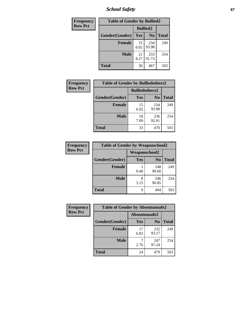*School Safety* **67**

| Frequency      | <b>Table of Gender by Bullied2</b> |                 |                |              |
|----------------|------------------------------------|-----------------|----------------|--------------|
| <b>Row Pct</b> |                                    | <b>Bullied2</b> |                |              |
|                | Gender(Gender)                     | Yes             | N <sub>0</sub> | <b>Total</b> |
|                | <b>Female</b>                      | 15<br>6.02      | 234<br>93.98   | 249          |
|                | <b>Male</b>                        | 21<br>8.27      | 233<br>91.73   | 254          |
|                | <b>Total</b>                       | 36              | 467            | 503          |

| Frequency      | <b>Table of Gender by Bulliedothers2</b> |                       |                |              |
|----------------|------------------------------------------|-----------------------|----------------|--------------|
| <b>Row Pct</b> |                                          | <b>Bulliedothers2</b> |                |              |
|                | Gender(Gender)                           | <b>Yes</b>            | N <sub>0</sub> | <b>Total</b> |
|                | <b>Female</b>                            | 15<br>6.02            | 234<br>93.98   | 249          |
|                | <b>Male</b>                              | 18<br>7.09            | 236<br>92.91   | 254          |
|                | <b>Total</b>                             | 33                    | 470            | 503          |

| Frequency      | <b>Table of Gender by Weaponschool2</b> |                      |                |              |
|----------------|-----------------------------------------|----------------------|----------------|--------------|
| <b>Row Pct</b> |                                         | <b>Weaponschool2</b> |                |              |
|                | Gender(Gender)                          | Yes                  | N <sub>0</sub> | <b>Total</b> |
|                | <b>Female</b>                           | 0.40                 | 248<br>99.60   | 249          |
|                | <b>Male</b>                             | 3.15                 | 246<br>96.85   | 254          |
|                | <b>Total</b>                            | q                    | 494            | 503          |

| Frequency      | <b>Table of Gender by Absentunsafe2</b> |               |                |              |
|----------------|-----------------------------------------|---------------|----------------|--------------|
| <b>Row Pct</b> |                                         | Absentunsafe2 |                |              |
|                | Gender(Gender)                          | Yes           | N <sub>0</sub> | <b>Total</b> |
|                | <b>Female</b>                           | 17<br>6.83    | 232<br>93.17   | 249          |
|                | <b>Male</b>                             | 2.76          | 247<br>97.24   | 254          |
|                | <b>Total</b>                            | 24            | 479            | 503          |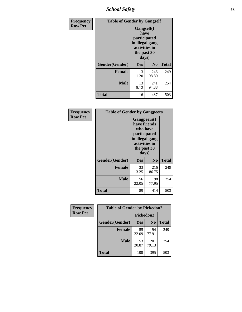*School Safety* **68**

| Frequency      | <b>Table of Gender by Gangself</b> |                                                                                                |                |              |
|----------------|------------------------------------|------------------------------------------------------------------------------------------------|----------------|--------------|
| <b>Row Pct</b> |                                    | Gangself(I<br>have<br>participated<br>in illegal gang<br>activities in<br>the past 30<br>days) |                |              |
|                | Gender(Gender)                     | Yes                                                                                            | N <sub>0</sub> | <b>Total</b> |
|                | <b>Female</b>                      | 3<br>1.20                                                                                      | 246<br>98.80   | 249          |
|                | <b>Male</b>                        | 13<br>5.12                                                                                     | 241<br>94.88   | 254          |
|                | <b>Total</b>                       | 16                                                                                             | 487            | 503          |

| Frequency      | <b>Table of Gender by Gangpeers</b> |                                                                                                                             |                |              |
|----------------|-------------------------------------|-----------------------------------------------------------------------------------------------------------------------------|----------------|--------------|
| <b>Row Pct</b> |                                     | <b>Gangpeers</b> (I<br>have friends<br>who have<br>participated<br>in illegal gang<br>activities in<br>the past 30<br>days) |                |              |
|                | Gender(Gender)                      | <b>Yes</b>                                                                                                                  | N <sub>0</sub> | <b>Total</b> |
|                | <b>Female</b>                       | 33<br>13.25                                                                                                                 | 216<br>86.75   | 249          |
|                | <b>Male</b>                         | 56<br>22.05                                                                                                                 | 198<br>77.95   | 254          |
|                | Total                               | 89                                                                                                                          | 414            | 503          |

| Frequency      | <b>Table of Gender by Pickedon2</b> |             |                |              |
|----------------|-------------------------------------|-------------|----------------|--------------|
| <b>Row Pct</b> |                                     | Pickedon2   |                |              |
|                | Gender(Gender)                      | <b>Yes</b>  | N <sub>0</sub> | <b>Total</b> |
|                | <b>Female</b>                       | 55<br>22.09 | 194<br>77.91   | 249          |
|                | <b>Male</b>                         | 53<br>20.87 | 201<br>79.13   | 254          |
|                | <b>Total</b>                        | 108         | 395            | 503          |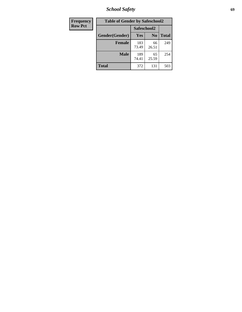*School Safety* **69**

| Frequency      | <b>Table of Gender by Safeschool2</b> |              |                |              |  |
|----------------|---------------------------------------|--------------|----------------|--------------|--|
| <b>Row Pct</b> |                                       | Safeschool2  |                |              |  |
|                | Gender(Gender)                        | <b>Yes</b>   | N <sub>0</sub> | <b>Total</b> |  |
|                | <b>Female</b>                         | 183<br>73.49 | 66<br>26.51    | 249          |  |
|                | <b>Male</b>                           | 189<br>74.41 | 65<br>25.59    | 254          |  |
|                | <b>Total</b>                          | 372          | 131            | 503          |  |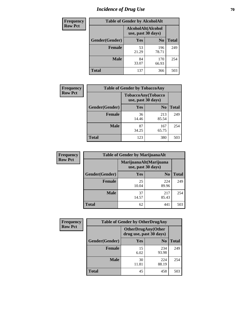# *Incidence of Drug Use* **70**

| <b>Frequency</b> | <b>Table of Gender by AlcoholAlt</b> |                                          |                |              |  |
|------------------|--------------------------------------|------------------------------------------|----------------|--------------|--|
| <b>Row Pct</b>   |                                      | AlcoholAlt(Alcohol<br>use, past 30 days) |                |              |  |
|                  | Gender(Gender)                       | <b>Yes</b>                               | N <sub>0</sub> | <b>Total</b> |  |
|                  | <b>Female</b>                        | 53<br>21.29                              | 196<br>78.71   | 249          |  |
|                  | <b>Male</b>                          | 84<br>33.07                              | 170<br>66.93   | 254          |  |
|                  | <b>Total</b>                         | 137                                      | 366            | 503          |  |

| <b>Frequency</b> | <b>Table of Gender by TobaccoAny</b> |                                          |                |              |  |
|------------------|--------------------------------------|------------------------------------------|----------------|--------------|--|
| <b>Row Pct</b>   |                                      | TobaccoAny(Tobacco<br>use, past 30 days) |                |              |  |
|                  | Gender(Gender)                       | Yes                                      | N <sub>0</sub> | <b>Total</b> |  |
|                  | <b>Female</b>                        | 36<br>14.46                              | 213<br>85.54   | 249          |  |
|                  | <b>Male</b>                          | 87<br>34.25                              | 167<br>65.75   | 254          |  |
|                  | <b>Total</b>                         | 123                                      | 380            | 503          |  |

| <b>Frequency</b> | <b>Table of Gender by MarijuanaAlt</b> |                                              |                |              |  |
|------------------|----------------------------------------|----------------------------------------------|----------------|--------------|--|
| <b>Row Pct</b>   |                                        | MarijuanaAlt(Marijuana<br>use, past 30 days) |                |              |  |
|                  | Gender(Gender)                         | Yes                                          | N <sub>0</sub> | <b>Total</b> |  |
|                  | <b>Female</b>                          | 25<br>10.04                                  | 224<br>89.96   | 249          |  |
|                  | <b>Male</b>                            | 37<br>14.57                                  | 217<br>85.43   | 254          |  |
|                  | <b>Total</b>                           | 62                                           | 441            | 503          |  |

| <b>Frequency</b> | <b>Table of Gender by OtherDrugAny</b>                |             |                |              |  |
|------------------|-------------------------------------------------------|-------------|----------------|--------------|--|
| <b>Row Pct</b>   | <b>OtherDrugAny</b> (Other<br>drug use, past 30 days) |             |                |              |  |
|                  | Gender(Gender)                                        | <b>Yes</b>  | N <sub>0</sub> | <b>Total</b> |  |
|                  | <b>Female</b>                                         | 15<br>6.02  | 234<br>93.98   | 249          |  |
|                  | <b>Male</b>                                           | 30<br>11.81 | 224<br>88.19   | 254          |  |
|                  | <b>Total</b>                                          | 45          | 458            | 503          |  |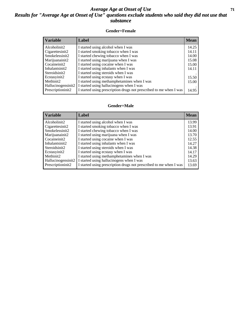### *Average Age at Onset of Use* **71** *Results for "Average Age at Onset of Use" questions exclude students who said they did not use that substance*

#### **Gender=Female**

| <b>Variable</b>    | Label                                                              | <b>Mean</b> |
|--------------------|--------------------------------------------------------------------|-------------|
| Alcoholinit2       | I started using alcohol when I was                                 | 14.25       |
| Cigarettesinit2    | I started smoking tobacco when I was                               | 14.11       |
| Smokelessinit2     | I started chewing tobacco when I was                               | 14.00       |
| Marijuanainit2     | I started using marijuana when I was                               | 15.08       |
| Cocaineinit2       | I started using cocaine when I was                                 | 15.00       |
| Inhalantsinit2     | I started using inhalants when I was                               | 14.11       |
| Steroidsinit2      | I started using steroids when I was                                |             |
| Ecstasyinit2       | I started using ecstasy when I was                                 | 15.50       |
| Methinit2          | I started using methamphetamines when I was                        | 15.00       |
| Hallucinogensinit2 | I started using hallucinogens when I was                           |             |
| Prescription in t2 | I started using prescription drugs not prescribed to me when I was | 14.95       |

#### **Gender=Male**

| <b>Variable</b>                 | Label                                                              | <b>Mean</b> |
|---------------------------------|--------------------------------------------------------------------|-------------|
| Alcoholinit2                    | I started using alcohol when I was                                 | 13.99       |
| Cigarettesinit2                 | I started smoking tobacco when I was                               | 13.91       |
| Smokelessinit2                  | I started chewing tobacco when I was                               | 14.00       |
| Marijuanainit2                  | I started using marijuana when I was                               | 13.70       |
| Cocaineinit2                    | I started using cocaine when I was                                 | 12.55       |
| Inhalantsinit2                  | I started using inhalants when I was                               | 14.27       |
| Steroidsinit2                   | I started using steroids when I was                                | 14.38       |
| Ecstasyinit2                    | I started using ecstasy when I was                                 | 14.17       |
| Methinit2                       | I started using methamphetamines when I was                        | 14.29       |
| Hallucinogensinit2              | I started using hallucinogens when I was                           | 13.63       |
| Prescription in it <sub>2</sub> | I started using prescription drugs not prescribed to me when I was | 13.69       |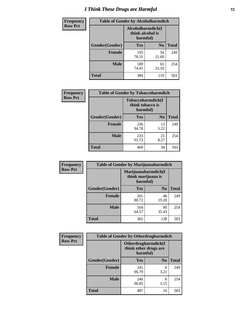# *I Think These Drugs are Harmful* **72**

| <b>Frequency</b> | <b>Table of Gender by Alcoholharmdich</b> |                                       |                |              |
|------------------|-------------------------------------------|---------------------------------------|----------------|--------------|
| <b>Row Pct</b>   |                                           | Alcoholharmdich(I<br>think alcohol is | harmful)       |              |
|                  | Gender(Gender)                            | Yes                                   | N <sub>0</sub> | <b>Total</b> |
|                  | Female                                    | 195<br>78.31                          | 54<br>21.69    | 249          |
|                  | <b>Male</b>                               | 189<br>74.41                          | 65<br>25.59    | 254          |
|                  | <b>Total</b>                              | 384                                   | 119            | 503          |

| Frequency      | <b>Table of Gender by Tobaccoharmdich</b> |                                                   |                |              |  |
|----------------|-------------------------------------------|---------------------------------------------------|----------------|--------------|--|
| <b>Row Pct</b> |                                           | Tobaccoharmdich(I<br>think tobacco is<br>harmful) |                |              |  |
|                | Gender(Gender)                            | <b>Yes</b>                                        | N <sub>0</sub> | <b>Total</b> |  |
|                | <b>Female</b>                             | 236<br>94.78                                      | 13<br>5.22     | 249          |  |
|                | <b>Male</b>                               | 233<br>91.73                                      | 21<br>8.27     | 254          |  |
|                | <b>Total</b>                              | 469                                               | 34             | 503          |  |

| Frequency      | <b>Table of Gender by Marijuanaharmdich</b> |                                                       |                |              |  |  |
|----------------|---------------------------------------------|-------------------------------------------------------|----------------|--------------|--|--|
| <b>Row Pct</b> |                                             | Marijuanaharmdich(I<br>think marijuana is<br>harmful) |                |              |  |  |
|                | Gender(Gender)                              | <b>Yes</b>                                            | N <sub>0</sub> | <b>Total</b> |  |  |
|                | <b>Female</b>                               | 201<br>80.72                                          | 48<br>19.28    | 249          |  |  |
|                | <b>Male</b>                                 | 164<br>64.57                                          | 90<br>35.43    | 254          |  |  |
|                | <b>Total</b>                                | 365                                                   | 138            | 503          |  |  |

| Frequency      | <b>Table of Gender by Otherdrugharmdich</b> |                                                          |                |              |  |  |
|----------------|---------------------------------------------|----------------------------------------------------------|----------------|--------------|--|--|
| <b>Row Pct</b> |                                             | Otherdrugharmdich(I<br>think other drugs are<br>harmful) |                |              |  |  |
|                | Gender(Gender)                              | <b>Yes</b>                                               | N <sub>0</sub> | <b>Total</b> |  |  |
|                | <b>Female</b>                               | 241<br>96.79                                             | 8<br>3.21      | 249          |  |  |
|                | <b>Male</b>                                 | 246<br>96.85                                             | 8<br>3.15      | 254          |  |  |
|                | <b>Total</b>                                | 487                                                      | 16             | 503          |  |  |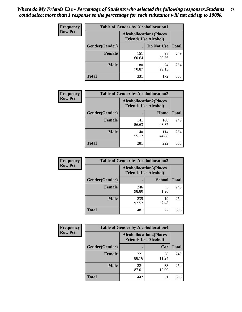| <b>Frequency</b> | <b>Table of Gender by Alcohollocation1</b> |                                                               |             |              |
|------------------|--------------------------------------------|---------------------------------------------------------------|-------------|--------------|
| <b>Row Pct</b>   |                                            | <b>Alcohollocation1(Places</b><br><b>Friends Use Alcohol)</b> |             |              |
|                  | Gender(Gender)                             |                                                               | Do Not Use  | <b>Total</b> |
|                  | <b>Female</b>                              | 151<br>60.64                                                  | 98<br>39.36 | 249          |
|                  | <b>Male</b>                                | 180<br>70.87                                                  | 74<br>29.13 | 254          |
|                  | Total                                      | 331                                                           | 172         | 503          |

| <b>Frequency</b> | <b>Table of Gender by Alcohollocation2</b> |                                |                             |              |
|------------------|--------------------------------------------|--------------------------------|-----------------------------|--------------|
| <b>Row Pct</b>   |                                            | <b>Alcohollocation2(Places</b> | <b>Friends Use Alcohol)</b> |              |
|                  | Gender(Gender)                             |                                | Home                        | <b>Total</b> |
|                  | <b>Female</b>                              | 141<br>56.63                   | 108<br>43.37                | 249          |
|                  | <b>Male</b>                                | 140<br>55.12                   | 114<br>44.88                | 254          |
|                  | <b>Total</b>                               | 281                            | 222                         | 503          |

| <b>Frequency</b> | <b>Table of Gender by Alcohollocation3</b> |              |                                                               |              |
|------------------|--------------------------------------------|--------------|---------------------------------------------------------------|--------------|
| <b>Row Pct</b>   |                                            |              | <b>Alcohollocation3(Places</b><br><b>Friends Use Alcohol)</b> |              |
|                  | Gender(Gender)                             |              | <b>School</b>                                                 | <b>Total</b> |
|                  | <b>Female</b>                              | 246<br>98.80 | 3<br>1.20                                                     | 249          |
|                  | <b>Male</b>                                | 235<br>92.52 | 19<br>7.48                                                    | 254          |
|                  | <b>Total</b>                               | 481          | 22                                                            | 503          |

| Frequency      | <b>Table of Gender by Alcohollocation4</b> |              |                                                               |              |
|----------------|--------------------------------------------|--------------|---------------------------------------------------------------|--------------|
| <b>Row Pct</b> |                                            |              | <b>Alcohollocation4(Places</b><br><b>Friends Use Alcohol)</b> |              |
|                | Gender(Gender)                             |              | Car                                                           | <b>Total</b> |
|                | <b>Female</b>                              | 221<br>88.76 | 28<br>11.24                                                   | 249          |
|                | <b>Male</b>                                | 221<br>87.01 | 33<br>12.99                                                   | 254          |
|                | <b>Total</b>                               | 442          | 61                                                            | 503          |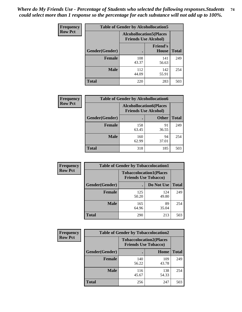| <b>Frequency</b> | <b>Table of Gender by Alcohollocation5</b> |                                                                |                                 |              |
|------------------|--------------------------------------------|----------------------------------------------------------------|---------------------------------|--------------|
| <b>Row Pct</b>   |                                            | <b>Alcohollocation5</b> (Places<br><b>Friends Use Alcohol)</b> |                                 |              |
|                  | Gender(Gender)                             |                                                                | <b>Friend's</b><br><b>House</b> | <b>Total</b> |
|                  | <b>Female</b>                              | 108<br>43.37                                                   | 141<br>56.63                    | 249          |
|                  | <b>Male</b>                                | 112<br>44.09                                                   | 142<br>55.91                    | 254          |
|                  | <b>Total</b>                               | 220                                                            | 283                             | 503          |

| Frequency      | <b>Table of Gender by Alcohollocation6</b> |              |                                                               |              |
|----------------|--------------------------------------------|--------------|---------------------------------------------------------------|--------------|
| <b>Row Pct</b> |                                            |              | <b>Alcohollocation6(Places</b><br><b>Friends Use Alcohol)</b> |              |
|                | Gender(Gender)                             |              | <b>Other</b>                                                  | <b>Total</b> |
|                | <b>Female</b>                              | 158<br>63.45 | 91<br>36.55                                                   | 249          |
|                | <b>Male</b>                                | 160<br>62.99 | 94<br>37.01                                                   | 254          |
|                | <b>Total</b>                               | 318          | 185                                                           | 503          |

| Frequency      | <b>Table of Gender by Tobaccolocation1</b> |                                                               |              |              |  |
|----------------|--------------------------------------------|---------------------------------------------------------------|--------------|--------------|--|
| <b>Row Pct</b> |                                            | <b>Tobaccolocation1(Places</b><br><b>Friends Use Tobacco)</b> |              |              |  |
|                | Gender(Gender)                             |                                                               | Do Not Use   | <b>Total</b> |  |
|                | <b>Female</b>                              | 125<br>50.20                                                  | 124<br>49.80 | 249          |  |
|                | <b>Male</b>                                | 165<br>64.96                                                  | 89<br>35.04  | 254          |  |
|                | <b>Total</b>                               | 290                                                           | 213          | 503          |  |

| <b>Frequency</b> | <b>Table of Gender by Tobaccolocation2</b> |                                                               |              |              |
|------------------|--------------------------------------------|---------------------------------------------------------------|--------------|--------------|
| <b>Row Pct</b>   |                                            | <b>Tobaccolocation2(Places</b><br><b>Friends Use Tobacco)</b> |              |              |
|                  | Gender(Gender)                             |                                                               | Home         | <b>Total</b> |
|                  | <b>Female</b>                              | 140<br>56.22                                                  | 109<br>43.78 | 249          |
|                  | <b>Male</b>                                | 116<br>45.67                                                  | 138<br>54.33 | 254          |
|                  | <b>Total</b>                               | 256                                                           | 247          | 503          |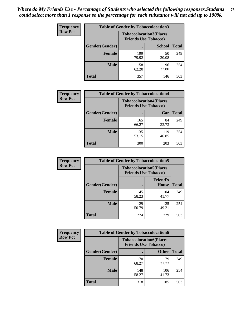| <b>Frequency</b> | <b>Table of Gender by Tobaccolocation3</b> |                                                               |               |              |
|------------------|--------------------------------------------|---------------------------------------------------------------|---------------|--------------|
| <b>Row Pct</b>   |                                            | <b>Tobaccolocation3(Places</b><br><b>Friends Use Tobacco)</b> |               |              |
|                  | Gender(Gender)                             |                                                               | <b>School</b> | <b>Total</b> |
|                  | <b>Female</b>                              | 199<br>79.92                                                  | 50<br>20.08   | 249          |
|                  | <b>Male</b>                                | 158<br>62.20                                                  | 96<br>37.80   | 254          |
|                  | <b>Total</b>                               | 357                                                           | 146           | 503          |

| <b>Frequency</b> | <b>Table of Gender by Tobaccolocation4</b> |                                                               |              |              |
|------------------|--------------------------------------------|---------------------------------------------------------------|--------------|--------------|
| <b>Row Pct</b>   |                                            | <b>Tobaccolocation4(Places</b><br><b>Friends Use Tobacco)</b> |              |              |
|                  | Gender(Gender)                             |                                                               | Car          | <b>Total</b> |
|                  | <b>Female</b>                              | 165<br>66.27                                                  | 84<br>33.73  | 249          |
|                  | <b>Male</b>                                | 135<br>53.15                                                  | 119<br>46.85 | 254          |
|                  | <b>Total</b>                               | 300                                                           | 203          | 503          |

| <b>Frequency</b> | <b>Table of Gender by Tobaccolocation5</b> |                                                               |                                 |              |
|------------------|--------------------------------------------|---------------------------------------------------------------|---------------------------------|--------------|
| <b>Row Pct</b>   |                                            | <b>Tobaccolocation5(Places</b><br><b>Friends Use Tobacco)</b> |                                 |              |
|                  | Gender(Gender)                             |                                                               | <b>Friend's</b><br><b>House</b> | <b>Total</b> |
|                  | <b>Female</b>                              | 145<br>58.23                                                  | 104<br>41.77                    | 249          |
|                  | <b>Male</b>                                | 129<br>50.79                                                  | 125<br>49.21                    | 254          |
|                  | <b>Total</b>                               | 274                                                           | 229                             | 503          |

| <b>Frequency</b> | <b>Table of Gender by Tobaccolocation6</b> |              |                                                               |              |
|------------------|--------------------------------------------|--------------|---------------------------------------------------------------|--------------|
| <b>Row Pct</b>   |                                            |              | <b>Tobaccolocation6(Places</b><br><b>Friends Use Tobacco)</b> |              |
|                  | Gender(Gender)                             |              | <b>Other</b>                                                  | <b>Total</b> |
|                  | Female                                     | 170<br>68.27 | 79<br>31.73                                                   | 249          |
|                  | <b>Male</b>                                | 148<br>58.27 | 106<br>41.73                                                  | 254          |
|                  | <b>Total</b>                               | 318          | 185                                                           | 503          |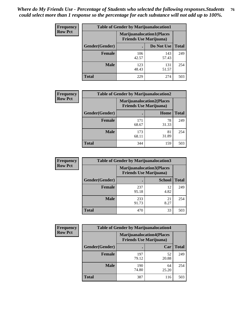| <b>Frequency</b> | <b>Table of Gender by Marijuanalocation1</b> |                                                                    |              |              |
|------------------|----------------------------------------------|--------------------------------------------------------------------|--------------|--------------|
| <b>Row Pct</b>   |                                              | <b>Marijuanalocation1(Places</b><br><b>Friends Use Marijuana</b> ) |              |              |
|                  | Gender(Gender)                               |                                                                    | Do Not Use   | <b>Total</b> |
|                  | <b>Female</b>                                | 106<br>42.57                                                       | 143<br>57.43 | 249          |
|                  | <b>Male</b>                                  | 123<br>48.43                                                       | 131<br>51.57 | 254          |
|                  | <b>Total</b>                                 | 229                                                                | 274          | 503          |

| <b>Frequency</b> | <b>Table of Gender by Marijuanalocation2</b> |                                                                    |             |              |
|------------------|----------------------------------------------|--------------------------------------------------------------------|-------------|--------------|
| <b>Row Pct</b>   |                                              | <b>Marijuanalocation2(Places</b><br><b>Friends Use Marijuana</b> ) |             |              |
|                  | Gender(Gender)                               |                                                                    | Home        | <b>Total</b> |
|                  | <b>Female</b>                                | 171<br>68.67                                                       | 78<br>31.33 | 249          |
|                  | <b>Male</b>                                  | 173<br>68.11                                                       | 81<br>31.89 | 254          |
|                  | <b>Total</b>                                 | 344                                                                | 159         | 503          |

| <b>Frequency</b> | <b>Table of Gender by Marijuanalocation3</b> |              |                                                                     |              |
|------------------|----------------------------------------------|--------------|---------------------------------------------------------------------|--------------|
| <b>Row Pct</b>   |                                              |              | <b>Marijuanalocation3(Places)</b><br><b>Friends Use Marijuana</b> ) |              |
|                  | Gender(Gender)                               |              | <b>School</b>                                                       | <b>Total</b> |
|                  | Female                                       | 237<br>95.18 | 12<br>4.82                                                          | 249          |
|                  | <b>Male</b>                                  | 233<br>91.73 | 21<br>8.27                                                          | 254          |
|                  | <b>Total</b>                                 | 470          | 33                                                                  | 503          |

| Frequency      | <b>Table of Gender by Marijuanalocation4</b> |                                |                                  |              |
|----------------|----------------------------------------------|--------------------------------|----------------------------------|--------------|
| <b>Row Pct</b> |                                              | <b>Friends Use Marijuana</b> ) | <b>Marijuanalocation4(Places</b> |              |
|                | <b>Gender</b> (Gender)                       |                                | Car                              | <b>Total</b> |
|                | <b>Female</b>                                | 197<br>79.12                   | 52<br>20.88                      | 249          |
|                | <b>Male</b>                                  | 190<br>74.80                   | 64<br>25.20                      | 254          |
|                | <b>Total</b>                                 | 387                            | 116                              | 503          |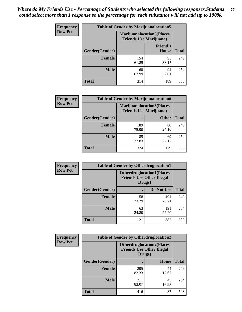| <b>Frequency</b> | <b>Table of Gender by Marijuanalocation5</b> |                                                                    |                          |              |
|------------------|----------------------------------------------|--------------------------------------------------------------------|--------------------------|--------------|
| <b>Row Pct</b>   |                                              | <b>Marijuanalocation5(Places</b><br><b>Friends Use Marijuana</b> ) |                          |              |
|                  | Gender(Gender)                               |                                                                    | <b>Friend's</b><br>House | <b>Total</b> |
|                  | <b>Female</b>                                | 154<br>61.85                                                       | 95<br>38.15              | 249          |
|                  | <b>Male</b>                                  | 160<br>62.99                                                       | 94<br>37.01              | 254          |
|                  | <b>Total</b>                                 | 314                                                                | 189                      | 503          |

| <b>Frequency</b> | <b>Table of Gender by Marijuanalocation6</b> |                                                                    |              |              |
|------------------|----------------------------------------------|--------------------------------------------------------------------|--------------|--------------|
| <b>Row Pct</b>   |                                              | <b>Marijuanalocation6(Places</b><br><b>Friends Use Marijuana</b> ) |              |              |
|                  | <b>Gender</b> (Gender)                       |                                                                    | <b>Other</b> | <b>Total</b> |
|                  | <b>Female</b>                                | 189<br>75.90                                                       | 60<br>24.10  | 249          |
|                  | <b>Male</b>                                  | 185<br>72.83                                                       | 69<br>27.17  | 254          |
|                  | <b>Total</b>                                 | 374                                                                | 129          | 503          |

| Frequency      | <b>Table of Gender by Otherdruglocation1</b> |                                                                                |              |              |
|----------------|----------------------------------------------|--------------------------------------------------------------------------------|--------------|--------------|
| <b>Row Pct</b> |                                              | <b>Otherdruglocation1(Places</b><br><b>Friends Use Other Illegal</b><br>Drugs) |              |              |
|                | Gender(Gender)                               |                                                                                | Do Not Use   | <b>Total</b> |
|                | <b>Female</b>                                | 58<br>23.29                                                                    | 191<br>76.71 | 249          |
|                | <b>Male</b>                                  | 63<br>24.80                                                                    | 191<br>75.20 | 254          |
|                | <b>Total</b>                                 | 121                                                                            | 382          | 503          |

| <b>Frequency</b> | <b>Table of Gender by Otherdruglocation2</b> |                                                                                |             |              |
|------------------|----------------------------------------------|--------------------------------------------------------------------------------|-------------|--------------|
| <b>Row Pct</b>   |                                              | <b>Otherdruglocation2(Places</b><br><b>Friends Use Other Illegal</b><br>Drugs) |             |              |
|                  | Gender(Gender)                               |                                                                                | Home        | <b>Total</b> |
|                  | <b>Female</b>                                | 205<br>82.33                                                                   | 44<br>17.67 | 249          |
|                  | <b>Male</b>                                  | 211<br>83.07                                                                   | 43<br>16.93 | 254          |
|                  | <b>Total</b>                                 | 416                                                                            | 87          | 503          |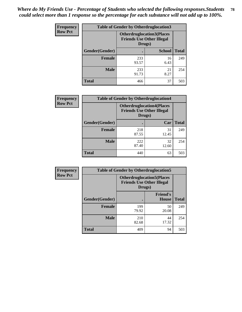| <b>Frequency</b> | <b>Table of Gender by Otherdruglocation3</b> |                                                                                |               |              |
|------------------|----------------------------------------------|--------------------------------------------------------------------------------|---------------|--------------|
| <b>Row Pct</b>   |                                              | <b>Otherdruglocation3(Places</b><br><b>Friends Use Other Illegal</b><br>Drugs) |               |              |
|                  | <b>Gender</b> (Gender)                       |                                                                                | <b>School</b> | <b>Total</b> |
|                  | <b>Female</b>                                | 233<br>93.57                                                                   | 16<br>6.43    | 249          |
|                  | <b>Male</b>                                  | 233<br>91.73                                                                   | 21<br>8.27    | 254          |
|                  | <b>Total</b>                                 | 466                                                                            | 37            | 503          |

| <b>Frequency</b> | <b>Table of Gender by Otherdruglocation4</b> |                                                                                |             |              |
|------------------|----------------------------------------------|--------------------------------------------------------------------------------|-------------|--------------|
| <b>Row Pct</b>   |                                              | <b>Otherdruglocation4(Places</b><br><b>Friends Use Other Illegal</b><br>Drugs) |             |              |
|                  | Gender(Gender)                               |                                                                                | Car         | <b>Total</b> |
|                  | <b>Female</b>                                | 218<br>87.55                                                                   | 31<br>12.45 | 249          |
|                  | <b>Male</b>                                  | 222<br>87.40                                                                   | 32<br>12.60 | 254          |
|                  | <b>Total</b>                                 | 440                                                                            | 63          | 503          |

| <b>Frequency</b> | <b>Table of Gender by Otherdruglocation5</b> |              |                                                                      |              |
|------------------|----------------------------------------------|--------------|----------------------------------------------------------------------|--------------|
| <b>Row Pct</b>   |                                              | Drugs)       | <b>Otherdruglocation5(Places</b><br><b>Friends Use Other Illegal</b> |              |
|                  | Gender(Gender)                               |              | <b>Friend's</b><br><b>House</b>                                      | <b>Total</b> |
|                  | <b>Female</b>                                | 199<br>79.92 | 50<br>20.08                                                          | 249          |
|                  | <b>Male</b>                                  | 210<br>82.68 | 44<br>17.32                                                          | 254          |
|                  | <b>Total</b>                                 | 409          | 94                                                                   | 503          |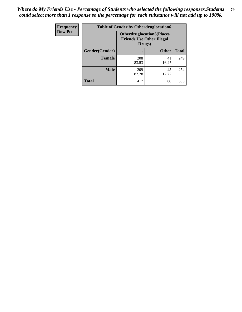| <b>Frequency</b> | <b>Table of Gender by Otherdruglocation6</b> |                                                                                |              |              |
|------------------|----------------------------------------------|--------------------------------------------------------------------------------|--------------|--------------|
| <b>Row Pct</b>   |                                              | <b>Otherdruglocation6(Places</b><br><b>Friends Use Other Illegal</b><br>Drugs) |              |              |
|                  | Gender(Gender)                               |                                                                                | <b>Other</b> | <b>Total</b> |
|                  | <b>Female</b>                                | 208<br>83.53                                                                   | 41<br>16.47  | 249          |
|                  | <b>Male</b>                                  | 209<br>82.28                                                                   | 45<br>17.72  | 254          |
|                  | <b>Total</b>                                 | 417                                                                            | 86           | 503          |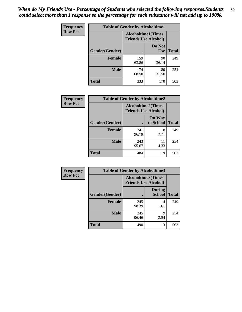| <b>Frequency</b> | <b>Table of Gender by Alcoholtime1</b> |                                                          |                      |              |
|------------------|----------------------------------------|----------------------------------------------------------|----------------------|--------------|
| <b>Row Pct</b>   |                                        | <b>Alcoholtime1(Times</b><br><b>Friends Use Alcohol)</b> |                      |              |
|                  | Gender(Gender)                         | $\bullet$                                                | Do Not<br><b>Use</b> | <b>Total</b> |
|                  | <b>Female</b>                          | 159<br>63.86                                             | 90<br>36.14          | 249          |
|                  | <b>Male</b>                            | 174<br>68.50                                             | 80<br>31.50          | 254          |
|                  | <b>Total</b>                           | 333                                                      | 170                  | 503          |

| <b>Frequency</b> | <b>Table of Gender by Alcoholtime2</b> |                                                          |                            |              |
|------------------|----------------------------------------|----------------------------------------------------------|----------------------------|--------------|
| <b>Row Pct</b>   |                                        | <b>Alcoholtime2(Times</b><br><b>Friends Use Alcohol)</b> |                            |              |
|                  | Gender(Gender)                         |                                                          | <b>On Way</b><br>to School | <b>Total</b> |
|                  | <b>Female</b>                          | 241<br>96.79                                             | 8<br>3.21                  | 249          |
|                  | <b>Male</b>                            | 243<br>95.67                                             | 11<br>4.33                 | 254          |
|                  | Total                                  | 484                                                      | 19                         | 503          |

| Frequency      | <b>Table of Gender by Alcoholtime3</b> |                                                   |                                |              |
|----------------|----------------------------------------|---------------------------------------------------|--------------------------------|--------------|
| <b>Row Pct</b> |                                        | Alcoholtime3(Times<br><b>Friends Use Alcohol)</b> |                                |              |
|                | Gender(Gender)                         |                                                   | <b>During</b><br><b>School</b> | <b>Total</b> |
|                | Female                                 | 245<br>98.39                                      | 4<br>1.61                      | 249          |
|                | <b>Male</b>                            | 245<br>96.46                                      | 9<br>3.54                      | 254          |
|                | <b>Total</b>                           | 490                                               | 13                             | 503          |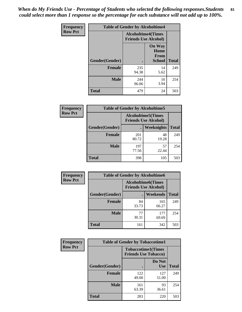*When do My Friends Use - Percentage of Students who selected the following responses.Students could select more than 1 response so the percentage for each substance will not add up to 100%.* **81**

| <b>Frequency</b> | <b>Table of Gender by Alcoholtime4</b> |                                                          |                                                       |              |
|------------------|----------------------------------------|----------------------------------------------------------|-------------------------------------------------------|--------------|
| <b>Row Pct</b>   |                                        | <b>Alcoholtime4(Times</b><br><b>Friends Use Alcohol)</b> |                                                       |              |
|                  | Gender(Gender)                         |                                                          | <b>On Way</b><br>Home<br><b>From</b><br><b>School</b> | <b>Total</b> |
|                  | <b>Female</b>                          | 235<br>94.38                                             | 14<br>5.62                                            | 249          |
|                  | <b>Male</b>                            | 244<br>96.06                                             | 10<br>3.94                                            | 254          |
|                  | <b>Total</b>                           | 479                                                      | 24                                                    | 503          |

| <b>Frequency</b> | <b>Table of Gender by Alcoholtime5</b> |                                                           |                   |              |
|------------------|----------------------------------------|-----------------------------------------------------------|-------------------|--------------|
| <b>Row Pct</b>   |                                        | <b>Alcoholtime5</b> (Times<br><b>Friends Use Alcohol)</b> |                   |              |
|                  | Gender(Gender)                         |                                                           | <b>Weeknights</b> | <b>Total</b> |
|                  | <b>Female</b>                          | 201<br>80.72                                              | 48<br>19.28       | 249          |
|                  | <b>Male</b>                            | 197<br>77.56                                              | 57<br>22.44       | 254          |
|                  | <b>Total</b>                           | 398                                                       | 105               | 503          |

| <b>Frequency</b> |                | <b>Table of Gender by Alcoholtime6</b> |                                                          |              |
|------------------|----------------|----------------------------------------|----------------------------------------------------------|--------------|
| <b>Row Pct</b>   |                |                                        | <b>Alcoholtime6(Times</b><br><b>Friends Use Alcohol)</b> |              |
|                  | Gender(Gender) |                                        | Weekends                                                 | <b>Total</b> |
|                  | Female         | 84<br>33.73                            | 165<br>66.27                                             | 249          |
|                  | <b>Male</b>    | 77<br>30.31                            | 177<br>69.69                                             | 254          |
|                  | <b>Total</b>   | 161                                    | 342                                                      | 503          |

| Frequency      | <b>Table of Gender by Tobaccotime1</b> |                                                          |                      |              |
|----------------|----------------------------------------|----------------------------------------------------------|----------------------|--------------|
| <b>Row Pct</b> |                                        | <b>Tobaccotime1(Times</b><br><b>Friends Use Tobacco)</b> |                      |              |
|                | Gender(Gender)                         |                                                          | Do Not<br><b>Use</b> | <b>Total</b> |
|                | <b>Female</b>                          | 122<br>49.00                                             | 127<br>51.00         | 249          |
|                | <b>Male</b>                            | 161<br>63.39                                             | 93<br>36.61          | 254          |
|                | <b>Total</b>                           | 283                                                      | 220                  | 503          |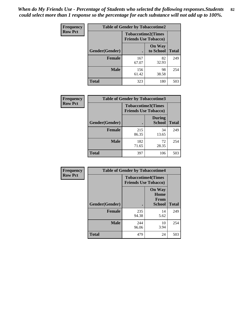*When do My Friends Use - Percentage of Students who selected the following responses.Students could select more than 1 response so the percentage for each substance will not add up to 100%.* **82**

| Frequency      | <b>Table of Gender by Tobaccotime2</b> |                                                          |                            |              |
|----------------|----------------------------------------|----------------------------------------------------------|----------------------------|--------------|
| <b>Row Pct</b> |                                        | <b>Tobaccotime2(Times</b><br><b>Friends Use Tobacco)</b> |                            |              |
|                | Gender(Gender)                         | $\bullet$                                                | <b>On Way</b><br>to School | <b>Total</b> |
|                | <b>Female</b>                          | 167<br>67.07                                             | 82<br>32.93                | 249          |
|                | <b>Male</b>                            | 156<br>61.42                                             | 98<br>38.58                | 254          |
|                | Total                                  | 323                                                      | 180                        | 503          |

| Frequency      | <b>Table of Gender by Tobaccotime3</b> |                                                          |                                |              |
|----------------|----------------------------------------|----------------------------------------------------------|--------------------------------|--------------|
| <b>Row Pct</b> |                                        | <b>Tobaccotime3(Times</b><br><b>Friends Use Tobacco)</b> |                                |              |
|                | Gender(Gender)                         |                                                          | <b>During</b><br><b>School</b> | <b>Total</b> |
|                | <b>Female</b>                          | 215<br>86.35                                             | 34<br>13.65                    | 249          |
|                | <b>Male</b>                            | 182<br>71.65                                             | 72<br>28.35                    | 254          |
|                | <b>Total</b>                           | 397                                                      | 106                            | 503          |

| <b>Frequency</b> | <b>Table of Gender by Tobaccotime4</b> |                                                          |                                                |              |
|------------------|----------------------------------------|----------------------------------------------------------|------------------------------------------------|--------------|
| <b>Row Pct</b>   |                                        | <b>Tobaccotime4(Times</b><br><b>Friends Use Tobacco)</b> |                                                |              |
|                  | Gender(Gender)                         |                                                          | <b>On Way</b><br>Home<br>From<br><b>School</b> | <b>Total</b> |
|                  | <b>Female</b>                          | 235<br>94.38                                             | 14<br>5.62                                     | 249          |
|                  | <b>Male</b>                            | 244<br>96.06                                             | 10<br>3.94                                     | 254          |
|                  | <b>Total</b>                           | 479                                                      | 24                                             | 503          |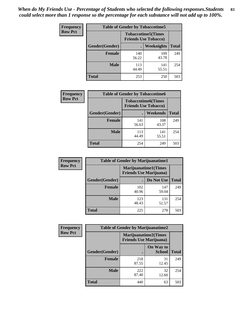| Frequency      | <b>Table of Gender by Tobaccotime5</b> |              |                                                          |              |  |
|----------------|----------------------------------------|--------------|----------------------------------------------------------|--------------|--|
| <b>Row Pct</b> |                                        |              | <b>Tobaccotime5(Times</b><br><b>Friends Use Tobacco)</b> |              |  |
|                | <b>Gender</b> (Gender)                 |              | Weeknights                                               | <b>Total</b> |  |
|                | <b>Female</b>                          | 140<br>56.22 | 109<br>43.78                                             | 249          |  |
|                | <b>Male</b>                            | 113<br>44.49 | 141<br>55.51                                             | 254          |  |
|                | <b>Total</b>                           | 253          | 250                                                      | 503          |  |

| Frequency      | <b>Table of Gender by Tobaccotime6</b> |                                                          |                 |              |
|----------------|----------------------------------------|----------------------------------------------------------|-----------------|--------------|
| <b>Row Pct</b> |                                        | <b>Tobaccotime6(Times</b><br><b>Friends Use Tobacco)</b> |                 |              |
|                | Gender(Gender)                         |                                                          | <b>Weekends</b> | <b>Total</b> |
|                | Female                                 | 141<br>56.63                                             | 108<br>43.37    | 249          |
|                | <b>Male</b>                            | 113<br>44.49                                             | 141<br>55.51    | 254          |
|                | <b>Total</b>                           | 254                                                      | 249             | 503          |

| <b>Frequency</b> | <b>Table of Gender by Marijuanatime1</b> |                                                               |              |              |  |
|------------------|------------------------------------------|---------------------------------------------------------------|--------------|--------------|--|
| <b>Row Pct</b>   |                                          | <b>Marijuanatime1(Times</b><br><b>Friends Use Marijuana</b> ) |              |              |  |
|                  | Gender(Gender)                           |                                                               | Do Not Use   | <b>Total</b> |  |
|                  | <b>Female</b>                            | 102<br>40.96                                                  | 147<br>59.04 | 249          |  |
|                  | <b>Male</b>                              | 123<br>48.43                                                  | 131<br>51.57 | 254          |  |
|                  | <b>Total</b>                             | 225                                                           | 278          | 503          |  |

| <b>Frequency</b> | <b>Table of Gender by Marijuanatime2</b> |                                                               |                            |              |
|------------------|------------------------------------------|---------------------------------------------------------------|----------------------------|--------------|
| <b>Row Pct</b>   |                                          | <b>Marijuanatime2(Times</b><br><b>Friends Use Marijuana</b> ) |                            |              |
|                  | Gender(Gender)                           |                                                               | On Way to<br><b>School</b> | <b>Total</b> |
|                  | Female                                   | 218<br>87.55                                                  | 31<br>12.45                | 249          |
|                  | <b>Male</b>                              | 222<br>87.40                                                  | 32<br>12.60                | 254          |
|                  | <b>Total</b>                             | 440                                                           | 63                         | 503          |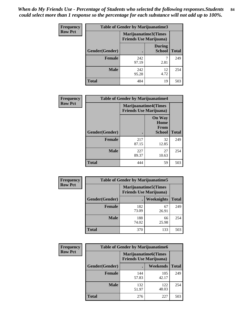*When do My Friends Use - Percentage of Students who selected the following responses.Students could select more than 1 response so the percentage for each substance will not add up to 100%.* **84**

| <b>Frequency</b> | <b>Table of Gender by Marijuanatime3</b> |                                                        |                                |              |
|------------------|------------------------------------------|--------------------------------------------------------|--------------------------------|--------------|
| <b>Row Pct</b>   |                                          | Marijuanatime3(Times<br><b>Friends Use Marijuana</b> ) |                                |              |
|                  | Gender(Gender)                           |                                                        | <b>During</b><br><b>School</b> | <b>Total</b> |
|                  | Female                                   | 242<br>97.19                                           | 2.81                           | 249          |
|                  | <b>Male</b>                              | 242<br>95.28                                           | 12<br>4.72                     | 254          |
|                  | <b>Total</b>                             | 484                                                    | 19                             | 503          |

| Frequency      | <b>Table of Gender by Marijuanatime4</b> |                                |                                                       |              |
|----------------|------------------------------------------|--------------------------------|-------------------------------------------------------|--------------|
| <b>Row Pct</b> |                                          | <b>Friends Use Marijuana</b> ) | <b>Marijuanatime4(Times</b>                           |              |
|                | Gender(Gender)                           |                                | <b>On Way</b><br>Home<br><b>From</b><br><b>School</b> | <b>Total</b> |
|                | <b>Female</b>                            | 217<br>87.15                   | 32<br>12.85                                           | 249          |
|                | <b>Male</b>                              | 227<br>89.37                   | 27<br>10.63                                           | 254          |
|                | <b>Total</b>                             | 444                            | 59                                                    | 503          |

| Frequency      | <b>Table of Gender by Marijuanatime5</b> |                                                                |             |              |  |
|----------------|------------------------------------------|----------------------------------------------------------------|-------------|--------------|--|
| <b>Row Pct</b> |                                          | <b>Marijuanatime5</b> (Times<br><b>Friends Use Marijuana</b> ) |             |              |  |
|                | Gender(Gender)                           | ٠                                                              | Weeknights  | <b>Total</b> |  |
|                | <b>Female</b>                            | 182<br>73.09                                                   | 67<br>26.91 | 249          |  |
|                | <b>Male</b>                              | 188<br>74.02                                                   | 66<br>25.98 | 254          |  |
|                | <b>Total</b>                             | 370                                                            | 133         | 503          |  |

| Frequency      | <b>Table of Gender by Marijuanatime6</b> |                                                               |                 |              |
|----------------|------------------------------------------|---------------------------------------------------------------|-----------------|--------------|
| <b>Row Pct</b> |                                          | <b>Marijuanatime6(Times</b><br><b>Friends Use Marijuana</b> ) |                 |              |
|                | Gender(Gender)                           |                                                               | <b>Weekends</b> | <b>Total</b> |
|                | <b>Female</b>                            | 144<br>57.83                                                  | 105<br>42.17    | 249          |
|                | <b>Male</b>                              | 132<br>51.97                                                  | 122<br>48.03    | 254          |
|                | <b>Total</b>                             | 276                                                           | 227             | 503          |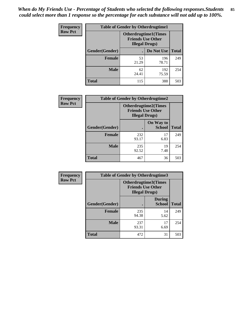*When do My Friends Use - Percentage of Students who selected the following responses.Students could select more than 1 response so the percentage for each substance will not add up to 100%.* **85**

| <b>Frequency</b> | <b>Table of Gender by Otherdrugtime1</b> |                                                    |                             |     |
|------------------|------------------------------------------|----------------------------------------------------|-----------------------------|-----|
| <b>Row Pct</b>   |                                          | <b>Friends Use Other</b><br><b>Illegal Drugs</b> ) | <b>Otherdrugtime1(Times</b> |     |
|                  | Gender(Gender)                           |                                                    | Do Not Use   Total          |     |
|                  | <b>Female</b>                            | 53<br>21.29                                        | 196<br>78.71                | 249 |
|                  | Male                                     | 62<br>24.41                                        | 192<br>75.59                | 254 |
|                  | <b>Total</b>                             | 115                                                | 388                         | 503 |

| Frequency      |                        | <b>Table of Gender by Otherdrugtime2</b> |                                                         |              |
|----------------|------------------------|------------------------------------------|---------------------------------------------------------|--------------|
| <b>Row Pct</b> |                        | <b>Illegal Drugs</b> )                   | <b>Otherdrugtime2(Times</b><br><b>Friends Use Other</b> |              |
|                | <b>Gender</b> (Gender) |                                          | On Way to<br><b>School</b>                              | <b>Total</b> |
|                | <b>Female</b>          | 232<br>93.17                             | 17<br>6.83                                              | 249          |
|                | <b>Male</b>            | 235<br>92.52                             | 19<br>7.48                                              | 254          |
|                | <b>Total</b>           | 467                                      | 36                                                      | 503          |

| Frequency      | <b>Table of Gender by Otherdrugtime3</b> |                       |                                                         |              |  |
|----------------|------------------------------------------|-----------------------|---------------------------------------------------------|--------------|--|
| <b>Row Pct</b> |                                          | <b>Illegal Drugs)</b> | <b>Otherdrugtime3(Times</b><br><b>Friends Use Other</b> |              |  |
|                | Gender(Gender)                           |                       | <b>During</b><br><b>School</b>                          | <b>Total</b> |  |
|                | <b>Female</b>                            | 235<br>94.38          | 14<br>5.62                                              | 249          |  |
|                | <b>Male</b>                              | 237<br>93.31          | 17<br>6.69                                              | 254          |  |
|                | <b>Total</b>                             | 472                   | 31                                                      | 503          |  |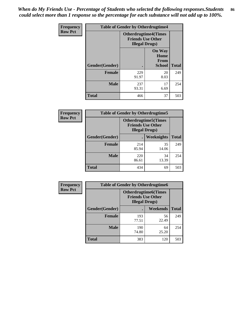*When do My Friends Use - Percentage of Students who selected the following responses.Students could select more than 1 response so the percentage for each substance will not add up to 100%.* **86**

| <b>Frequency</b> |                | <b>Table of Gender by Otherdrugtime4</b>           |                                                |              |  |
|------------------|----------------|----------------------------------------------------|------------------------------------------------|--------------|--|
| <b>Row Pct</b>   |                | <b>Friends Use Other</b><br><b>Illegal Drugs</b> ) | <b>Otherdrugtime4(Times</b>                    |              |  |
|                  | Gender(Gender) |                                                    | <b>On Way</b><br>Home<br><b>From</b><br>School | <b>Total</b> |  |
|                  | <b>Female</b>  | 229<br>91.97                                       | 20<br>8.03                                     | 249          |  |
|                  | <b>Male</b>    | 237<br>93.31                                       | 17<br>6.69                                     | 254          |  |
|                  | <b>Total</b>   | 466                                                | 37                                             | 503          |  |

| Frequency      | <b>Table of Gender by Otherdrugtime5</b> |                                                                                    |             |              |
|----------------|------------------------------------------|------------------------------------------------------------------------------------|-------------|--------------|
| <b>Row Pct</b> |                                          | <b>Otherdrugtime5</b> (Times<br><b>Friends Use Other</b><br><b>Illegal Drugs</b> ) |             |              |
|                | Gender(Gender)                           |                                                                                    | Weeknights  | <b>Total</b> |
|                | <b>Female</b>                            | 214<br>85.94                                                                       | 35<br>14.06 | 249          |
|                | <b>Male</b>                              | 220<br>86.61                                                                       | 34<br>13.39 | 254          |
|                | <b>Total</b>                             | 434                                                                                | 69          | 503          |

| <b>Frequency</b> | <b>Table of Gender by Otherdrugtime6</b> |                                                                                   |             |              |
|------------------|------------------------------------------|-----------------------------------------------------------------------------------|-------------|--------------|
| <b>Row Pct</b>   |                                          | <b>Otherdrugtime6(Times</b><br><b>Friends Use Other</b><br><b>Illegal Drugs</b> ) |             |              |
|                  | Gender(Gender)                           |                                                                                   | Weekends    | <b>Total</b> |
|                  | <b>Female</b>                            | 193<br>77.51                                                                      | 56<br>22.49 | 249          |
|                  | <b>Male</b>                              | 190<br>74.80                                                                      | 64<br>25.20 | 254          |
|                  | <b>Total</b>                             | 383                                                                               | 120         | 503          |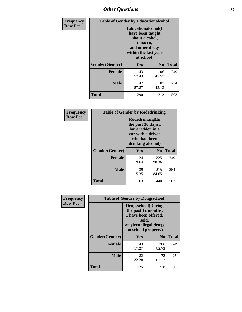# *Other Questions* **87**

| <b>Frequency</b> | <b>Table of Gender by Educationalcohol</b> |                                                                                                                                       |                |              |  |
|------------------|--------------------------------------------|---------------------------------------------------------------------------------------------------------------------------------------|----------------|--------------|--|
| <b>Row Pct</b>   |                                            | <b>Educationalcohol</b> (I<br>have been taught<br>about alcohol,<br>tobacco,<br>and other drugs<br>within the last year<br>at school) |                |              |  |
|                  | Gender(Gender)                             | <b>Yes</b>                                                                                                                            | N <sub>0</sub> | <b>Total</b> |  |
|                  | <b>Female</b>                              | 143<br>57.43                                                                                                                          | 106<br>42.57   | 249          |  |
|                  | <b>Male</b>                                | 147<br>57.87                                                                                                                          | 107<br>42.13   | 254          |  |
|                  | <b>Total</b>                               | 290                                                                                                                                   | 213            | 503          |  |

| Frequency      | <b>Table of Gender by Rodedrinking</b> |                                                                                                                     |                |              |  |
|----------------|----------------------------------------|---------------------------------------------------------------------------------------------------------------------|----------------|--------------|--|
| <b>Row Pct</b> |                                        | Rodedrinking(In<br>the past 30 days I<br>have ridden in a<br>car with a driver<br>who had been<br>drinking alcohol) |                |              |  |
|                | Gender(Gender)                         | Yes                                                                                                                 | N <sub>0</sub> | <b>Total</b> |  |
|                | <b>Female</b>                          | 24<br>9.64                                                                                                          | 225<br>90.36   | 249          |  |
|                | <b>Male</b>                            | 39<br>15.35                                                                                                         | 215<br>84.65   | 254          |  |
|                | <b>Total</b>                           | 63                                                                                                                  | 440            | 503          |  |

| Frequency      | <b>Table of Gender by Drugsschool</b> |                                                                                                                                     |                |              |  |
|----------------|---------------------------------------|-------------------------------------------------------------------------------------------------------------------------------------|----------------|--------------|--|
| <b>Row Pct</b> |                                       | <b>Drugsschool</b> (During<br>the past 12 months,<br>I have been offered,<br>sold,<br>or given illegal drugs<br>on school property) |                |              |  |
|                | Gender(Gender)                        | Yes                                                                                                                                 | N <sub>0</sub> | <b>Total</b> |  |
|                | <b>Female</b>                         | 43<br>17.27                                                                                                                         | 206<br>82.73   | 249          |  |
|                | <b>Male</b>                           | 82<br>32.28                                                                                                                         | 172<br>67.72   | 254          |  |
|                | <b>Total</b>                          | 125                                                                                                                                 | 378            | 503          |  |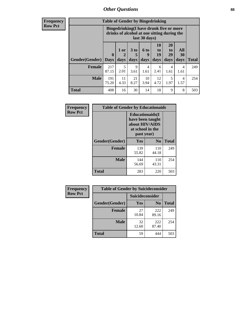## *Other Questions* **88**

**Frequency Row Pct**

| <b>Table of Gender by Bingedrinking</b> |              |                                                                                                         |                   |                   |                        |                               |                          |              |
|-----------------------------------------|--------------|---------------------------------------------------------------------------------------------------------|-------------------|-------------------|------------------------|-------------------------------|--------------------------|--------------|
|                                         |              | Bingedrinking(I have drunk five or more<br>drinks of alcohol at one sitting during the<br>last 30 days) |                   |                   |                        |                               |                          |              |
| <b>Gender</b> (Gender)   Days           | $\mathbf 0$  | 1 or<br>2<br>days                                                                                       | 3 to<br>5<br>days | 6 to<br>9<br>days | 10<br>to<br>19<br>days | <b>20</b><br>to<br>29<br>days | All<br><b>30</b><br>days | <b>Total</b> |
| <b>Female</b>                           | 217<br>87.15 | 5<br>2.01                                                                                               | 9<br>3.61         | 4<br>1.61         | 6<br>2.41              | $\overline{4}$<br>1.61        | 4<br>1.61                | 249          |
|                                         |              |                                                                                                         |                   |                   |                        |                               |                          |              |
| <b>Male</b>                             | 191<br>75.20 | 11<br>4.33                                                                                              | 21<br>8.27        | 10<br>3.94        | 12<br>4.72             | 5<br>1.97                     | 4<br>1.57                | 254          |

| Frequency      | <b>Table of Gender by Educationaids</b> |                                                                                                 |              |              |  |
|----------------|-----------------------------------------|-------------------------------------------------------------------------------------------------|--------------|--------------|--|
| <b>Row Pct</b> |                                         | <b>Educationaids</b> (I<br>have been taught<br>about HIV/AIDS<br>at school in the<br>past year) |              |              |  |
|                | Gender(Gender)                          | Yes                                                                                             | $\bf N_0$    | <b>Total</b> |  |
|                | <b>Female</b>                           | 139<br>55.82                                                                                    | 110<br>44.18 | 249          |  |
|                | <b>Male</b>                             | 144<br>56.69                                                                                    | 110<br>43.31 | 254          |  |
|                | <b>Total</b>                            | 283                                                                                             | 220          | 503          |  |

| <b>Frequency</b> | <b>Table of Gender by Suicideconsider</b> |                 |                |              |  |
|------------------|-------------------------------------------|-----------------|----------------|--------------|--|
| <b>Row Pct</b>   |                                           | Suicideconsider |                |              |  |
|                  | Gender(Gender)                            | Yes             | N <sub>0</sub> | <b>Total</b> |  |
|                  | <b>Female</b>                             | 27<br>10.84     | 222<br>89.16   | 249          |  |
|                  | <b>Male</b>                               | 32<br>12.60     | 222<br>87.40   | 254          |  |
|                  | Total                                     | 59              | 444            | 503          |  |